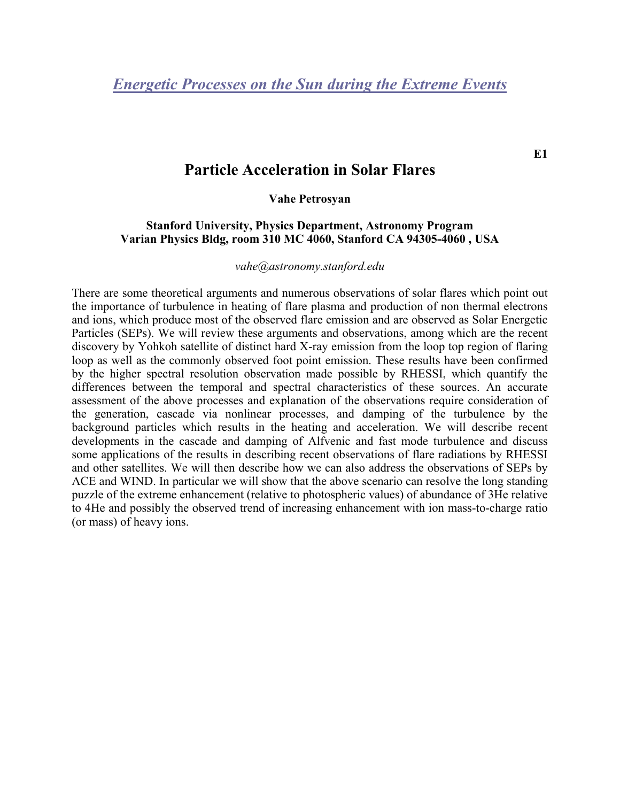## **Particle Acceleration in Solar Flares**

### **Vahe Petrosyan**

## **Stanford University, Physics Department, Astronomy Program Varian Physics Bldg, room 310 MC 4060, Stanford CA 94305-4060 , USA**

#### *vahe@astronomy.stanford.edu*

There are some theoretical arguments and numerous observations of solar flares which point out the importance of turbulence in heating of flare plasma and production of non thermal electrons and ions, which produce most of the observed flare emission and are observed as Solar Energetic Particles (SEPs). We will review these arguments and observations, among which are the recent discovery by Yohkoh satellite of distinct hard X-ray emission from the loop top region of flaring loop as well as the commonly observed foot point emission. These results have been confirmed by the higher spectral resolution observation made possible by RHESSI, which quantify the differences between the temporal and spectral characteristics of these sources. An accurate assessment of the above processes and explanation of the observations require consideration of the generation, cascade via nonlinear processes, and damping of the turbulence by the background particles which results in the heating and acceleration. We will describe recent developments in the cascade and damping of Alfvenic and fast mode turbulence and discuss some applications of the results in describing recent observations of flare radiations by RHESSI and other satellites. We will then describe how we can also address the observations of SEPs by ACE and WIND. In particular we will show that the above scenario can resolve the long standing puzzle of the extreme enhancement (relative to photospheric values) of abundance of 3He relative to 4He and possibly the observed trend of increasing enhancement with ion mass-to-charge ratio (or mass) of heavy ions.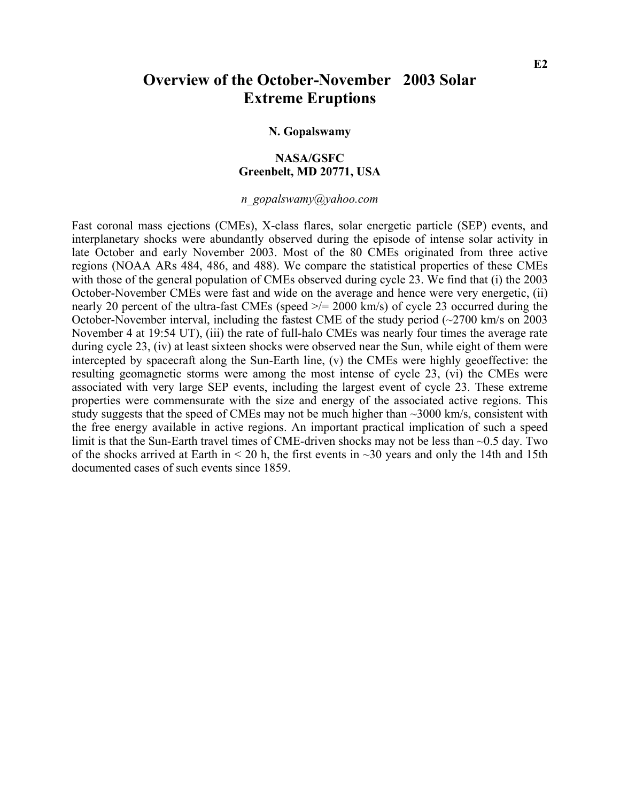## **Overview of the October-November 2003 Solar Extreme Eruptions**

#### **N. Gopalswamy**

## **NASA/GSFC Greenbelt, MD 20771, USA**

*n\_gopalswamy@yahoo.com* 

Fast coronal mass ejections (CMEs), X-class flares, solar energetic particle (SEP) events, and interplanetary shocks were abundantly observed during the episode of intense solar activity in late October and early November 2003. Most of the 80 CMEs originated from three active regions (NOAA ARs 484, 486, and 488). We compare the statistical properties of these CMEs with those of the general population of CMEs observed during cycle 23. We find that (i) the 2003 October-November CMEs were fast and wide on the average and hence were very energetic, (ii) nearly 20 percent of the ultra-fast CMEs (speed  $\ge$ /= 2000 km/s) of cycle 23 occurred during the October-November interval, including the fastest CME of the study period  $\left(\sim 2700 \text{ km/s on } 2003\right)$ November 4 at 19:54 UT), (iii) the rate of full-halo CMEs was nearly four times the average rate during cycle 23, (iv) at least sixteen shocks were observed near the Sun, while eight of them were intercepted by spacecraft along the Sun-Earth line, (v) the CMEs were highly geoeffective: the resulting geomagnetic storms were among the most intense of cycle 23, (vi) the CMEs were associated with very large SEP events, including the largest event of cycle 23. These extreme properties were commensurate with the size and energy of the associated active regions. This study suggests that the speed of CMEs may not be much higher than  $\sim$ 3000 km/s, consistent with the free energy available in active regions. An important practical implication of such a speed limit is that the Sun-Earth travel times of CME-driven shocks may not be less than ~0.5 day. Two of the shocks arrived at Earth in  $\leq$  20 h, the first events in  $\sim$  30 years and only the 14th and 15th documented cases of such events since 1859.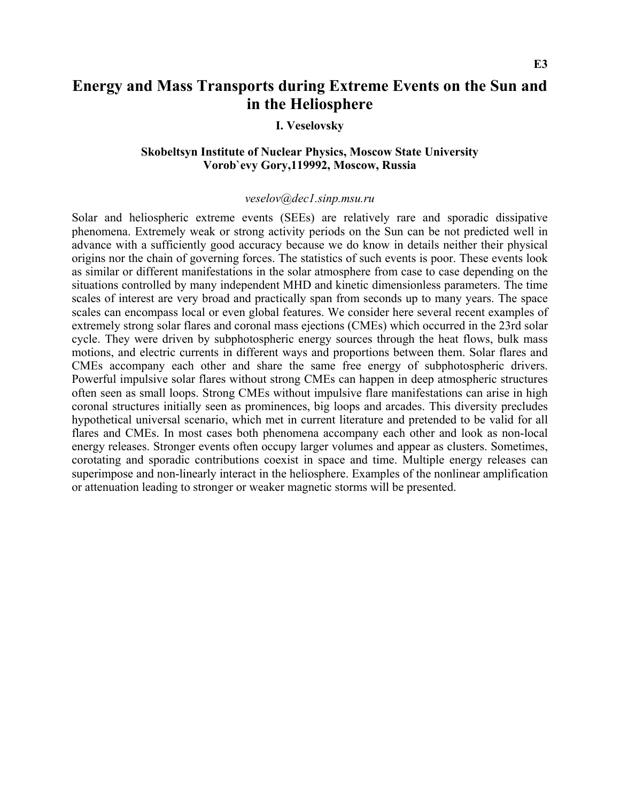## **Energy and Mass Transports during Extreme Events on the Sun and in the Heliosphere**

## **I. Veselovsky**

## **Skobeltsyn Institute of Nuclear Physics, Moscow State University Vorob`evy Gory,119992, Moscow, Russia**

#### *veselov@dec1.sinp.msu.ru*

Solar and heliospheric extreme events (SEEs) are relatively rare and sporadic dissipative phenomena. Extremely weak or strong activity periods on the Sun can be not predicted well in advance with a sufficiently good accuracy because we do know in details neither their physical origins nor the chain of governing forces. The statistics of such events is poor. These events look as similar or different manifestations in the solar atmosphere from case to case depending on the situations controlled by many independent MHD and kinetic dimensionless parameters. The time scales of interest are very broad and practically span from seconds up to many years. The space scales can encompass local or even global features. We consider here several recent examples of extremely strong solar flares and coronal mass ejections (CMEs) which occurred in the 23rd solar cycle. They were driven by subphotospheric energy sources through the heat flows, bulk mass motions, and electric currents in different ways and proportions between them. Solar flares and CMEs accompany each other and share the same free energy of subphotospheric drivers. Powerful impulsive solar flares without strong CMEs can happen in deep atmospheric structures often seen as small loops. Strong CMEs without impulsive flare manifestations can arise in high coronal structures initially seen as prominences, big loops and arcades. This diversity precludes hypothetical universal scenario, which met in current literature and pretended to be valid for all flares and CMEs. In most cases both phenomena accompany each other and look as non-local energy releases. Stronger events often occupy larger volumes and appear as clusters. Sometimes, corotating and sporadic contributions coexist in space and time. Multiple energy releases can superimpose and non-linearly interact in the heliosphere. Examples of the nonlinear amplification or attenuation leading to stronger or weaker magnetic storms will be presented.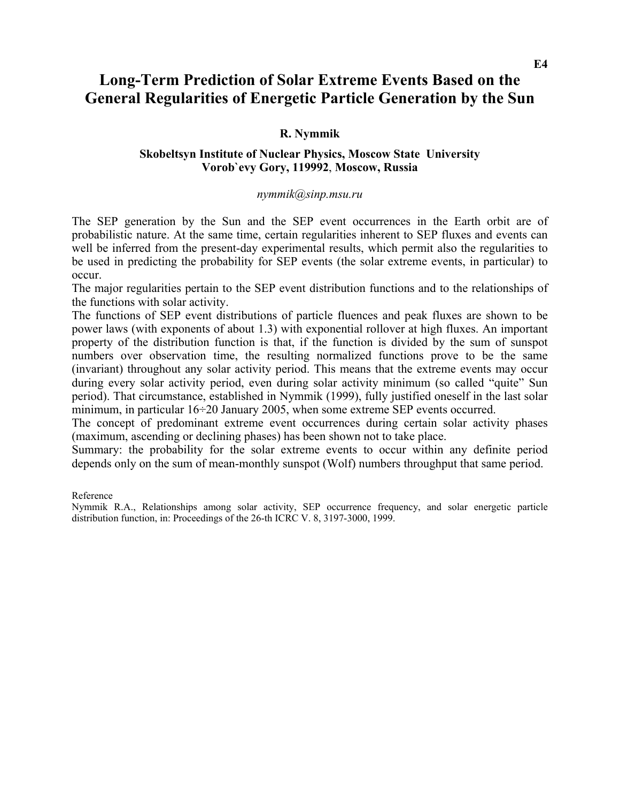## **Long-Term Prediction of Solar Extreme Events Based on the General Regularities of Energetic Particle Generation by the Sun**

## **R. Nymmik**

## **Skobeltsyn Institute of Nuclear Physics, Moscow State University Vorob`evy Gory, 119992**, **Moscow, Russia**

### *[nymmik@sinp.msu.ru](mailto:nymmik@sinp.msu.ru)*

The SEP generation by the Sun and the SEP event occurrences in the Earth orbit are of probabilistic nature. At the same time, certain regularities inherent to SEP fluxes and events can well be inferred from the present-day experimental results, which permit also the regularities to be used in predicting the probability for SEP events (the solar extreme events, in particular) to occur.

The major regularities pertain to the SEP event distribution functions and to the relationships of the functions with solar activity.

The functions of SEP event distributions of particle fluences and peak fluxes are shown to be power laws (with exponents of about 1.3) with exponential rollover at high fluxes. An important property of the distribution function is that, if the function is divided by the sum of sunspot numbers over observation time, the resulting normalized functions prove to be the same (invariant) throughout any solar activity period. This means that the extreme events may occur during every solar activity period, even during solar activity minimum (so called "quite" Sun period). That circumstance, established in Nymmik (1999), fully justified oneself in the last solar minimum, in particular 16÷20 January 2005, when some extreme SEP events occurred.

The concept of predominant extreme event occurrences during certain solar activity phases (maximum, ascending or declining phases) has been shown not to take place.

Summary: the probability for the solar extreme events to occur within any definite period depends only on the sum of mean-monthly sunspot (Wolf) numbers throughput that same period.

Reference

Nymmik R.A., Relationships among solar activity, SEP occurrence frequency, and solar energetic particle distribution function, in: Proceedings of the 26-th ICRC V. 8, 3197-3000, 1999.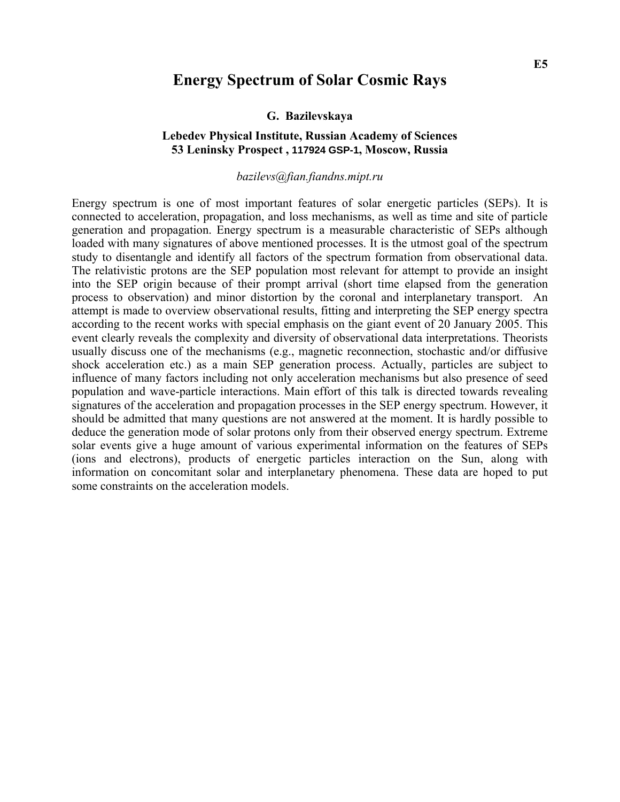## **Energy Spectrum of Solar Cosmic Rays**

#### **G. Bazilevskaya**

### **Lebedev Physical Institute, Russian Academy of Sciences 53 Leninsky Prospect , 117924 GSP-1, Moscow, Russia**

#### *[bazilevs@fian.fiandns.mipt.ru](mailto:bazilevs@fian.fiandns.mipt.ru)*

Energy spectrum is one of most important features of solar energetic particles (SEPs). It is connected to acceleration, propagation, and loss mechanisms, as well as time and site of particle generation and propagation. Energy spectrum is a measurable characteristic of SEPs although loaded with many signatures of above mentioned processes. It is the utmost goal of the spectrum study to disentangle and identify all factors of the spectrum formation from observational data. The relativistic protons are the SEP population most relevant for attempt to provide an insight into the SEP origin because of their prompt arrival (short time elapsed from the generation process to observation) and minor distortion by the coronal and interplanetary transport. An attempt is made to overview observational results, fitting and interpreting the SEP energy spectra according to the recent works with special emphasis on the giant event of 20 January 2005. This event clearly reveals the complexity and diversity of observational data interpretations. Theorists usually discuss one of the mechanisms (e.g., magnetic reconnection, stochastic and/or diffusive shock acceleration etc.) as a main SEP generation process. Actually, particles are subject to influence of many factors including not only acceleration mechanisms but also presence of seed population and wave-particle interactions. Main effort of this talk is directed towards revealing signatures of the acceleration and propagation processes in the SEP energy spectrum. However, it should be admitted that many questions are not answered at the moment. It is hardly possible to deduce the generation mode of solar protons only from their observed energy spectrum. Extreme solar events give a huge amount of various experimental information on the features of SEPs (ions and electrons), products of energetic particles interaction on the Sun, along with information on concomitant solar and interplanetary phenomena. These data are hoped to put some constraints on the acceleration models.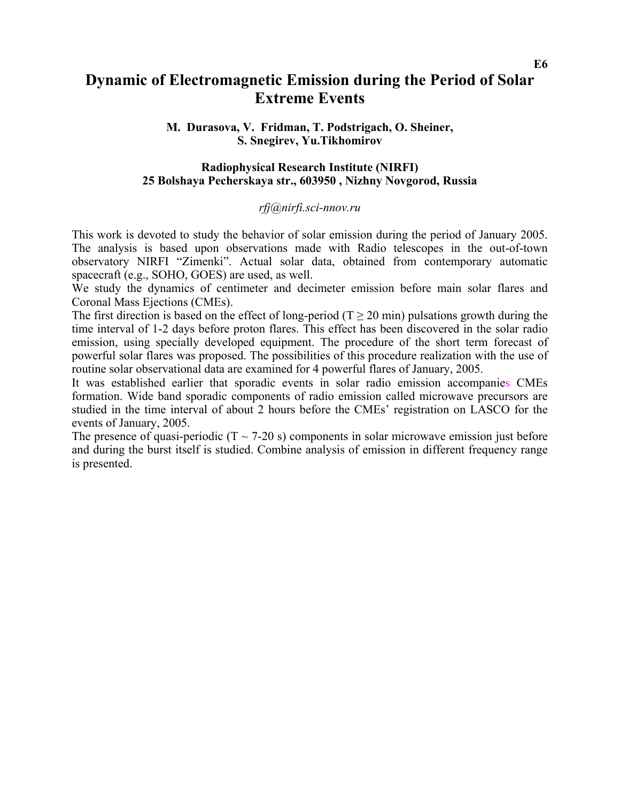## **Dynamic of Electromagnetic Emission during the Period of Solar Extreme Events**

### **M. Durasova, V. Fridman, T. Podstrigach, O. Sheiner, S. Snegirev, Yu.Tikhomirov**

### **Radiophysical Research Institute (NIRFI) 25 Bolshaya Pecherskaya str., 603950 , Nizhny Novgorod, Russia**

### *[rfj@nirfi.sci-nnov.ru](mailto:rfj@nirfi.sci-nnov.ru)*

This work is devoted to study the behavior of solar emission during the period of January 2005. The analysis is based upon observations made with Radio telescopes in the out-of-town observatory NIRFI "Zimenki". Actual solar data, obtained from contemporary automatic spacecraft (e.g., SOHO, GOES) are used, as well.

We study the dynamics of centimeter and decimeter emission before main solar flares and Coronal Mass Ejections (CMEs).

The first direction is based on the effect of long-period ( $T \ge 20$  min) pulsations growth during the time interval of 1-2 days before proton flares. This effect has been discovered in the solar radio emission, using specially developed equipment. The procedure of the short term forecast of powerful solar flares was proposed. The possibilities of this procedure realization with the use of routine solar observational data are examined for 4 powerful flares of January, 2005.

It was established earlier that sporadic events in solar radio emission accompanies CMEs formation. Wide band sporadic components of radio emission called microwave precursors are studied in the time interval of about 2 hours before the CMEs' registration on LASCO for the events of January, 2005.

The presence of quasi-periodic ( $T \sim 7-20$  s) components in solar microwave emission just before and during the burst itself is studied. Combine analysis of emission in different frequency range is presented.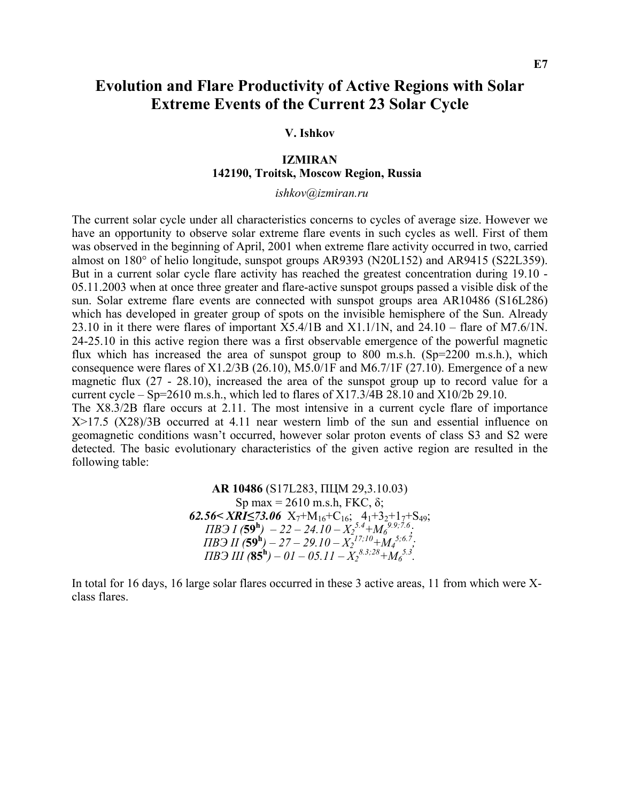## **Evolution and Flare Productivity of Active Regions with Solar Extreme Events of the Current 23 Solar Cycle**

### **V. Ishkov**

### **IZMIRAN 142190, Troitsk, Moscow Region, Russia**

 *ishkov@izmiran.ru* 

The current solar cycle under all characteristics concerns to cycles of average size. However we have an opportunity to observe solar extreme flare events in such cycles as well. First of them was observed in the beginning of April, 2001 when extreme flare activity occurred in two, carried almost on 180° of helio longitude, sunspot groups AR9393 (N20L152) and AR9415 (S22L359). But in a current solar cycle flare activity has reached the greatest concentration during 19.10 - 05.11.2003 when at once three greater and flare-active sunspot groups passed a visible disk of the sun. Solar extreme flare events are connected with sunspot groups area AR10486 (S16L286) which has developed in greater group of spots on the invisible hemisphere of the Sun. Already 23.10 in it there were flares of important X5.4/1B and X1.1/1N, and 24.10 – flare of M7.6/1N. 24-25.10 in this active region there was a first observable emergence of the powerful magnetic flux which has increased the area of sunspot group to 800 m.s.h. (Sp=2200 m.s.h.), which consequence were flares of X1.2/3B (26.10), M5.0/1F and M6.7/1F (27.10). Emergence of a new magnetic flux (27 - 28.10), increased the area of the sunspot group up to record value for a current cycle – Sp=2610 m.s.h., which led to flares of  $X17.3/4B$  28.10 and  $X10/2b$  29.10. The X8.3/2B flare occurs at 2.11. The most intensive in a current cycle flare of importance X>17.5 (X28)/3B occurred at 4.11 near western limb of the sun and essential influence on geomagnetic conditions wasn't occurred, however solar proton events of class S3 and S2 were

> **AR 10486** (S17L283, ПЦМ 29,3.10.03) Sp max = 2610 m.s.h, FKC,  $\delta$ ; **62.56<** *XRI***≤73.06** X<sub>7</sub>+M<sub>16</sub>+C<sub>16</sub>; 4<sub>1</sub>+3<sub>2</sub>+1<sub>7</sub>+S<sub>49</sub>;  $\overline{AB}$ **J** (59<sup>h</sup>) – 22 – 24.10 –  $X_2^{5.4}$ + $M_6^{9.9;7.6}$ ;  $\overline{IIB}$  $\overline{J}$   $\overline{I}$  $\overline{I}$  $\overline{S}$  $\overline{S}$  $\overline{S}$  $\overline{S}$  $\overline{S}$  $\overline{I}$  $\overline{I}$  $\overline{I}$  $\overline{I}$  $\overline{I}$  $\overline{I}$  $\overline{I}$  $\overline{I}$  $\overline{I}$  $\overline{I}$  $\overline{I}$  $\overline{I}$  $\overline{I}$  $\overline{I}$  $\overline{I}$  $\overline{I}$  $\overline{I}$  $\overline{I}$  $\over$  $\overline{I}$ *IB* $\overline{I}$ *III* (**85<sup>h</sup>**)</sup> – 01 – 05.11 –  $X_2^{8.3;28} + M_6^{5.3}$ .

detected. The basic evolutionary characteristics of the given active region are resulted in the

following table:

In total for 16 days, 16 large solar flares occurred in these 3 active areas, 11 from which were Xclass flares.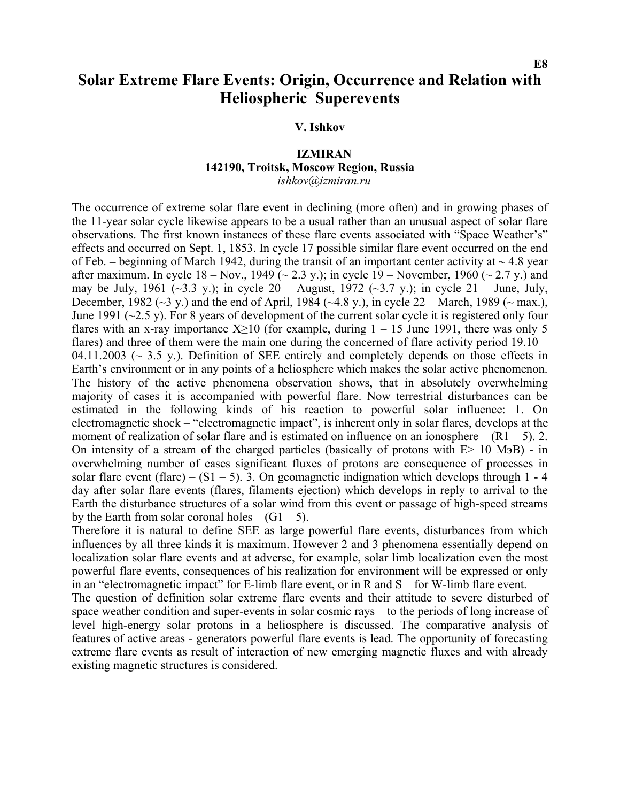## **Solar Extreme Flare Events: Origin, Occurrence and Relation with Heliospheric Superevents**

### **V. Ishkov**

## **IZMIRAN 142190, Troitsk, Moscow Region, Russia**

*ishkov@izmiran.ru* 

The occurrence of extreme solar flare event in declining (more often) and in growing phases of the 11-year solar cycle likewise appears to be a usual rather than an unusual aspect of solar flare observations. The first known instances of these flare events associated with "Space Weather's" effects and occurred on Sept. 1, 1853. In cycle 17 possible similar flare event occurred on the end of Feb. – beginning of March 1942, during the transit of an important center activity at  $\sim$  4.8 year after maximum. In cycle  $18 - Nov.$ , 1949 ( $\sim 2.3$  y.); in cycle  $19 - November$ , 1960 ( $\sim 2.7$  y.) and may be July, 1961 (~3.3 y.); in cycle  $20 -$  August, 1972 (~3.7 y.); in cycle  $21 -$  June, July, December, 1982 ( $\sim$ 3 y.) and the end of April, 1984 ( $\sim$ 4.8 y.), in cycle 22 – March, 1989 ( $\sim$  max.), June 1991 ( $\sim$ 2.5 y). For 8 years of development of the current solar cycle it is registered only four flares with an x-ray importance  $X \ge 10$  (for example, during  $1 - 15$  June 1991, there was only 5 flares) and three of them were the main one during the concerned of flare activity period 19.10 – 04.11.2003 ( $\sim$  3.5 y.). Definition of SEE entirely and completely depends on those effects in Earth's environment or in any points of a heliosphere which makes the solar active phenomenon. The history of the active phenomena observation shows, that in absolutely overwhelming majority of cases it is accompanied with powerful flare. Now terrestrial disturbances can be estimated in the following kinds of his reaction to powerful solar influence: 1. On electromagnetic shock – "electromagnetic impact", is inherent only in solar flares, develops at the moment of realization of solar flare and is estimated on influence on an ionosphere –  $(R1 - 5)$ . 2. On intensity of a stream of the charged particles (basically of protons with Е> 10 МэВ) - in overwhelming number of cases significant fluxes of protons are consequence of processes in solar flare event (flare) –  $(S1 – 5)$ . 3. On geomagnetic indignation which develops through 1 - 4 day after solar flare events (flares, filaments ejection) which develops in reply to arrival to the Earth the disturbance structures of a solar wind from this event or passage of high-speed streams by the Earth from solar coronal holes  $- (G1 - 5)$ .

Therefore it is natural to define SEE as large powerful flare events, disturbances from which influences by all three kinds it is maximum. However 2 and 3 phenomena essentially depend on localization solar flare events and at adverse, for example, solar limb localization even the most powerful flare events, consequences of his realization for environment will be expressed or only in an "electromagnetic impact" for Е-limb flare event, or in R and S – for W-limb flare event.

The question of definition solar extreme flare events and their attitude to severe disturbed of space weather condition and super-events in solar cosmic rays – to the periods of long increase of level high-energy solar protons in a heliosphere is discussed. The comparative analysis of features of active areas - generators powerful flare events is lead. The opportunity of forecasting extreme flare events as result of interaction of new emerging magnetic fluxes and with already existing magnetic structures is considered.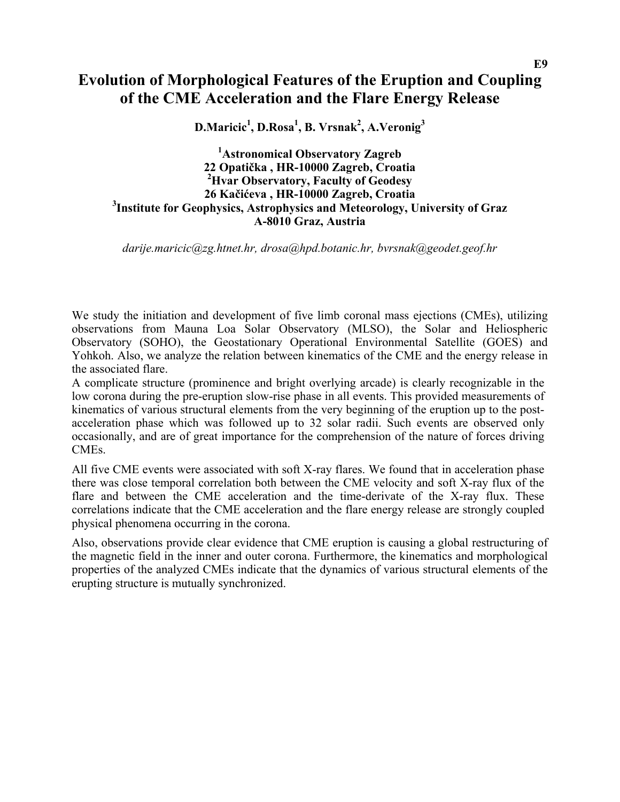## **Evolution of Morphological Features of the Eruption and Coupling of the CME Acceleration and the Flare Energy Release**

**D.Maricic1 , D.Rosa1 , B. Vrsnak<sup>2</sup> , A.Veronig<sup>3</sup>**

**1 Astronomical Observatory Zagreb 22 Opatička , HR-10000 Zagreb, Croatia 2 Hvar Observatory, Faculty of Geodesy 26 Kačićeva , HR-10000 Zagreb, Croatia 3 Institute for Geophysics, Astrophysics and Meteorology, University of Graz A-8010 Graz, Austria** 

*[darije.maricic@zg.htnet.hr,](mailto:darije.maricic@zg.htnet.hr) [drosa@hpd.botanic.hr,](mailto:drosa@hpd.botanic.hr) [bvrsnak@geodet.geof.hr](mailto:bvrsnak@geodet.geof.hr)*

We study the initiation and development of five limb coronal mass ejections (CMEs), utilizing observations from Mauna Loa Solar Observatory (MLSO), the Solar and Heliospheric Observatory (SOHO), the Geostationary Operational Environmental Satellite (GOES) and Yohkoh. Also, we analyze the relation between kinematics of the CME and the energy release in the associated flare.

A complicate structure (prominence and bright overlying arcade) is clearly recognizable in the low corona during the pre-eruption slow-rise phase in all events. This provided measurements of kinematics of various structural elements from the very beginning of the eruption up to the postacceleration phase which was followed up to 32 solar radii. Such events are observed only occasionally, and are of great importance for the comprehension of the nature of forces driving CMEs.

All five CME events were associated with soft X-ray flares. We found that in acceleration phase there was close temporal correlation both between the CME velocity and soft X-ray flux of the flare and between the CME acceleration and the time-derivate of the X-ray flux. These correlations indicate that the CME acceleration and the flare energy release are strongly coupled physical phenomena occurring in the corona.

Also, observations provide clear evidence that CME eruption is causing a global restructuring of the magnetic field in the inner and outer corona. Furthermore, the kinematics and morphological properties of the analyzed CMEs indicate that the dynamics of various structural elements of the erupting structure is mutually synchronized.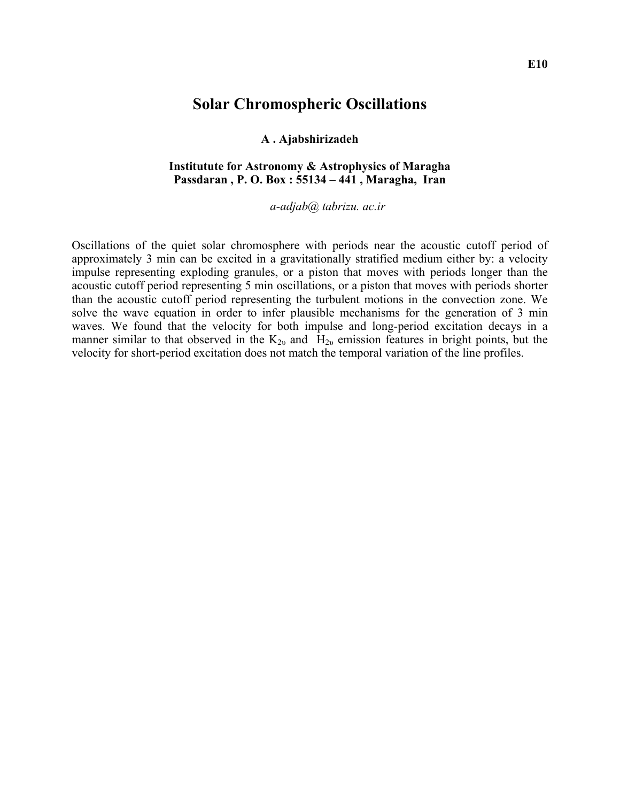## **Solar Chromospheric Oscillations**

### **A . Ajabshirizadeh**

### **Institutute for Astronomy & Astrophysics of Maragha Passdaran , P. O. Box : 55134 – 441 , Maragha, Iran**

*a-adjab@ tabrizu. ac.ir* 

Oscillations of the quiet solar chromosphere with periods near the acoustic cutoff period of approximately 3 min can be excited in a gravitationally stratified medium either by: a velocity impulse representing exploding granules, or a piston that moves with periods longer than the acoustic cutoff period representing 5 min oscillations, or a piston that moves with periods shorter than the acoustic cutoff period representing the turbulent motions in the convection zone. We solve the wave equation in order to infer plausible mechanisms for the generation of 3 min waves. We found that the velocity for both impulse and long-period excitation decays in a manner similar to that observed in the  $K_{2\nu}$  and  $H_{2\nu}$  emission features in bright points, but the velocity for short-period excitation does not match the temporal variation of the line profiles.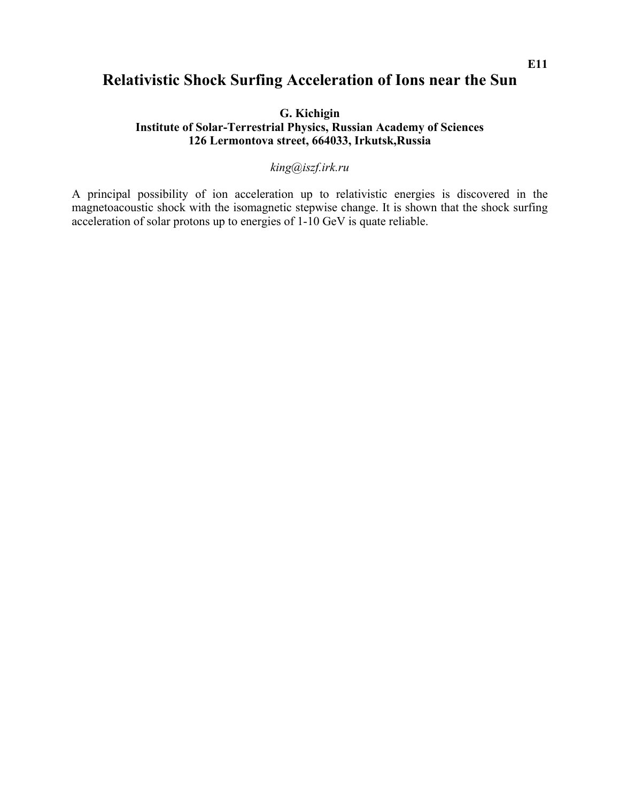## **Relativistic Shock Surfing Acceleration of Ions near the Sun**

**G. Kichigin Institute of Solar-Terrestrial Physics, Russian Academy of Sciences 126 Lermontova street, 664033, Irkutsk,Russia** 

## *[king@iszf.irk.ru](mailto:king@iszf.irk.ru)*

A principal possibility of ion acceleration up to relativistic energies is discovered in the magnetoacoustic shock with the isomagnetic stepwise change. It is shown that the shock surfing acceleration of solar protons up to energies of 1-10 GeV is quate reliable.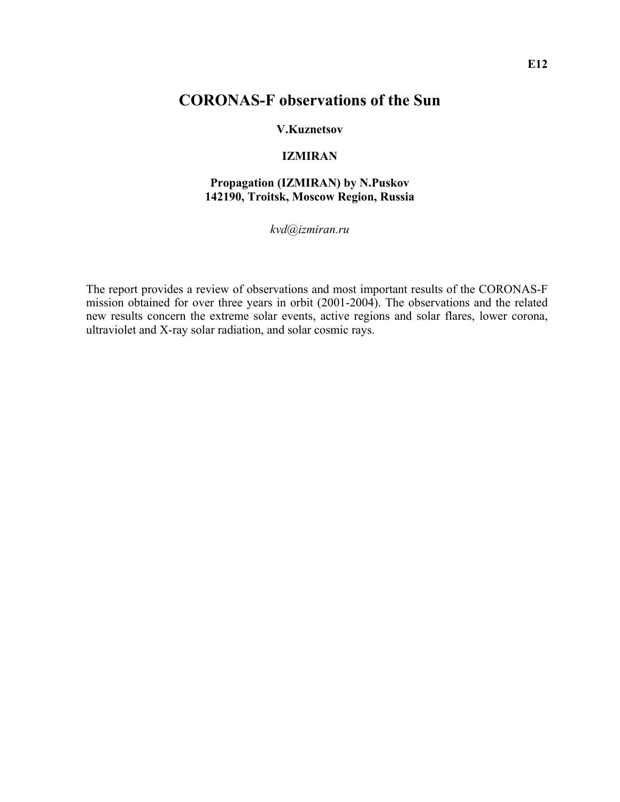## **CORONAS-F observations of the Sun**

### **V.Kuznetsov**

## **IZMIRAN**

## **Propagation (IZMIRAN) by N.Puskov 142190, Troitsk, Moscow Region, Russia**

*kvd@izmiran.ru* 

The report provides a review of observations and most important results of the CORONAS-F mission obtained for over three years in orbit (2001-2004). The observations and the related new results concern the extreme solar events, active regions and solar flares, lower corona, ultraviolet and X-ray solar radiation, and solar cosmic rays.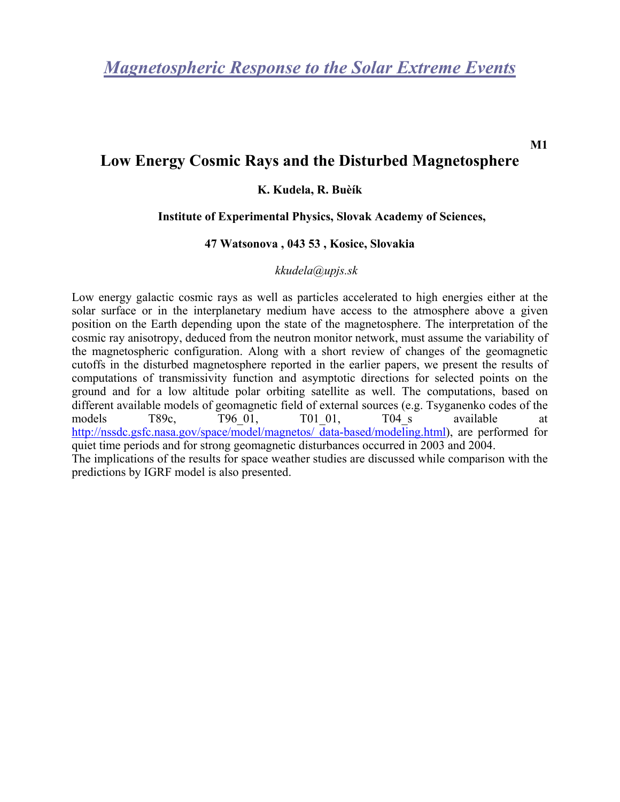## **Low Energy Cosmic Rays and the Disturbed Magnetosphere**

## **K. Kudela, R. Buèík**

### **Institute of Experimental Physics, Slovak Academy of Sciences,**

### **47 Watsonova , 043 53 , Kosice, Slovakia**

### *[kkudela@upjs.sk](mailto:kkudela@upjs.sk)*

Low energy galactic cosmic rays as well as particles accelerated to high energies either at the solar surface or in the interplanetary medium have access to the atmosphere above a given position on the Earth depending upon the state of the magnetosphere. The interpretation of the cosmic ray anisotropy, deduced from the neutron monitor network, must assume the variability of the magnetospheric configuration. Along with a short review of changes of the geomagnetic cutoffs in the disturbed magnetosphere reported in the earlier papers, we present the results of computations of transmissivity function and asymptotic directions for selected points on the ground and for a low altitude polar orbiting satellite as well. The computations, based on different available models of geomagnetic field of external sources (e.g. Tsyganenko codes of the models T89c, T96\_01, T01\_01, T04\_s available at [http://nssdc.gsfc.nasa.gov/space/model/magnetos/ data-based/modeling.html\)](http://nssdc.gsfc.nasa.gov/space/model/magnetos/ data-based/modeling.html), are performed for quiet time periods and for strong geomagnetic disturbances occurred in 2003 and 2004. The implications of the results for space weather studies are discussed while comparison with the predictions by IGRF model is also presented.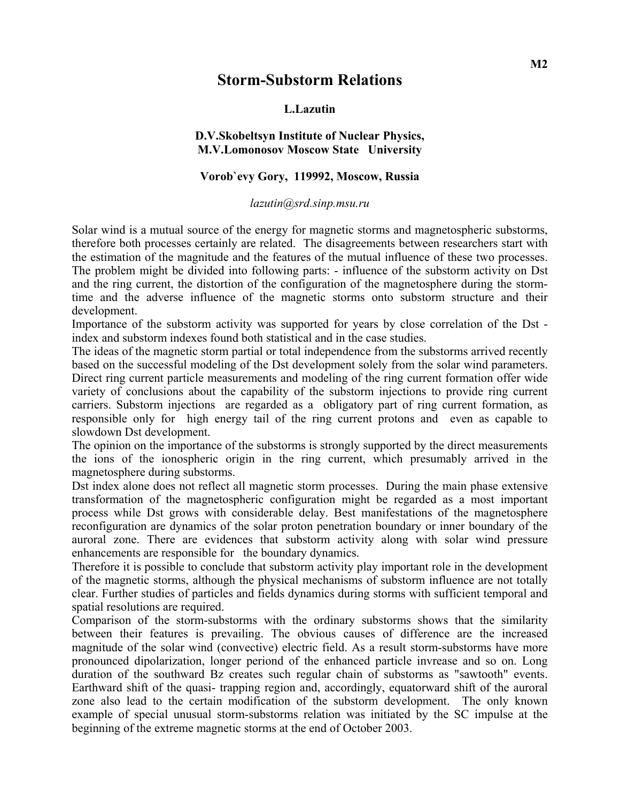## **Storm-Substorm Relations**

## **L.Lazutin**

## **D.V.Skobeltsyn Institute of Nuclear Physics, M.V.Lomonosov Moscow State University**

## **Vorob`evy Gory, 119992, Moscow, Russia**

#### *lazutin@srd.sinp.msu.ru*

Solar wind is a mutual source of the energy for magnetic storms and magnetospheric substorms, therefore both processes certainly are related. The disagreements between researchers start with the estimation of the magnitude and the features of the mutual influence of these two processes. The problem might be divided into following parts: - influence of the substorm activity on Dst and the ring current, the distortion of the configuration of the magnetosphere during the stormtime and the adverse influence of the magnetic storms onto substorm structure and their development.

Importance of the substorm activity was supported for years by close correlation of the Dst index and substorm indexes found both statistical and in the case studies.

The ideas of the magnetic storm partial or total independence from the substorms arrived recently based on the successful modeling of the Dst development solely from the solar wind parameters. Direct ring current particle measurements and modeling of the ring current formation offer wide variety of conclusions about the capability of the substorm injections to provide ring current carriers. Substorm injections are regarded as a obligatory part of ring current formation, as responsible only for high energy tail of the ring current protons and even as capable to slowdown Dst development.

The opinion on the importance of the substorms is strongly supported by the direct measurements the ions of the ionospheric origin in the ring current, which presumably arrived in the magnetosphere during substorms.

Dst index alone does not reflect all magnetic storm processes. During the main phase extensive transformation of the magnetospheric configuration might be regarded as a most important process while Dst grows with considerable delay. Best manifestations of the magnetosphere reconfiguration are dynamics of the solar proton penetration boundary or inner boundary of the auroral zone. There are evidences that substorm activity along with solar wind pressure enhancements are responsible for the boundary dynamics.

Therefore it is possible to conclude that substorm activity play important role in the development of the magnetic storms, although the physical mechanisms of substorm influence are not totally clear. Further studies of particles and fields dynamics during storms with sufficient temporal and spatial resolutions are required.

Comparison of the storm-substorms with the ordinary substorms shows that the similarity between their features is prevailing. The obvious causes of difference are the increased magnitude of the solar wind (convective) electric field. As a result storm-substorms have more pronounced dipolarization, longer periond of the enhanced particle invrease and so on. Long duration of the southward Bz creates such regular chain of substorms as "sawtooth" events. Earthward shift of the quasi- trapping region and, accordingly, equatorward shift of the auroral zone also lead to the certain modification of the substorm development. The only known example of special unusual storm-substorms relation was initiated by the SC impulse at the beginning of the extreme magnetic storms at the end of October 2003.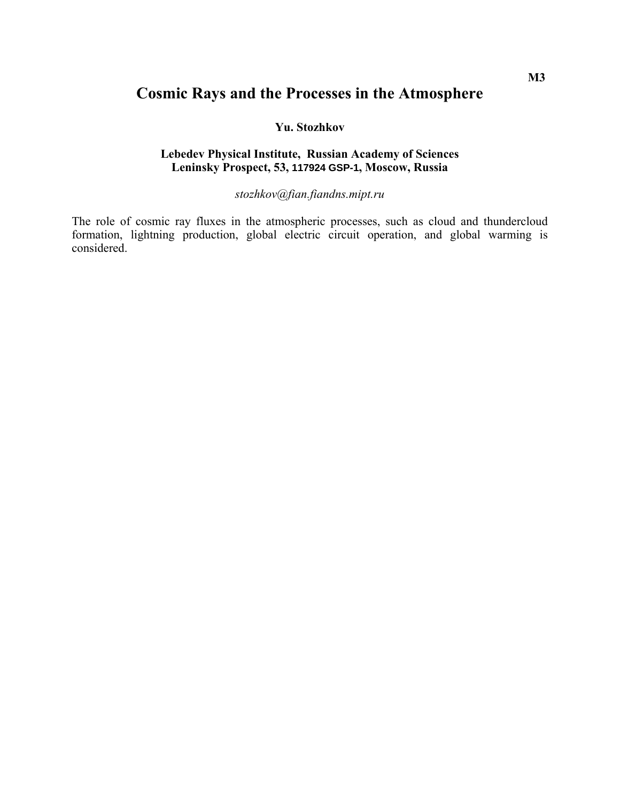## **Cosmic Rays and the Processes in the Atmosphere**

### **Yu. Stozhkov**

## **Lebedev Physical Institute, Russian Academy of Sciences Leninsky Prospect, 53, 117924 GSP-1, Moscow, Russia**

## *[stozhkov@fian.fiandns.mipt.ru](mailto:stozhkov@fian.fiandns.mipt.ru)*

The role of cosmic ray fluxes in the atmospheric processes, such as cloud and thundercloud formation, lightning production, global electric circuit operation, and global warming is considered.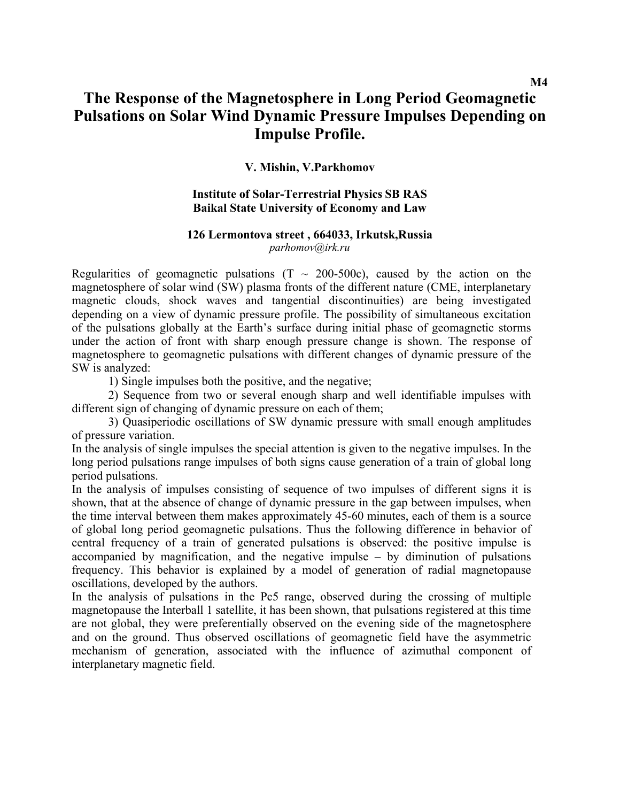## **The Response of the Magnetosphere in Long Period Geomagnetic Pulsations on Solar Wind Dynamic Pressure Impulses Depending on Impulse Profile.**

## **V. Mishin, V.Parkhomov**

### **Institute of Solar-Terrestrial Physics SB RAS Baikal State University of Economy and Law**

#### **126 Lermontova street , 664033, Irkutsk,Russia**

*parhomov@irk.ru*

Regularities of geomagnetic pulsations  $(T \sim 200-500c)$ , caused by the action on the magnetosphere of solar wind (SW) plasma fronts of the different nature (СМЕ, interplanetary magnetic clouds, shock waves and tangential discontinuities) are being investigated depending on a view of dynamic pressure profile. The possibility of simultaneous excitation of the pulsations globally at the Earth's surface during initial phase of geomagnetic storms under the action of front with sharp enough pressure change is shown. The response of magnetosphere to geomagnetic pulsations with different changes of dynamic pressure of the SW is analyzed:

1) Single impulses both the positive, and the negative;

2) Sequence from two or several enough sharp and well identifiable impulses with different sign of changing of dynamic pressure on each of them;

3) Quasiperiodic oscillations of SW dynamic pressure with small enough amplitudes of pressure variation.

In the analysis of single impulses the special attention is given to the negative impulses. In the long period pulsations range impulses of both signs cause generation of a train of global long period pulsations.

In the analysis of impulses consisting of sequence of two impulses of different signs it is shown, that at the absence of change of dynamic pressure in the gap between impulses, when the time interval between them makes approximately 45-60 minutes, each of them is a source of global long period geomagnetic pulsations. Thus the following difference in behavior of central frequency of a train of generated pulsations is observed: the positive impulse is accompanied by magnification, and the negative impulse – by diminution of pulsations frequency. This behavior is explained by a model of generation of radial magnetopause oscillations, developed by the authors.

In the analysis of pulsations in the Pc5 range, observed during the crossing of multiple magnetopause the Interball 1 satellite, it has been shown, that pulsations registered at this time are not global, they were preferentially observed on the evening side of the magnetosphere and on the ground. Thus observed oscillations of geomagnetic field have the asymmetric mechanism of generation, associated with the influence of azimuthal component of interplanetary magnetic field.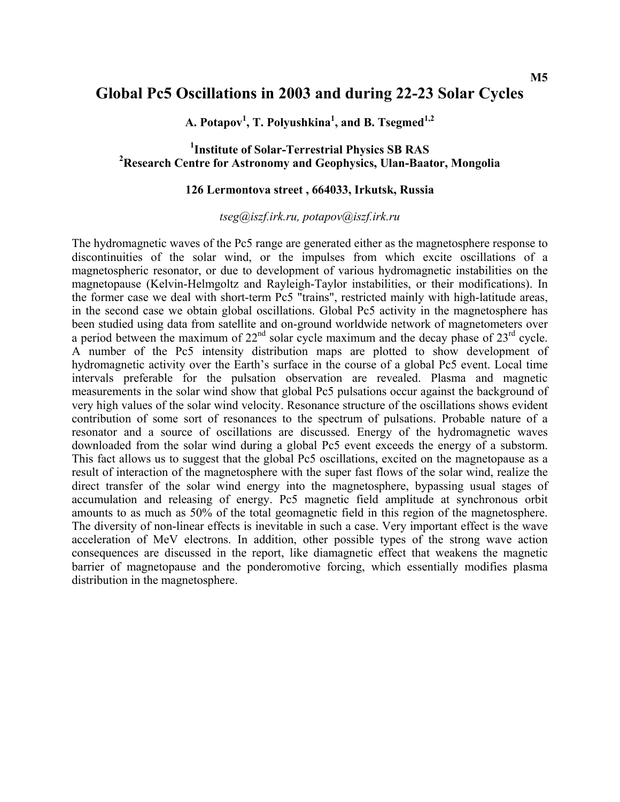## **Global Pc5 Oscillations in 2003 and during 22-23 Solar Cycles**

**A. Potapov1 , T. Polyushkina1 , and B. Tsegmed1,2**

## <sup>1</sup> Institute of Solar-Terrestrial Physics SB RAS<sup>2</sup> Deceaveb Contro for Actronomy and Coophysics J.Han Boat **Research Centre for Astronomy and Geophysics, Ulan-Baator, Mongolia**

### **126 Lermontova street , 664033, Irkutsk, Russia**

*[tseg@iszf.irk.ru](mailto:tseg@iszf.irk.ru), [potapov@iszf.irk.ru](mailto:potapov@iszf.irk.ru)*

The hydromagnetic waves of the Pc5 range are generated either as the magnetosphere response to discontinuities of the solar wind, or the impulses from which excite oscillations of a magnetospheric resonator, or due to development of various hydromagnetic instabilities on the magnetopause (Kelvin-Helmgoltz and Rayleigh-Taylor instabilities, or their modifications). In the former case we deal with short-term Рс5 "trains", restricted mainly with high-latitude areas, in the second case we obtain global oscillations. Global Pc5 activity in the magnetosphere has been studied using data from satellite and on-ground worldwide network of magnetometers over a period between the maximum of  $22<sup>nd</sup>$  solar cycle maximum and the decay phase of  $23<sup>rd</sup>$  cycle. A number of the Pc5 intensity distribution maps are plotted to show development of hydromagnetic activity over the Earth's surface in the course of a global Pc5 event. Local time intervals preferable for the pulsation observation are revealed. Plasma and magnetic measurements in the solar wind show that global Pc5 pulsations occur against the background of very high values of the solar wind velocity. Resonance structure of the oscillations shows evident contribution of some sort of resonances to the spectrum of pulsations. Probable nature of a resonator and a source of oscillations are discussed. Energy of the hydromagnetic waves downloaded from the solar wind during a global Pc5 event exceeds the energy of a substorm. This fact allows us to suggest that the global Pc5 oscillations, excited on the magnetopause as a result of interaction of the magnetosphere with the super fast flows of the solar wind, realize the direct transfer of the solar wind energy into the magnetosphere, bypassing usual stages of accumulation and releasing of energy. Pc5 magnetic field amplitude at synchronous orbit amounts to as much as 50% of the total geomagnetic field in this region of the magnetosphere. The diversity of non-linear effects is inevitable in such a case. Very important effect is the wave acceleration of MeV electrons. In addition, other possible types of the strong wave action consequences are discussed in the report, like diamagnetic effect that weakens the magnetic barrier of magnetopause and the ponderomotive forcing, which essentially modifies plasma distribution in the magnetosphere.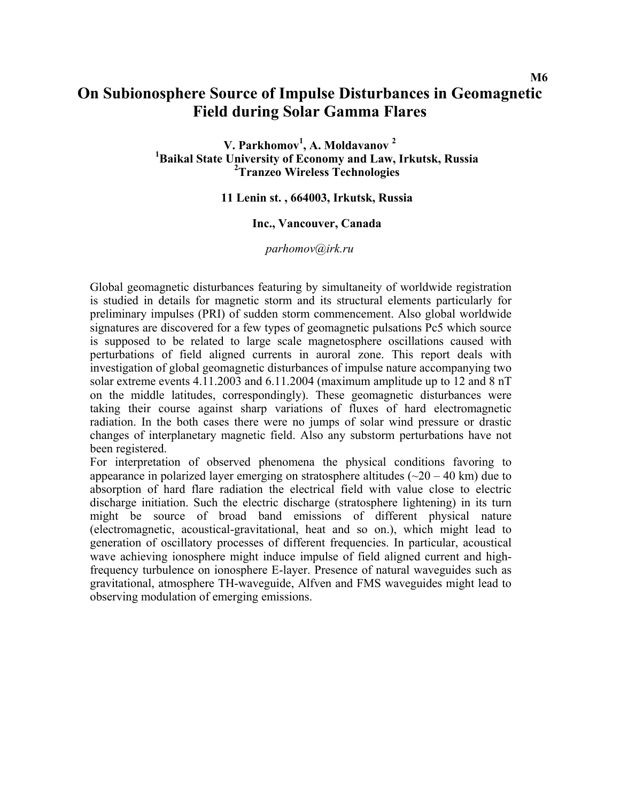## **On Subionosphere Source of Impulse Disturbances in Geomagnetic Field during Solar Gamma Flares**

**V. Parkhomov1 , A. Moldavanov <sup>2</sup>** <sup>1</sup>Baikal State University of Economy and Law, Irkutsk, Russia **Tranzeo Wireless Technologies** 

### **11 Lenin st. , 664003, Irkutsk, Russia**

### **Inc., Vancouver, Canada**

*parhomov@irk.ru* 

Global geomagnetic disturbances featuring by simultaneity of worldwide registration is studied in details for magnetic storm and its structural elements particularly for preliminary impulses (PRI) of sudden storm commencement. Also global worldwide signatures are discovered for a few types of geomagnetic pulsations Pc5 which source is supposed to be related to large scale magnetosphere oscillations caused with perturbations of field aligned currents in auroral zone. This report deals with investigation of global geomagnetic disturbances of impulse nature accompanying two solar extreme events 4.11.2003 and 6.11.2004 (maximum amplitude up to 12 and 8 nT on the middle latitudes, correspondingly). These geomagnetic disturbances were taking their course against sharp variations of fluxes of hard electromagnetic radiation. In the both cases there were no jumps of solar wind pressure or drastic changes of interplanetary magnetic field. Also any substorm perturbations have not been registered.

For interpretation of observed phenomena the physical conditions favoring to appearance in polarized layer emerging on stratosphere altitudes ( $\sim$ 20 – 40 km) due to absorption of hard flare radiation the electrical field with value close to electric discharge initiation. Such the electric discharge (stratosphere lightening) in its turn might be source of broad band emissions of different physical nature (electromagnetic, acoustical-gravitational, heat and so on.), which might lead to generation of oscillatory processes of different frequencies. In particular, acoustical wave achieving ionosphere might induce impulse of field aligned current and highfrequency turbulence on ionosphere E-layer. Presence of natural waveguides such as gravitational, atmosphere TH-waveguide, Alfven and FMS waveguides might lead to observing modulation of emerging emissions.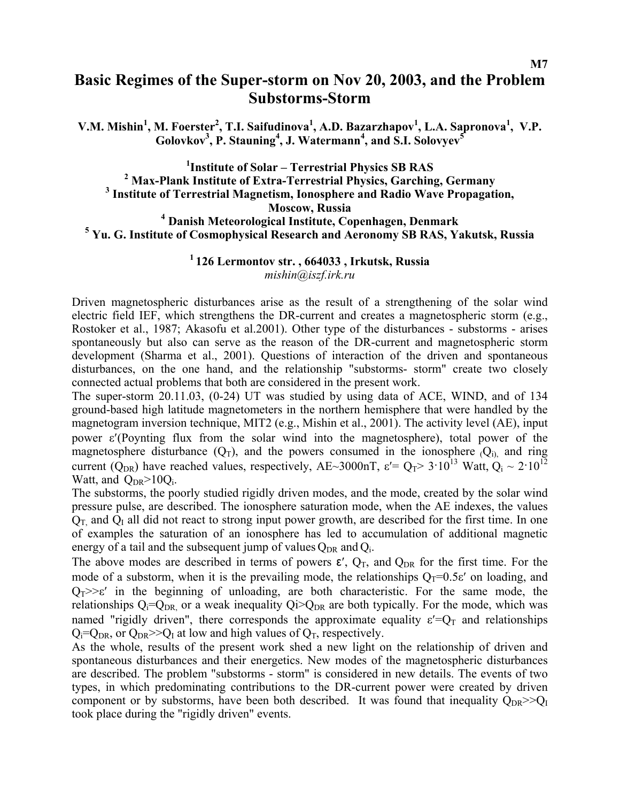## **Basic Regimes of the Super-storm on Nov 20, 2003, and the Problem Substorms-Storm**

**V.M. Mishin<sup>1</sup>, M. Foerster<sup>2</sup>, T.I. Saifudinova<sup>1</sup>, A.D. Bazarzhapov<sup>1</sup>, L.A. Sapronova<sup>1</sup>, V.P. Golovkov3 , P. Stauning<sup>4</sup> , J. Watermann<sup>4</sup> , and S.I. Solovyev<sup>5</sup>**

<sup>1</sup> **Institute of Solar – Terrestrial Physics SB RAS**<br><sup>2</sup>
Mox Plank Institute of Extre Terrestrial Physics Carebine <sup>2</sup> Max-Plank Institute of Extra-Terrestrial Physics, Garching, Germany  **Institute of Terrestrial Magnetism, Ionosphere and Radio Wave Propagation, Moscow, Russia**  <sup>4</sup> Danish Meteorological Institute, Copenhagen, Denmark<br><sup>5</sup> Yu C Institute of Cosmonhysical Bessexue and Asymomy SB BAS, Ye  **Yu. G. Institute of Cosmophysical Research and Aeronomy SB RAS, Yakutsk, Russia** 

> **1 126 Lermontov str. , 664033 , Irkutsk, Russia**  *[mishin@iszf.irk.ru](mailto:mishin@iszf.irk.ru)*

Driven magnetospheric disturbances arise as the result of a strengthening of the solar wind electric field IEF, which strengthens the DR-current and creates a magnetospheric storm (e.g., Rostoker et al., 1987; Akasofu et al.2001). Other type of the disturbances - substorms - arises spontaneously but also can serve as the reason of the DR-current and magnetospheric storm development (Sharma et al., 2001). Questions of interaction of the driven and spontaneous disturbances, on the one hand, and the relationship "substorms- storm" create two closely connected actual problems that both are considered in the present work.

The super-storm 20.11.03, (0-24) UT was studied by using data of ACE, WIND, and of 134 ground-based high latitude magnetometers in the northern hemisphere that were handled by the magnetogram inversion technique, MIT2 (e.g., Mishin et al., 2001). The activity level (АЕ), input power ε′(Poynting flux from the solar wind into the magnetosphere), total power of the magnetosphere disturbance  $(Q_T)$ , and the powers consumed in the ionosphere  $Q_i$ , and ring current (Q<sub>DR</sub>) have reached values, respectively, AE~3000nT,  $\varepsilon' = Q_T > 3.10^{13}$  Watt,  $Q_i \sim 2.10^{12}$ Watt, and  $Q_{DR} > 10Q_i$ .

The substorms, the poorly studied rigidly driven modes, and the mode, created by the solar wind pressure pulse, are described. The ionosphere saturation mode, when the АЕ indexes, the values  $Q_T$  and  $Q_I$  all did not react to strong input power growth, are described for the first time. In one of examples the saturation of an ionosphere has led to accumulation of additional magnetic energy of a tail and the subsequent jump of values  $Q_{DR}$  and  $Q_i$ .

The above modes are described in terms of powers  $\varepsilon'$ ,  $Q_T$ , and  $Q_{DR}$  for the first time. For the mode of a substorm, when it is the prevailing mode, the relationships  $Q_T=0.5\varepsilon'$  on loading, and  $Q_T \gg \epsilon'$  in the beginning of unloading, are both characteristic. For the same mode, the relationships  $Q_i=Q_{DR}$  or a weak inequality  $Q_i>Q_{DR}$  are both typically. For the mode, which was named "rigidly driven", there corresponds the approximate equality  $\varepsilon' = Q_T$  and relationships  $Q_i = Q_{DR}$ , or  $Q_{DR} >> Q_I$  at low and high values of  $Q_T$ , respectively.

As the whole, results of the present work shed a new light on the relationship of driven and spontaneous disturbances and their energetics. New modes of the magnetospheric disturbances are described. The problem "substorms - storm" is considered in new details. The events of two types, in which predominating contributions to the DR-current power were created by driven component or by substorms, have been both described. It was found that inequality  $Q_{DR}>>Q_I$ took place during the "rigidly driven" events.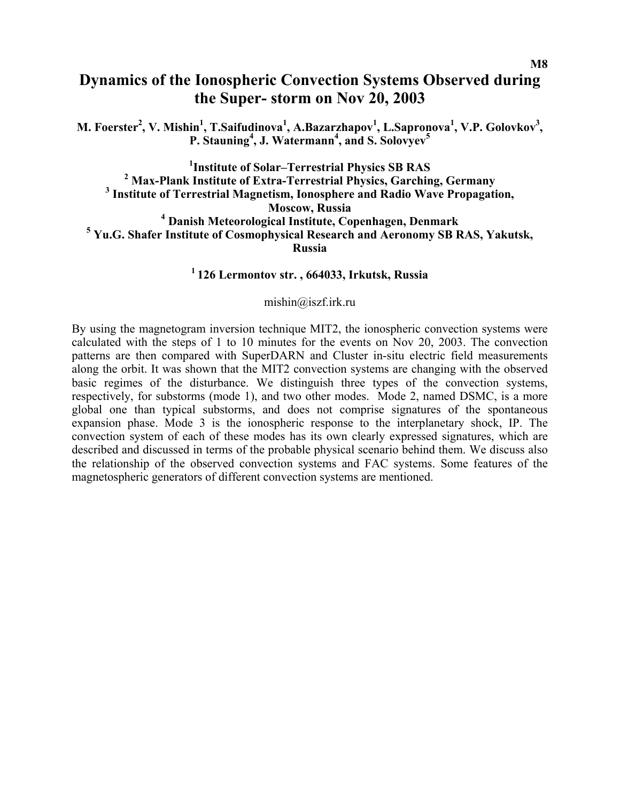## **Dynamics of the Ionospheric Convection Systems Observed during the Super- storm on Nov 20, 2003**

**M. Foerster<sup>2</sup>, V. Mishin<sup>1</sup>, T.Saifudinova<sup>1</sup>, A.Bazarzhapov<sup>1</sup>, L.Sapronova<sup>1</sup>, V.P. Golovkov<sup>3</sup>, P. Stauning<sup>4</sup> , J. Watermann<sup>4</sup> , and S. Solovyev<sup>5</sup>**

<sup>1</sup> **Institute of Solar–Terrestrial Physics SB RAS**<sup>2</sup>
Mox Plank Institute of Extre Terrestrial Physics Carebin <sup>2</sup> Max-Plank Institute of Extra-Terrestrial Physics, Garching, Germany  **Institute of Terrestrial Magnetism, Ionosphere and Radio Wave Propagation, Moscow, Russia**  <sup>4</sup> Danish Meteorological Institute, Copenhagen, Denmark<br><sup>5</sup> Yu G. Shafor Institute of Cosmonhysical Besearch and Aeronemy SB E  **Yu.G. Shafer Institute of Cosmophysical Research and Aeronomy SB RAS, Yakutsk, Russia** 

## **1 126 Lermontov str. , 664033, Irkutsk, Russia**

[mishin@iszf.irk.ru](mailto:mishin@iszf.irk.ru)

By using the magnetogram inversion technique MIT2, the ionospheric convection systems were calculated with the steps of 1 to 10 minutes for the events on Nov 20, 2003. The convection patterns are then compared with SuperDARN and Cluster in-situ electric field measurements along the orbit. It was shown that the MIT2 convection systems are changing with the observed basic regimes of the disturbance. We distinguish three types of the convection systems, respectively, for substorms (mode 1), and two other modes. Mode 2, named DSMC, is a more global one than typical substorms, and does not comprise signatures of the spontaneous expansion phase. Mode 3 is the ionospheric response to the interplanetary shock, IP. The convection system of each of these modes has its own clearly expressed signatures, which are described and discussed in terms of the probable physical scenario behind them. We discuss also the relationship of the observed convection systems and FAC systems. Some features of the magnetospheric generators of different convection systems are mentioned.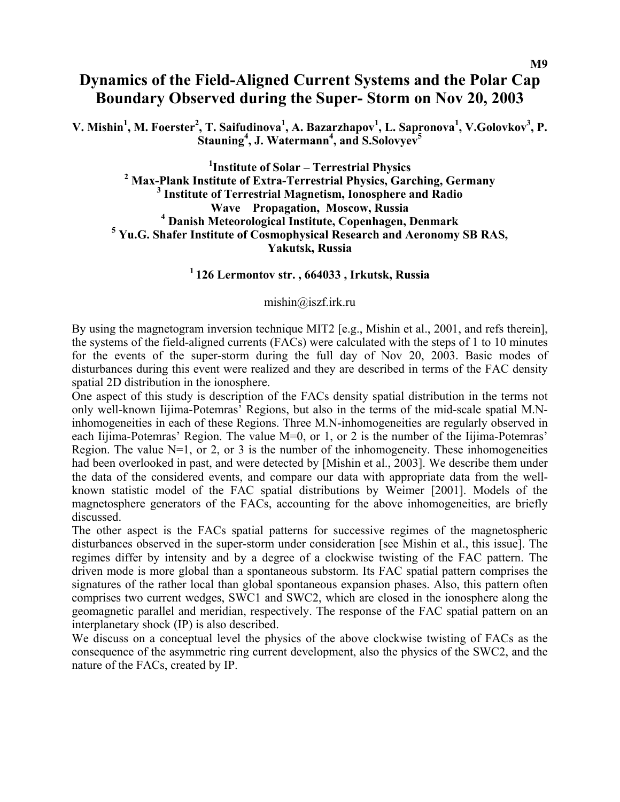## **Dynamics of the Field-Aligned Current Systems and the Polar Cap Boundary Observed during the Super- Storm on Nov 20, 2003**

**V. Mishin<sup>1</sup>, M. Foerster<sup>2</sup>, T. Saifudinova<sup>1</sup>, A. Bazarzhapov<sup>1</sup>, L. Sapronova<sup>1</sup>, V.Golovkov<sup>3</sup>, P. Stauning<sup>4</sup> , J. Watermann4 , and S.Solovyev<sup>5</sup>**

<sup>1</sup>Institute of Solar – Terrestrial Physics <sup>1</sup>Institute of Solar – Terrestrial Physics<br><sup>2</sup> May Plank Institute of Extre Terrestrial Physics Cove **Max-Plank Institute of Extra-Terrestrial Physics, Garching, Germany 3**<br>3<sup>3</sup> Institute of Tennestrial Magnetism, Jonesnberg and Pedie  **Institute of Terrestrial Magnetism, Ionosphere and Radio Wave Propagation, Moscow, Russia 4 Danish Meteorological Institute, Copenhagen, Denmark 5 Yu.G. Shafer Institute of Cosmophysical Research and Aeronomy SB RAS, Yakutsk, Russia** 

**1 126 Lermontov str. , 664033 , Irkutsk, Russia** 

[mishin@iszf.irk.ru](mailto:mishin@iszf.irk.ru)

By using the magnetogram inversion technique MIT2 [e.g., Mishin et al., 2001, and refs therein], the systems of the field-aligned currents (FACs) were calculated with the steps of 1 to 10 minutes for the events of the super-storm during the full day of Nov 20, 2003. Basic modes of disturbances during this event were realized and they are described in terms of the FAC density spatial 2D distribution in the ionosphere.

One aspect of this study is description of the FACs density spatial distribution in the terms not only well-known Iijima-Potemras' Regions, but also in the terms of the mid-scale spatial M.Ninhomogeneities in each of these Regions. Three M.N-inhomogeneities are regularly observed in each Iijima-Potemras' Region. The value M=0, or 1, or 2 is the number of the Iijima-Potemras' Region. The value  $N=1$ , or 2, or 3 is the number of the inhomogeneity. These inhomogeneities had been overlooked in past, and were detected by [Mishin et al., 2003]. We describe them under the data of the considered events, and compare our data with appropriate data from the wellknown statistic model of the FAC spatial distributions by Weimer [2001]. Models of the magnetosphere generators of the FACs, accounting for the above inhomogeneities, are briefly discussed.

The other aspect is the FACs spatial patterns for successive regimes of the magnetospheric disturbances observed in the super-storm under consideration [see Mishin et al., this issue]. The regimes differ by intensity and by a degree of a clockwise twisting of the FAC pattern. The driven mode is more global than a spontaneous substorm. Its FAC spatial pattern comprises the signatures of the rather local than global spontaneous expansion phases. Also, this pattern often comprises two current wedges, SWC1 and SWC2, which are closed in the ionosphere along the geomagnetic parallel and meridian, respectively. The response of the FAC spatial pattern on an interplanetary shock (IP) is also described.

We discuss on a conceptual level the physics of the above clockwise twisting of FACs as the consequence of the asymmetric ring current development, also the physics of the SWC2, and the nature of the FACs, created by IP.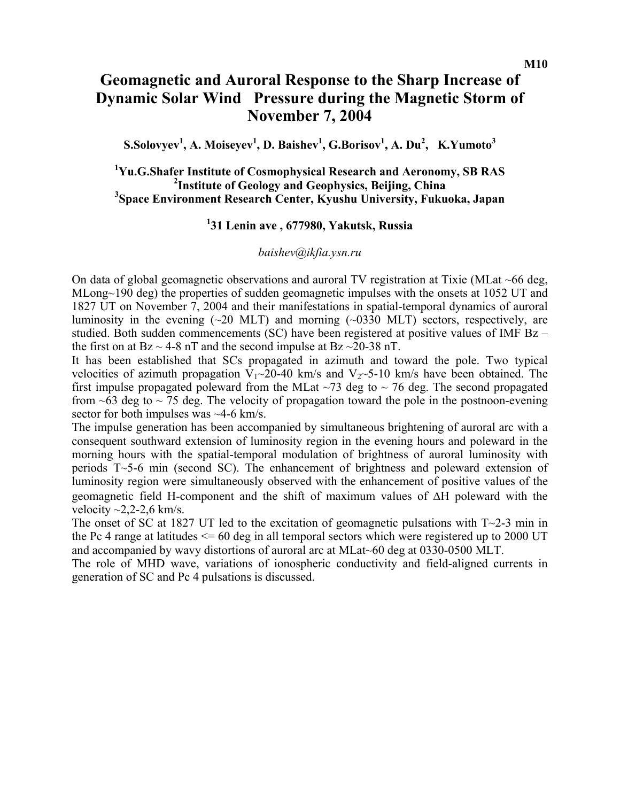## **Geomagnetic and Auroral Response to the Sharp Increase of Dynamic Solar Wind Pressure during the Magnetic Storm of November 7, 2004**

 ${\bf S.Solovyev}^1,$   ${\bf A. Moiseyev}^1,$   ${\bf D. Baisher}^1,$   ${\bf G. Borisov}^1,$   ${\bf A. Du}^2,$   ${\bf K. Yumoto}^3$ 

## <sup>1</sup>Yu.G.Shafer Institute of Cosmophysical Research and Aeronomy, SB RAS <sup>2</sup>Institute of Geology and Geophysics, Beijing, China **Space Environment Research Center, Kyushu University, Fukuoka, Japan**

## **1 31 Lenin ave , 677980, Yakutsk, Russia**

### *baishev@ikfia.ysn.ru*

On data of global geomagnetic observations and auroral TV registration at Tixie (MLat ~66 deg, MLong~190 deg) the properties of sudden geomagnetic impulses with the onsets at 1052 UT and 1827 UT on November 7, 2004 and their manifestations in spatial-temporal dynamics of auroral luminosity in the evening  $(\sim 20 \text{ MLT})$  and morning  $(\sim 0330 \text{ MLT})$  sectors, respectively, are studied. Both sudden commencements (SC) have been registered at positive values of IMF Bz – the first on at  $Bz \sim 4-8$  nT and the second impulse at  $Bz \sim 20-38$  nT.

It has been established that SCs propagated in azimuth and toward the pole. Two typical velocities of azimuth propagation  $V_1 \sim 20-40$  km/s and  $V_2 \sim 5-10$  km/s have been obtained. The first impulse propagated poleward from the MLat  $\sim$ 73 deg to  $\sim$  76 deg. The second propagated from  $\sim$  63 deg to  $\sim$  75 deg. The velocity of propagation toward the pole in the postnoon-evening sector for both impulses was ~4-6 km/s.

The impulse generation has been accompanied by simultaneous brightening of auroral arc with a consequent southward extension of luminosity region in the evening hours and poleward in the morning hours with the spatial-temporal modulation of brightness of auroral luminosity with periods T~5-6 min (second SC). The enhancement of brightness and poleward extension of luminosity region were simultaneously observed with the enhancement of positive values of the geomagnetic field H-component and the shift of maximum values of ∆H poleward with the velocity  $\sim$ 2,2-2,6 km/s.

The onset of SC at 1827 UT led to the excitation of geomagnetic pulsations with  $T \sim 2-3$  min in the Pc 4 range at latitudes  $\leq 60$  deg in all temporal sectors which were registered up to 2000 UT and accompanied by wavy distortions of auroral arc at MLat~60 deg at 0330-0500 MLT.

The role of MHD wave, variations of ionospheric conductivity and field-aligned currents in generation of SC and Pc 4 pulsations is discussed.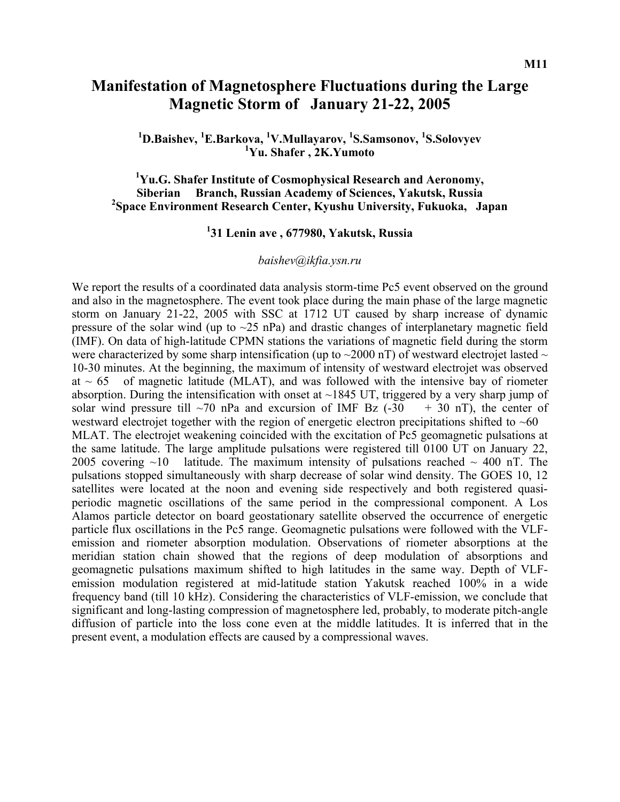## **Manifestation of Magnetosphere Fluctuations during the Large Magnetic Storm of January 21-22, 2005**

<sup>1</sup>**D.Baishev, <sup>1</sup>E.Barkova, <sup>1</sup>V.Mullayarov, <sup>1</sup>S.Samsonov, <sup>1</sup>S.Solovyev Yu. Shafer , 2K.Yumoto** 

**1 Yu.G. Shafer Institute of Cosmophysical Research and Aeronomy, Siberian Branch, Russian Academy of Sciences, Yakutsk, Russia 2 Space Environment Research Center, Kyushu University, Fukuoka, Japan** 

## **1 31 Lenin ave , 677980, Yakutsk, Russia**

#### *baishev@ikfia.ysn.ru*

We report the results of a coordinated data analysis storm-time Pc5 event observed on the ground and also in the magnetosphere. The event took place during the main phase of the large magnetic storm on January 21-22, 2005 with SSC at 1712 UT caused by sharp increase of dynamic pressure of the solar wind (up to  $\sim$ 25 nPa) and drastic changes of interplanetary magnetic field (IMF). On data of high-latitude CPMN stations the variations of magnetic field during the storm were characterized by some sharp intensification (up to  $\sim$ 2000 nT) of westward electrojet lasted  $\sim$ 10-30 minutes. At the beginning, the maximum of intensity of westward electrojet was observed at  $\sim$  65 of magnetic latitude (MLAT), and was followed with the intensive bay of riometer absorption. During the intensification with onset at  $\sim$ 1845 UT, triggered by a very sharp jump of solar wind pressure till  $\sim$ 70 nPa and excursion of IMF Bz (-30  $+$  30 nT), the center of westward electrojet together with the region of energetic electron precipitations shifted to  $~60$ MLAT. The electrojet weakening coincided with the excitation of Pc5 geomagnetic pulsations at the same latitude. The large amplitude pulsations were registered till 0100 UT on January 22, 2005 covering  $\sim$ 10 latitude. The maximum intensity of pulsations reached  $\sim$  400 nT. The pulsations stopped simultaneously with sharp decrease of solar wind density. The GOES 10, 12 satellites were located at the noon and evening side respectively and both registered quasiperiodic magnetic oscillations of the same period in the compressional component. A Los Alamos particle detector on board geostationary satellite observed the occurrence of energetic particle flux oscillations in the Pc5 range. Geomagnetic pulsations were followed with the VLFemission and riometer absorption modulation. Observations of riometer absorptions at the meridian station chain showed that the regions of deep modulation of absorptions and geomagnetic pulsations maximum shifted to high latitudes in the same way. Depth of VLFemission modulation registered at mid-latitude station Yakutsk reached 100% in a wide frequency band (till 10 kHz). Considering the characteristics of VLF-emission, we conclude that significant and long-lasting compression of magnetosphere led, probably, to moderate pitch-angle diffusion of particle into the loss cone even at the middle latitudes. It is inferred that in the present event, a modulation effects are caused by a compressional waves.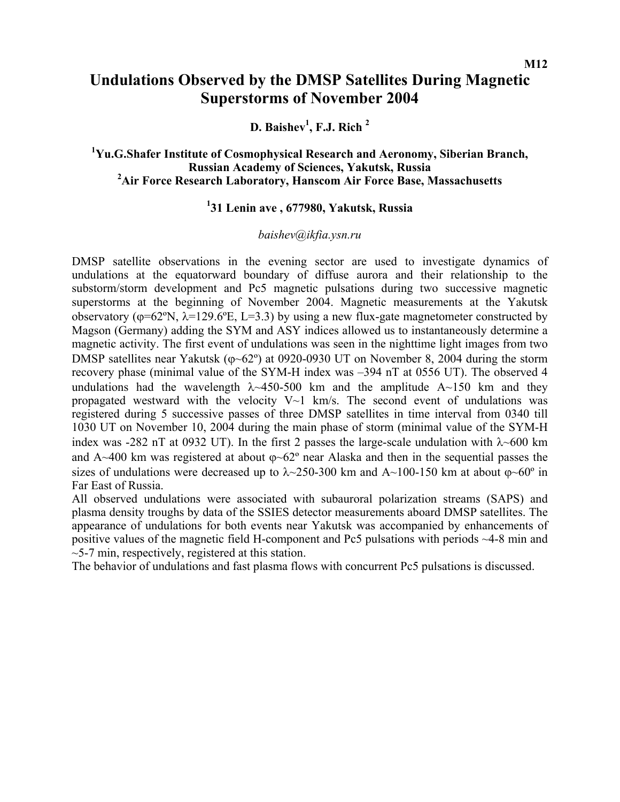### **M12**

## **Undulations Observed by the DMSP Satellites During Magnetic Superstorms of November 2004**

D. Baishev<sup>1</sup>, F.J. Rich<sup>2</sup>

## **1 Yu.G.Shafer Institute of Cosmophysical Research and Aeronomy, Siberian Branch, Russian Academy of Sciences, Yakutsk, Russia 2 Air Force Research Laboratory, Hanscom Air Force Base, Massachusetts**

## **1 31 Lenin ave , 677980, Yakutsk, Russia**

## *baishev@ikfia.ysn.ru*

DMSP satellite observations in the evening sector are used to investigate dynamics of undulations at the equatorward boundary of diffuse aurora and their relationship to the substorm/storm development and Pc5 magnetic pulsations during two successive magnetic superstorms at the beginning of November 2004. Magnetic measurements at the Yakutsk observatory ( $\varphi$ =62°N,  $\lambda$ =129.6°E, L=3.3) by using a new flux-gate magnetometer constructed by Magson (Germany) adding the SYM and ASY indices allowed us to instantaneously determine a magnetic activity. The first event of undulations was seen in the nighttime light images from two DMSP satellites near Yakutsk ( $\varphi$ ~62°) at 0920-0930 UT on November 8, 2004 during the storm recovery phase (minimal value of the SYM-H index was –394 nT at 0556 UT). The observed 4 undulations had the wavelength  $\lambda$  450-500 km and the amplitude A  $\sim$  150 km and they propagated westward with the velocity  $V \sim 1$  km/s. The second event of undulations was registered during 5 successive passes of three DMSP satellites in time interval from 0340 till 1030 UT on November 10, 2004 during the main phase of storm (minimal value of the SYM-H index was -282 nT at 0932 UT). In the first 2 passes the large-scale undulation with  $\lambda$  -600 km and A~400 km was registered at about  $\varphi$ ~62° near Alaska and then in the sequential passes the sizes of undulations were decreased up to  $\lambda$ ~250-300 km and A~100-150 km at about  $\varphi$ ~60<sup>o</sup> in Far East of Russia.

All observed undulations were associated with subauroral polarization streams (SAPS) and plasma density troughs by data of the SSIES detector measurements aboard DMSP satellites. The appearance of undulations for both events near Yakutsk was accompanied by enhancements of positive values of the magnetic field H-component and Pc5 pulsations with periods ~4-8 min and  $\sim$ 5-7 min, respectively, registered at this station.

The behavior of undulations and fast plasma flows with concurrent Pc5 pulsations is discussed.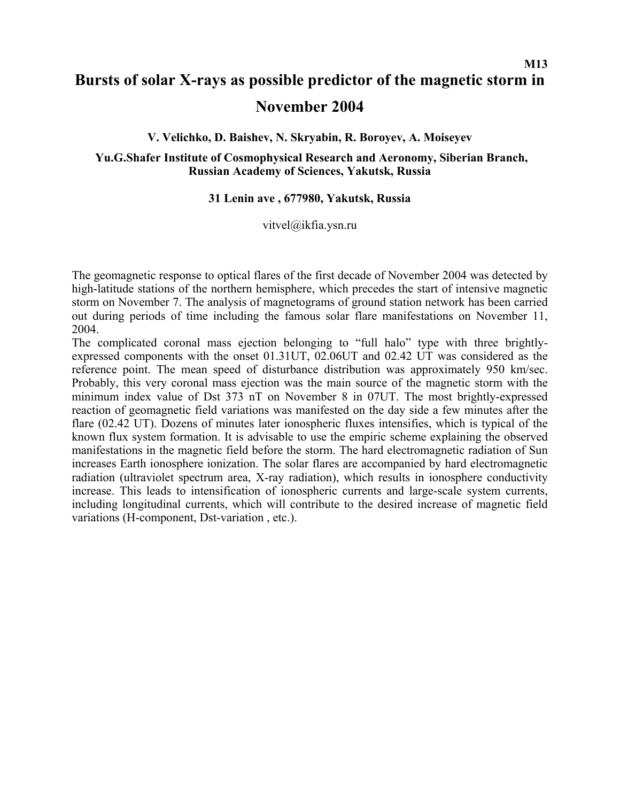# **Bursts of solar X-rays as possible predictor of the magnetic storm in November 2004**

**V. Velichko, D. Baishev, N. Skryabin, R. Boroyev, A. Moiseyev** 

**Yu.G.Shafer Institute of Cosmophysical Research and Aeronomy, Siberian Branch, Russian Academy of Sciences, Yakutsk, Russia** 

### **31 Lenin ave , 677980, Yakutsk, Russia**

### vitvel@ikfia.ysn.ru

The geomagnetic response to optical flares of the first decade of November 2004 was detected by high-latitude stations of the northern hemisphere, which precedes the start of intensive magnetic storm on November 7. The analysis of magnetograms of ground station network has been carried out during periods of time including the famous solar flare manifestations on November 11, 2004.

The complicated coronal mass ejection belonging to "full halo" type with three brightlyexpressed components with the onset 01.31UT, 02.06UT and 02.42 UT was considered as the reference point. The mean speed of disturbance distribution was approximately 950 km/sec. Probably, this very coronal mass ejection was the main source of the magnetic storm with the minimum index value of Dst 373 nT on November 8 in 07UT. The most brightly-expressed reaction of geomagnetic field variations was manifested on the day side a few minutes after the flare (02.42 UT). Dozens of minutes later ionospheric fluxes intensifies, which is typical of the known flux system formation. It is advisable to use the empiric scheme explaining the observed manifestations in the magnetic field before the storm. The hard electromagnetic radiation of Sun increases Earth ionosphere ionization. The solar flares are accompanied by hard electromagnetic radiation (ultraviolet spectrum area, X-ray radiation), which results in ionosphere conductivity increase. This leads to intensification of ionospheric currents and large-scale system currents, including longitudinal currents, which will contribute to the desired increase of magnetic field variations (H-component, Dst-variation , etc.).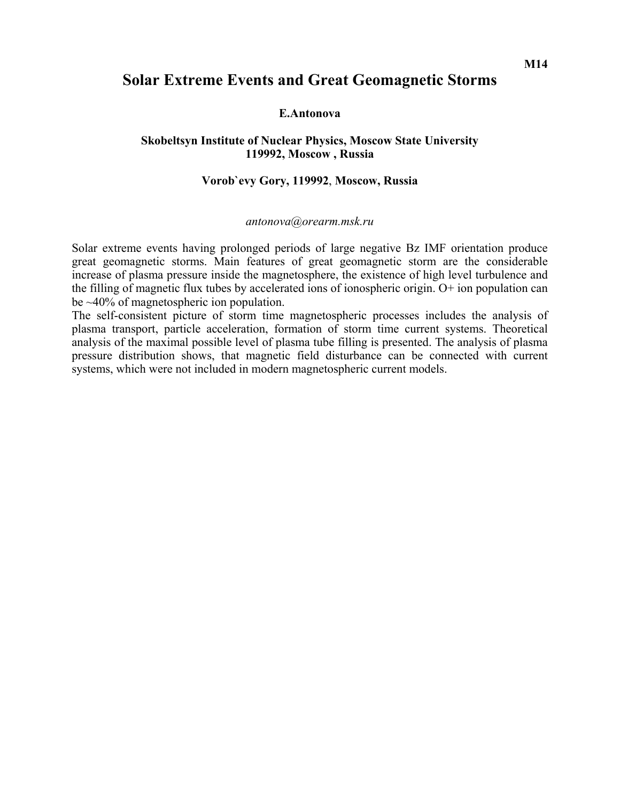## **Solar Extreme Events and Great Geomagnetic Storms**

### **E.Antonova**

## **Skobeltsyn Institute of Nuclear Physics, Moscow State University 119992, Moscow , Russia**

## **Vorob`evy Gory, 119992**, **Moscow, Russia**

#### *[antonova@orearm.msk.ru](http://crdlx1.yerphi.am/MAIL/src/compose.php?send_to=antonova@orearm.msk.ru)*

Solar extreme events having prolonged periods of large negative Bz IMF orientation produce great geomagnetic storms. Main features of great geomagnetic storm are the considerable increase of plasma pressure inside the magnetosphere, the existence of high level turbulence and the filling of magnetic flux tubes by accelerated ions of ionospheric origin. O+ ion population can be ~40% of magnetospheric ion population.

The self-consistent picture of storm time magnetospheric processes includes the analysis of plasma transport, particle acceleration, formation of storm time current systems. Theoretical analysis of the maximal possible level of plasma tube filling is presented. The analysis of plasma pressure distribution shows, that magnetic field disturbance can be connected with current systems, which were not included in modern magnetospheric current models.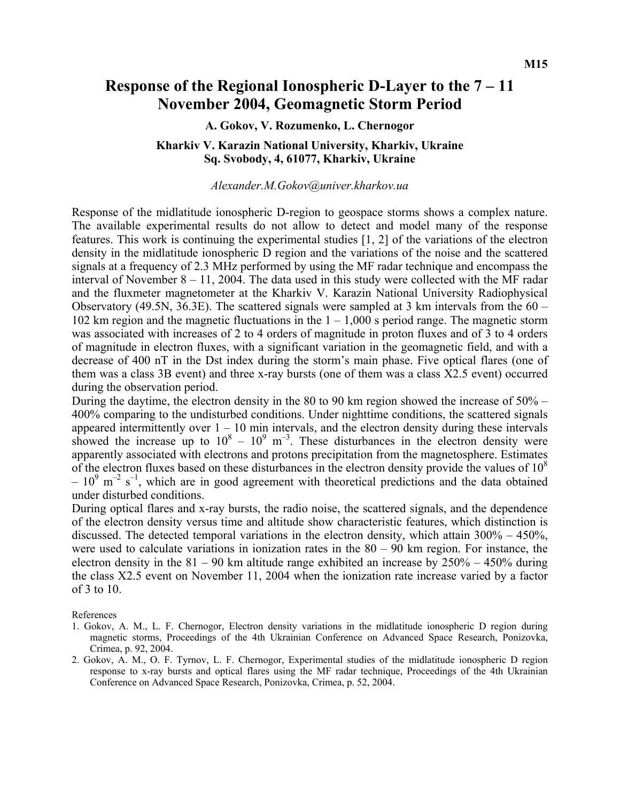## **Response of the Regional Ionospheric D-Layer to the 7 – 11 November 2004, Geomagnetic Storm Period**

#### **A. Gokov, V. Rozumenko, L. Chernogor**

### **Kharkiv V. Karazin National University, Kharkiv, Ukraine Sq. Svobody, 4, 61077, Kharkiv, Ukraine**

#### *Alexander.M.Gokov@univer.kharkov.ua*

Response of the midlatitude ionospheric D-region to geospace storms shows a complex nature. The available experimental results do not allow to detect and model many of the response features. This work is continuing the experimental studies [1, 2] of the variations of the electron density in the midlatitude ionospheric D region and the variations of the noise and the scattered signals at a frequency of 2.3 MHz performed by using the MF radar technique and encompass the interval of November  $8 - 11$ , 2004. The data used in this study were collected with the MF radar and the fluxmeter magnetometer at the Kharkiv V. Karazin National University Radiophysical Observatory (49.5N, 36.3E). The scattered signals were sampled at 3 km intervals from the  $60 -$ 102 km region and the magnetic fluctuations in the  $1 - 1,000$  s period range. The magnetic storm was associated with increases of 2 to 4 orders of magnitude in proton fluxes and of 3 to 4 orders of magnitude in electron fluxes, with a significant variation in the geomagnetic field, and with a decrease of 400 nT in the Dst index during the storm's main phase. Five optical flares (one of them was a class 3B event) and three x-ray bursts (one of them was a class X2.5 event) occurred during the observation period.

During the daytime, the electron density in the 80 to 90 km region showed the increase of 50% – 400% comparing to the undisturbed conditions. Under nighttime conditions, the scattered signals appeared intermittently over  $1 - 10$  min intervals, and the electron density during these intervals showed the increase up to  $10^8 - 10^9$  m<sup>-3</sup>. These disturbances in the electron density were apparently associated with electrons and protons precipitation from the magnetosphere. Estimates of the electron fluxes based on these disturbances in the electron density provide the values of  $10<sup>8</sup>$  $-10^{9}$  m<sup>-2</sup> s<sup>-1</sup>, which are in good agreement with theoretical predictions and the data obtained under disturbed conditions.

During optical flares and x-ray bursts, the radio noise, the scattered signals, and the dependence of the electron density versus time and altitude show characteristic features, which distinction is discussed. The detected temporal variations in the electron density, which attain  $300\% - 450\%$ , were used to calculate variations in ionization rates in the  $80 - 90$  km region. For instance, the electron density in the  $81 - 90$  km altitude range exhibited an increase by  $250\% - 450\%$  during the class X2.5 event on November 11, 2004 when the ionization rate increase varied by a factor of 3 to 10.

References

- 1. Gokov, A. M., L. F. Chernogor, Electron density variations in the midlatitude ionospheric D region during magnetic storms, Proceedings of the 4th Ukrainian Conference on Advanced Space Research, Ponizovka, Crimea, p. 92, 2004.
- 2. Gokov, A. M., O. F. Tyrnov, L. F. Chernogor, Experimental studies of the midlatitude ionospheric D region response to x-ray bursts and optical flares using the MF radar technique, Proceedings of the 4th Ukrainian Conference on Advanced Space Research, Ponizovka, Crimea, p. 52, 2004.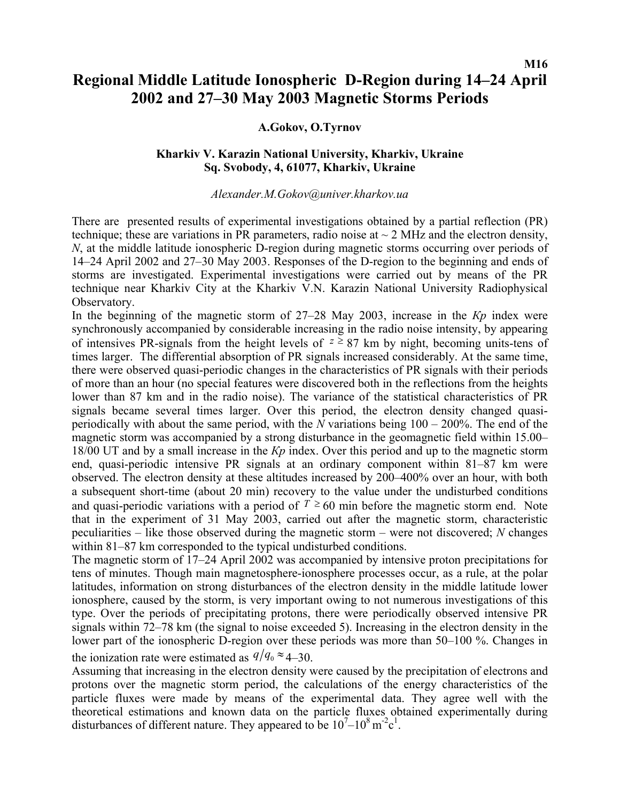## **M16 Regional Middle Latitude Ionospheric D-Region during 14–24 April 2002 and 27–30 May 2003 Magnetic Storms Periods**

## **A.Gokov, O.Tyrnov**

## **Kharkiv V. Karazin National University, Kharkiv, Ukraine Sq. Svobody, 4, 61077, Kharkiv, Ukraine**

#### *Alexander.M.Gokov@univer.kharkov.ua*

There are presented results of experimental investigations obtained by a partial reflection (PR) technique; these are variations in PR parameters, radio noise at  $\sim$  2 MHz and the electron density, *N*, at the middle latitude ionospheric D-region during magnetic storms occurring over periods of 14–24 April 2002 and 27–30 May 2003. Responses of the D-region to the beginning and ends of storms are investigated. Experimental investigations were carried out by means of the PR technique near Kharkiv City at the Kharkiv V.N. Karazin National University Radiophysical Observatory.

In the beginning of the magnetic storm of 27–28 May 2003, increase in the *Kp* index were synchronously accompanied by considerable increasing in the radio noise intensity, by appearing of intensives PR-signals from the height levels of  $z \ge 87$  km by night, becoming units-tens of times larger. The differential absorption of PR signals increased considerably. At the same time, there were observed quasi-periodic changes in the characteristics of PR signals with their periods of more than an hour (no special features were discovered both in the reflections from the heights lower than 87 km and in the radio noise). The variance of the statistical characteristics of PR signals became several times larger. Over this period, the electron density changed quasiperiodically with about the same period, with the *N* variations being 100 – 200%. The end of the magnetic storm was accompanied by a strong disturbance in the geomagnetic field within 15.00– 18/00 UT and by a small increase in the *Кр* index. Over this period and up to the magnetic storm end, quasi-periodic intensive PR signals at an ordinary component within 81–87 km were observed. The electron density at these altitudes increased by 200–400% over an hour, with both a subsequent short-time (about 20 min) recovery to the value under the undisturbed conditions and quasi-periodic variations with a period of  $T \ge 60$  min before the magnetic storm end. Note that in the experiment of 31 May 2003, carried out after the magnetic storm, characteristic peculiarities – like those observed during the magnetic storm – were not discovered; *N* changes within 81–87 km corresponded to the typical undisturbed conditions.

The magnetic storm of 17–24 April 2002 was accompanied by intensive proton precipitations for tens of minutes. Though main magnetosphere-ionosphere processes occur, as a rule, at the polar latitudes, information on strong disturbances of the electron density in the middle latitude lower ionosphere, caused by the storm, is very important owing to not numerous investigations of this type. Over the periods of precipitating protons, there were periodically observed intensive PR signals within 72–78 km (the signal to noise exceeded 5). Increasing in the electron density in the lower part of the ionospheric D-region over these periods was more than 50–100 %. Changes in

the ionization rate were estimated as  $q/q_0 \approx 4-30$ .

Assuming that increasing in the electron density were caused by the precipitation of electrons and protons over the magnetic storm period, the calculations of the energy characteristics of the particle fluxes were made by means of the experimental data. They agree well with the theoretical estimations and known data on the particle fluxes obtained experimentally during disturbances of different nature. They appeared to be  $10^7 - 10^8$  m<sup>-2</sup>c<sup>1</sup>.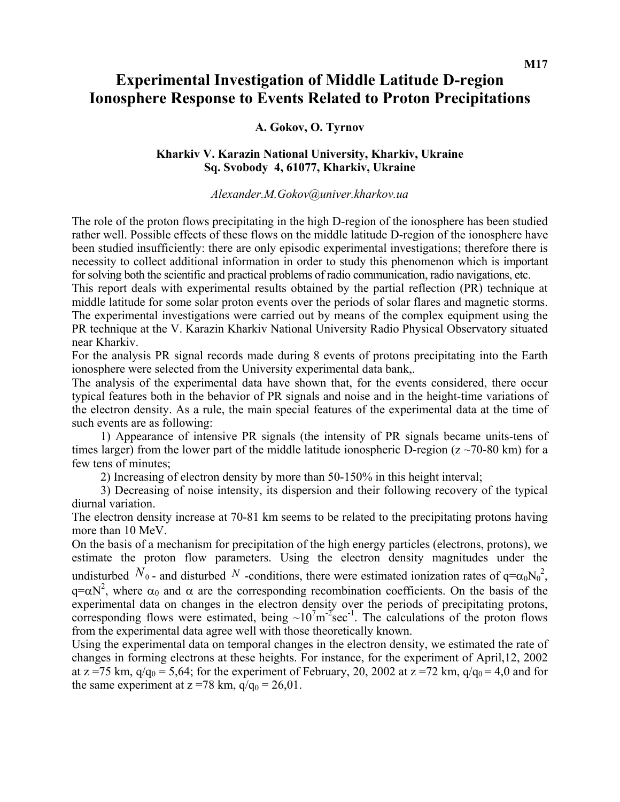## **Experimental Investigation of Middle Latitude D-region Ionosphere Response to Events Related to Proton Precipitations**

## **A. Gokov, O. Tyrnov**

## **Kharkiv V. Karazin National University, Kharkiv, Ukraine Sq. Svobody 4, 61077, Kharkiv, Ukraine**

### *Alexander.M.Gokov@univer.kharkov.ua*

The role of the proton flows precipitating in the high D-region of the ionosphere has been studied rather well. Possible effects of these flows on the middle latitude D-region of the ionosphere have been studied insufficiently: there are only episodic experimental investigations; therefore there is necessity to collect additional information in order to study this phenomenon which is important for solving both the scientific and practical problems of radio communication, radio navigations, etc.

This report deals with experimental results obtained by the partial reflection (PR) technique at middle latitude for some solar proton events over the periods of solar flares and magnetic storms. The experimental investigations were carried out by means of the complex equipment using the PR technique at the V. Karazin Kharkiv National University Radio Physical Observatory situated near Kharkiv.

For the analysis PR signal records made during 8 events of protons precipitating into the Earth ionosphere were selected from the University experimental data bank,.

The analysis of the experimental data have shown that, for the events considered, there occur typical features both in the behavior of PR signals and noise and in the height-time variations of the electron density. As a rule, the main special features of the experimental data at the time of such events are as following:

1) Appearance of intensive PR signals (the intensity of PR signals became units-tens of times larger) from the lower part of the middle latitude ionospheric D-region ( $z \sim 70{\text -}80 \text{ km}$ ) for a few tens of minutes;

2) Increasing of electron density by more than 50-150% in this height interval;

3) Decreasing of noise intensity, its dispersion and their following recovery of the typical diurnal variation.

The electron density increase at 70-81 km seems to be related to the precipitating protons having more than 10 MeV.

On the basis of a mechanism for precipitation of the high energy particles (electrons, protons), we estimate the proton flow parameters. Using the electron density magnitudes under the undisturbed  $N_0$  - and disturbed N -conditions, there were estimated ionization rates of  $q = \alpha_0 N_0^2$ ,  $q = \alpha N^2$ , where  $\alpha_0$  and  $\alpha$  are the corresponding recombination coefficients. On the basis of the experimental data on changes in the electron density over the periods of precipitating protons, corresponding flows were estimated, being  $\sim 10^7 \text{m}^{-2} \text{sec}^{-1}$ . The calculations of the proton flows from the experimental data agree well with those theoretically known.

Using the experimental data on temporal changes in the electron density, we estimated the rate of changes in forming electrons at these heights. For instance, for the experiment of April,12, 2002 at  $z = 75$  km,  $q/q_0 = 5.64$ ; for the experiment of February, 20, 2002 at  $z = 72$  km,  $q/q_0 = 4.0$  and for the same experiment at  $z = 78$  km,  $q/q_0 = 26.01$ .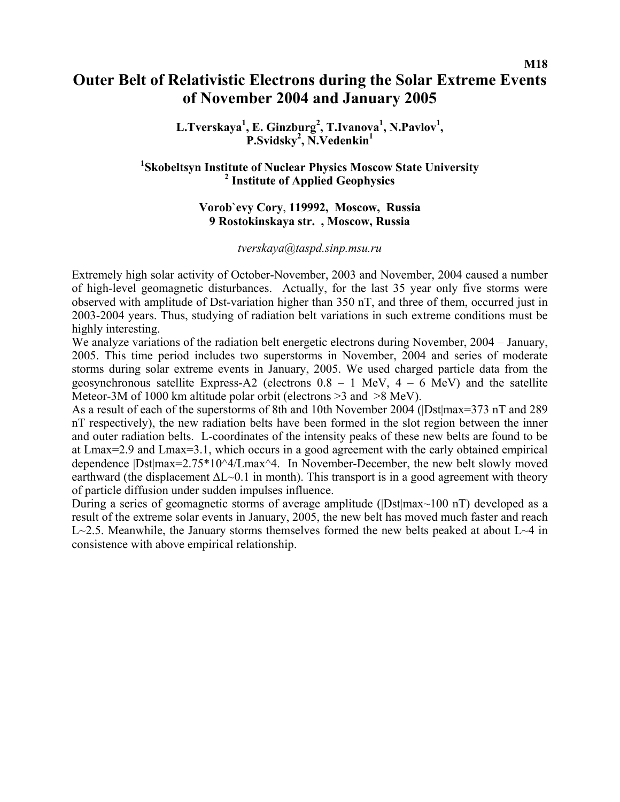## **Outer Belt of Relativistic Electrons during the Solar Extreme Events of November 2004 and January 2005**

**M18** 

L.Tverskaya<sup>1</sup>, E. Ginzburg<sup>2</sup>, T.Ivanova<sup>1</sup>, N.Pavlov<sup>1</sup>, **P.Svidsky2 , N.Vedenkin1** 

## <sup>1</sup>Skobeltsyn Institute of Nuclear Physics Moscow State University  **Institute of Applied Geophysics**

## **Vorob`evy Cory**, **119992, Moscow, Russia 9 Rostokinskaya str. , Moscow, Russia**

#### *[tverskaya@taspd.sinp.msu.ru](mailto:tverskaya@taspd.sinp.msu.ru)*

Extremely high solar activity of October-November, 2003 and November, 2004 caused a number of high-level geomagnetic disturbances. Actually, for the last 35 year only five storms were observed with amplitude of Dst-variation higher than 350 nT, and three of them, occurred just in 2003-2004 years. Thus, studying of radiation belt variations in such extreme conditions must be highly interesting.

We analyze variations of the radiation belt energetic electrons during November, 2004 – January, 2005. This time period includes two superstorms in November, 2004 and series of moderate storms during solar extreme events in January, 2005. We used charged particle data from the geosynchronous satellite Express-A2 (electrons  $0.8 - 1$  MeV,  $4 - 6$  MeV) and the satellite Meteor-3M of 1000 km altitude polar orbit (electrons >3 and >8 MeV).

As a result of each of the superstorms of 8th and 10th November 2004 (|Dst|max=373 nT and 289 nT respectively), the new radiation belts have been formed in the slot region between the inner and outer radiation belts. L-coordinates of the intensity peaks of these new belts are found to be at Lmax=2.9 and Lmax=3.1, which occurs in a good agreement with the early obtained empirical dependence  $|Dst|max=2.75*10^4/Lmax^4$ . In November-December, the new belt slowly moved earthward (the displacement ∆L~0.1 in month). This transport is in a good agreement with theory of particle diffusion under sudden impulses influence.

During a series of geomagnetic storms of average amplitude (|Dst|max~100 nT) developed as a result of the extreme solar events in January, 2005, the new belt has moved much faster and reach L~2.5. Meanwhile, the January storms themselves formed the new belts peaked at about L~4 in consistence with above empirical relationship.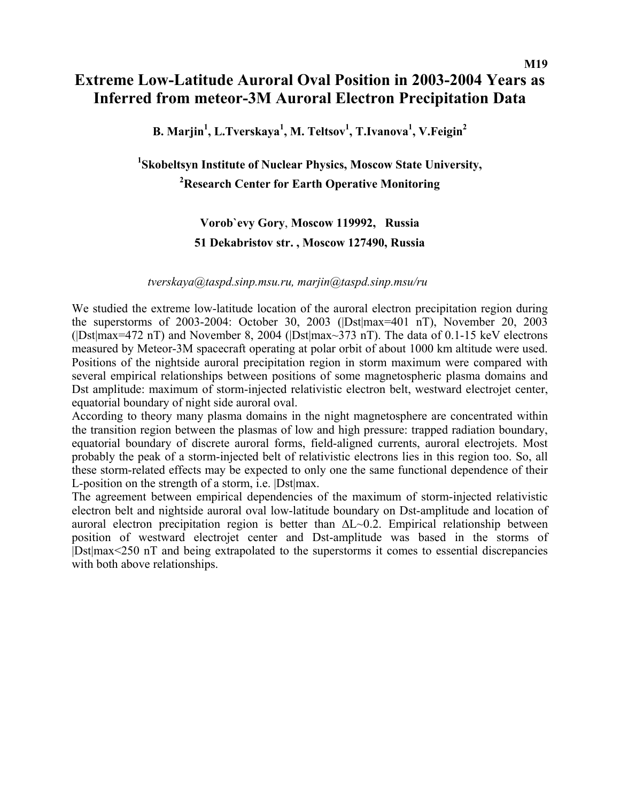## **Extreme Low-Latitude Auroral Oval Position in 2003-2004 Years as Inferred from meteor-3M Auroral Electron Precipitation Data**

**B. Marjin1 , L.Tverskaya<sup>1</sup> , M. Teltsov1 , T.Ivanova1 , V.Feigin2** 

## **1 Skobeltsyn Institute of Nuclear Physics, Moscow State University, 2 Research Center for Earth Operative Monitoring**

## **Vorob`evy Gory**, **Moscow 119992, Russia 51 Dekabristov str. , Moscow 127490, Russia**

### *[tverskaya@taspd.sinp.msu.ru,](mailto:tverskaya@taspd.sinp.msu.ru) [marjin@taspd.sinp.msu](mailto:marjin@taspd.sinp.msu)/ru*

We studied the extreme low-latitude location of the auroral electron precipitation region during the superstorms of 2003-2004: October 30, 2003 (|Dst|max=401 nT), November 20, 2003 ( $|Dst|$ max=472 nT) and November 8, 2004 ( $|Dst|$ max $\sim$ 373 nT). The data of 0.1-15 keV electrons measured by Meteor-3M spacecraft operating at polar orbit of about 1000 km altitude were used. Positions of the nightside auroral precipitation region in storm maximum were compared with several empirical relationships between positions of some magnetospheric plasma domains and Dst amplitude: maximum of storm-injected relativistic electron belt, westward electrojet center, equatorial boundary of night side auroral oval.

According to theory many plasma domains in the night magnetosphere are concentrated within the transition region between the plasmas of low and high pressure: trapped radiation boundary, equatorial boundary of discrete auroral forms, field-aligned currents, auroral electrojets. Most probably the peak of a storm-injected belt of relativistic electrons lies in this region too. So, all these storm-related effects may be expected to only one the same functional dependence of their L-position on the strength of a storm, i.e. |Dst|max.

The agreement between empirical dependencies of the maximum of storm-injected relativistic electron belt and nightside auroral oval low-latitude boundary on Dst-amplitude and location of auroral electron precipitation region is better than ∆L~0.2. Empirical relationship between position of westward electrojet center and Dst-amplitude was based in the storms of |Dst|max<250 nT and being extrapolated to the superstorms it comes to essential discrepancies with both above relationships.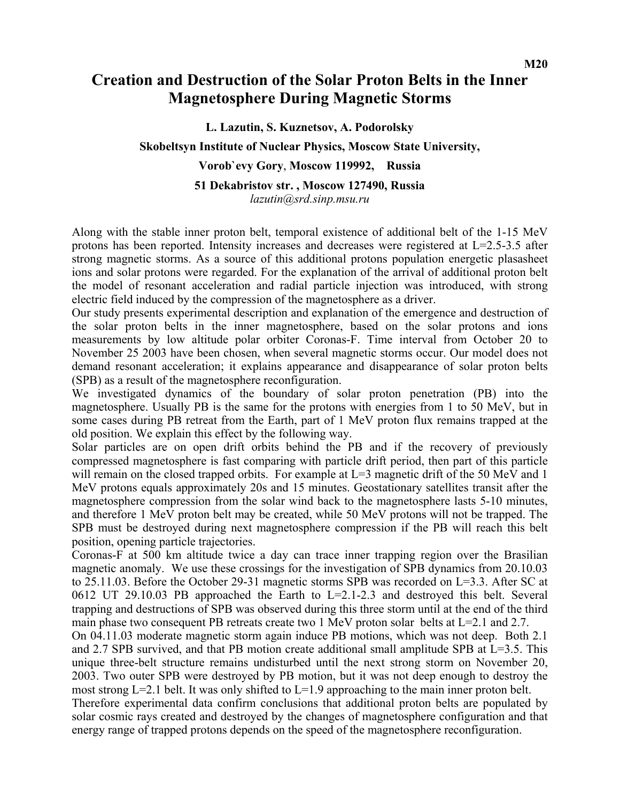## **Creation and Destruction of the Solar Proton Belts in the Inner Magnetosphere During Magnetic Storms**

**L. Lazutin, S. Kuznetsov, A. Podorolsky** 

## **Skobeltsyn Institute of Nuclear Physics, Moscow State University,**

## **Vorob`evy Gory**, **Moscow 119992, Russia**

#### **51 Dekabristov str. , Moscow 127490, Russia**  *lazutin@srd.sinp.msu.ru*

Along with the stable inner proton belt, temporal existence of additional belt of the 1-15 MeV protons has been reported. Intensity increases and decreases were registered at L=2.5-3.5 after strong magnetic storms. As a source of this additional protons population energetic plasasheet ions and solar protons were regarded. For the explanation of the arrival of additional proton belt the model of resonant acceleration and radial particle injection was introduced, with strong electric field induced by the compression of the magnetosphere as a driver.

Our study presents experimental description and explanation of the emergence and destruction of the solar proton belts in the inner magnetosphere, based on the solar protons and ions measurements by low altitude polar orbiter Coronas-F. Time interval from October 20 to November 25 2003 have been chosen, when several magnetic storms occur. Our model does not demand resonant acceleration; it explains appearance and disappearance of solar proton belts (SPB) as a result of the magnetosphere reconfiguration.

We investigated dynamics of the boundary of solar proton penetration (PB) into the magnetosphere. Usually PB is the same for the protons with energies from 1 to 50 MeV, but in some cases during PB retreat from the Earth, part of 1 MeV proton flux remains trapped at the old position. We explain this effect by the following way.

Solar particles are on open drift orbits behind the PB and if the recovery of previously compressed magnetosphere is fast comparing with particle drift period, then part of this particle will remain on the closed trapped orbits. For example at  $L=3$  magnetic drift of the 50 MeV and 1 MeV protons equals approximately 20s and 15 minutes. Geostationary satellites transit after the magnetosphere compression from the solar wind back to the magnetosphere lasts 5-10 minutes, and therefore 1 MeV proton belt may be created, while 50 MeV protons will not be trapped. The SPB must be destroyed during next magnetosphere compression if the PB will reach this belt position, opening particle trajectories.

Coronas-F at 500 km altitude twice a day can trace inner trapping region over the Brasilian magnetic anomaly. We use these crossings for the investigation of SPB dynamics from 20.10.03 to 25.11.03. Before the October 29-31 magnetic storms SPB was recorded on L=3.3. After SC at 0612 UT 29.10.03 PB approached the Earth to  $L=2.1-2.3$  and destroyed this belt. Several trapping and destructions of SPB was observed during this three storm until at the end of the third main phase two consequent PB retreats create two 1 MeV proton solar belts at L=2.1 and 2.7.

On 04.11.03 moderate magnetic storm again induce PB motions, which was not deep. Both 2.1 and 2.7 SPB survived, and that PB motion create additional small amplitude SPB at L=3.5. This unique three-belt structure remains undisturbed until the next strong storm on November 20, 2003. Two outer SPB were destroyed by PB motion, but it was not deep enough to destroy the most strong  $L=2.1$  belt. It was only shifted to  $L=1.9$  approaching to the main inner proton belt. Therefore experimental data confirm conclusions that additional proton belts are populated by solar cosmic rays created and destroyed by the changes of magnetosphere configuration and that energy range of trapped protons depends on the speed of the magnetosphere reconfiguration.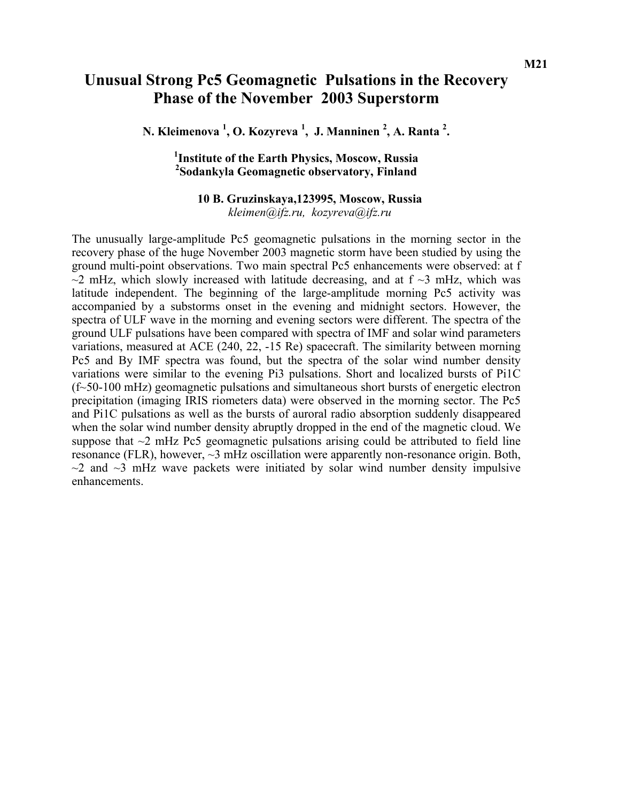## **Unusual Strong Pc5 Geomagnetic Pulsations in the Recovery Phase of the November 2003 Superstorm**

**N. Kleimenova 1 , O. Kozyreva <sup>1</sup> , J. Manninen <sup>2</sup> , A. Ranta 2 .** 

## **1 Institute of the Earth Physics, Moscow, Russia 2 Sodankyla Geomagnetic observatory, Finland**

## **10 B. Gruzinskaya,123995, Moscow, Russia** *[kleimen@ifz.ru,](mailto:kleimen@ifz.ru) [kozyreva@ifz.ru](mailto:kozyreva@ifz.ru)*

The unusually large-amplitude Pc5 geomagnetic pulsations in the morning sector in the recovery phase of the huge November 2003 magnetic storm have been studied by using the ground multi-point observations. Two main spectral Pc5 enhancements were observed: at f  $\sim$ 2 mHz, which slowly increased with latitude decreasing, and at f  $\sim$ 3 mHz, which was latitude independent. The beginning of the large-amplitude morning Pc5 activity was accompanied by a substorms onset in the evening and midnight sectors. However, the spectra of ULF wave in the morning and evening sectors were different. The spectra of the ground ULF pulsations have been compared with spectra of IMF and solar wind parameters variations, measured at ACE (240, 22, -15 Re) spacecraft. The similarity between morning Pc5 and By IMF spectra was found, but the spectra of the solar wind number density variations were similar to the evening Pi3 pulsations. Short and localized bursts of Pi1C (f~50-100 mHz) geomagnetic pulsations and simultaneous short bursts of energetic electron precipitation (imaging IRIS riometers data) were observed in the morning sector. The Pc5 and Pi1C pulsations as well as the bursts of auroral radio absorption suddenly disappeared when the solar wind number density abruptly dropped in the end of the magnetic cloud. We suppose that  $\sim$ 2 mHz Pc5 geomagnetic pulsations arising could be attributed to field line resonance (FLR), however, ~3 mHz oscillation were apparently non-resonance origin. Both,  $\sim$ 2 and  $\sim$ 3 mHz wave packets were initiated by solar wind number density impulsive enhancements.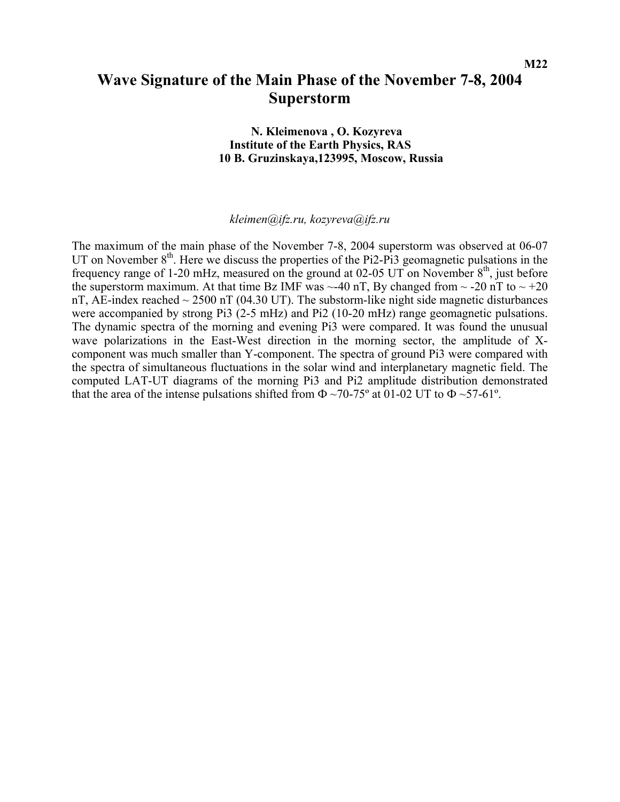## **Wave Signature of the Main Phase of the November 7-8, 2004 Superstorm**

 **N. Kleimenova , O. Kozyreva Institute of the Earth Physics, RAS 10 B. Gruzinskaya,123995, Moscow, Russia** 

*[kleimen@ifz.ru](mailto:kleimen@ifz.ru), [kozyreva@ifz.ru](mailto:kozyreva@ifz.ru)*

The maximum of the main phase of the November 7-8, 2004 superstorm was observed at 06-07 UT on November  $8<sup>th</sup>$ . Here we discuss the properties of the Pi2-Pi3 geomagnetic pulsations in the frequency range of 1-20 mHz, measured on the ground at 02-05 UT on November  $8<sup>th</sup>$ , just before the superstorm maximum. At that time Bz IMF was  $\sim$ -40 nT, By changed from  $\sim$  -20 nT to  $\sim$  +20 nT, AE-index reached  $\sim$  2500 nT (04.30 UT). The substorm-like night side magnetic disturbances were accompanied by strong Pi3 (2-5 mHz) and Pi2 (10-20 mHz) range geomagnetic pulsations. The dynamic spectra of the morning and evening Pi3 were compared. It was found the unusual wave polarizations in the East-West direction in the morning sector, the amplitude of Xcomponent was much smaller than Y-component. The spectra of ground Pi3 were compared with the spectra of simultaneous fluctuations in the solar wind and interplanetary magnetic field. The computed LAT-UT diagrams of the morning Pi3 and Pi2 amplitude distribution demonstrated that the area of the intense pulsations shifted from  $\Phi \sim 70-75^{\circ}$  at 01-02 UT to  $\Phi \sim 57-61^{\circ}$ .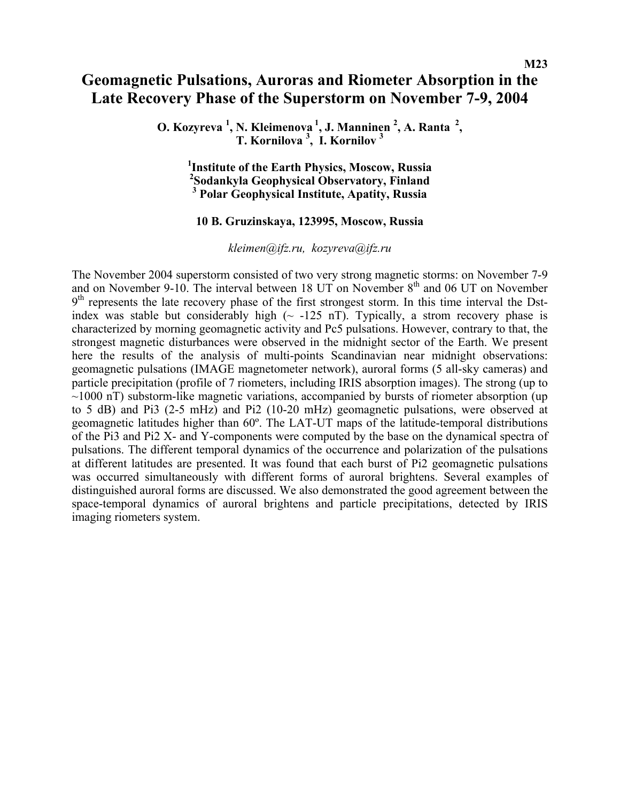## **Geomagnetic Pulsations, Auroras and Riometer Absorption in the Late Recovery Phase of the Superstorm on November 7-9, 2004**

**O. Kozyreva <sup>1</sup> , N. Kleimenova 1, J. Manninen 2 , A. Ranta 2, T. Kornilova <sup>3</sup> , I. Kornilov 3** 

**1 Institute of the Earth Physics, Moscow, Russia**  <sup>2</sup>Sodankyla Geophysical Observatory, Finland **Sodankyla Geophysical Observatory, Finland 3 Polar Geophysical Institute, Apatity, Russia** 

### **10 B. Gruzinskaya, 123995, Moscow, Russia**

*[kleimen@ifz.ru,](mailto:kleimen@ifz.ru) [kozyreva@ifz.ru](mailto:kozyreva@ifz.ru)*

The November 2004 superstorm consisted of two very strong magnetic storms: on November 7-9 and on November 9-10. The interval between 18 UT on November 8<sup>th</sup> and 06 UT on November  $9<sup>th</sup>$  represents the late recovery phase of the first strongest storm. In this time interval the Dstindex was stable but considerably high  $\sim$  -125 nT). Typically, a strom recovery phase is characterized by morning geomagnetic activity and Pc5 pulsations. However, contrary to that, the strongest magnetic disturbances were observed in the midnight sector of the Earth. We present here the results of the analysis of multi-points Scandinavian near midnight observations: geomagnetic pulsations (IMAGE magnetometer network), auroral forms (5 all-sky cameras) and particle precipitation (profile of 7 riometers, including IRIS absorption images). The strong (up to  $\sim$ 1000 nT) substorm-like magnetic variations, accompanied by bursts of riometer absorption (up) to 5 dB) and Pi3 (2-5 mHz) and Pi2 (10-20 mHz) geomagnetic pulsations, were observed at geomagnetic latitudes higher than 60º. The LAT-UT maps of the latitude-temporal distributions of the Pi3 and Pi2 X- and Y-components were computed by the base on the dynamical spectra of pulsations. The different temporal dynamics of the occurrence and polarization of the pulsations at different latitudes are presented. It was found that each burst of Pi2 geomagnetic pulsations was occurred simultaneously with different forms of auroral brightens. Several examples of distinguished auroral forms are discussed. We also demonstrated the good agreement between the space-temporal dynamics of auroral brightens and particle precipitations, detected by IRIS imaging riometers system.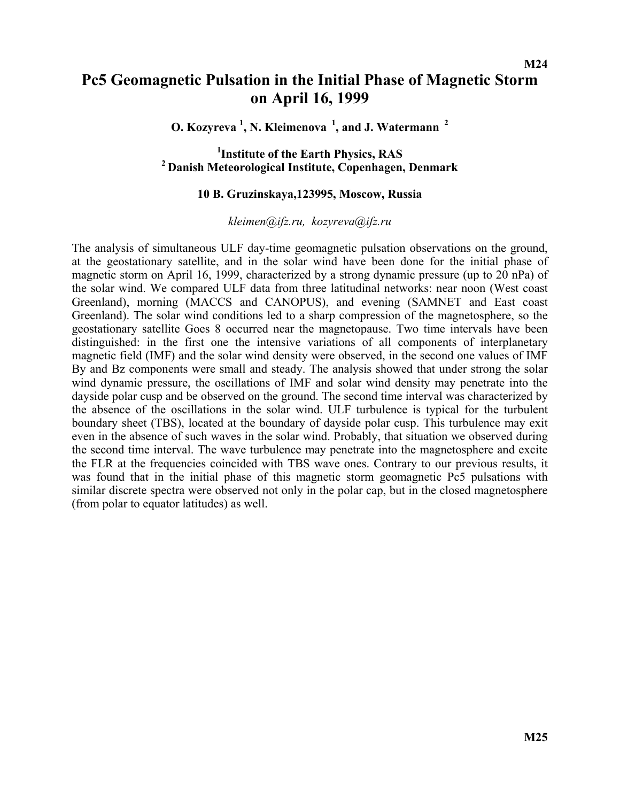## **Pc5 Geomagnetic Pulsation in the Initial Phase of Magnetic Storm on April 16, 1999**

**O. Kozyreva <sup>1</sup> , N. Kleimenova 1, and J. Watermann 2** 

<sup>1</sup>Institute of the Earth Physics, RAS <sup>2</sup> Danish Meteorological Institute, Copenhagen, Denmark

### **10 B. Gruzinskaya,123995, Moscow, Russia**

*[kleimen@ifz.ru,](mailto:kleimen@ifz.ru) [kozyreva@ifz.ru](mailto:kozyreva@ifz.ru)*

The analysis of simultaneous ULF day-time geomagnetic pulsation observations on the ground, at the geostationary satellite, and in the solar wind have been done for the initial phase of magnetic storm on April 16, 1999, characterized by a strong dynamic pressure (up to 20 nPa) of the solar wind. We compared ULF data from three latitudinal networks: near noon (West coast Greenland), morning (MACCS and CANOPUS), and evening (SAMNET and East coast Greenland). The solar wind conditions led to a sharp compression of the magnetosphere, so the geostationary satellite Goes 8 occurred near the magnetopause. Two time intervals have been distinguished: in the first one the intensive variations of all components of interplanetary magnetic field (IMF) and the solar wind density were observed, in the second one values of IMF By and Bz components were small and steady. The analysis showed that under strong the solar wind dynamic pressure, the oscillations of IMF and solar wind density may penetrate into the dayside polar cusp and be observed on the ground. The second time interval was characterized by the absence of the oscillations in the solar wind. ULF turbulence is typical for the turbulent boundary sheet (TBS), located at the boundary of dayside polar cusp. This turbulence may exit even in the absence of such waves in the solar wind. Probably, that situation we observed during the second time interval. The wave turbulence may penetrate into the magnetosphere and excite the FLR at the frequencies coincided with TBS wave ones. Contrary to our previous results, it was found that in the initial phase of this magnetic storm geomagnetic Pc5 pulsations with similar discrete spectra were observed not only in the polar cap, but in the closed magnetosphere (from polar to equator latitudes) as well.

**M24**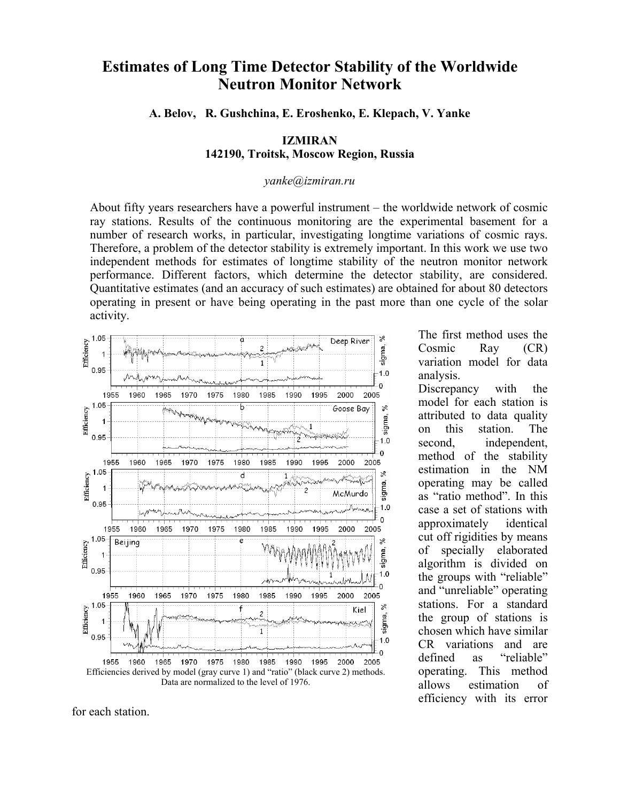## **Estimates of Long Time Detector Stability of the Worldwide Neutron Monitor Network**

**A. Belov, R. Gushchina, E. Eroshenko, E. Klepach, V. Yanke** 

### **IZMIRAN 142190, Troitsk, Moscow Region, Russia**

#### *[yanke@izmiran.ru](mailto:yanke@iazmiran.ru)*

About fifty years researchers have a powerful instrument – the worldwide network of cosmic ray stations. Results of the continuous monitoring are the experimental basement for a number of research works, in particular, investigating longtime variations of cosmic rays. Therefore, a problem of the detector stability is extremely important. In this work we use two independent methods for estimates of longtime stability of the neutron monitor network performance. Different factors, which determine the detector stability, are considered. Quantitative estimates (and an accuracy of such estimates) are obtained for about 80 detectors operating in present or have being operating in the past more than one cycle of the solar activity.



for each station.

The first method uses the Cosmic Ray (CR) variation model for data analysis.

Discrepancy with the model for each station is attributed to data quality on this station. The second, independent, method of the stability estimation in the NM operating may be called as "ratio method". In this case a set of stations with approximately identical cut off rigidities by means of specially elaborated algorithm is divided on the groups with "reliable" and "unreliable" operating stations. For a standard the group of stations is chosen which have similar CR variations and are defined as "reliable" operating. This method allows estimation of efficiency with its error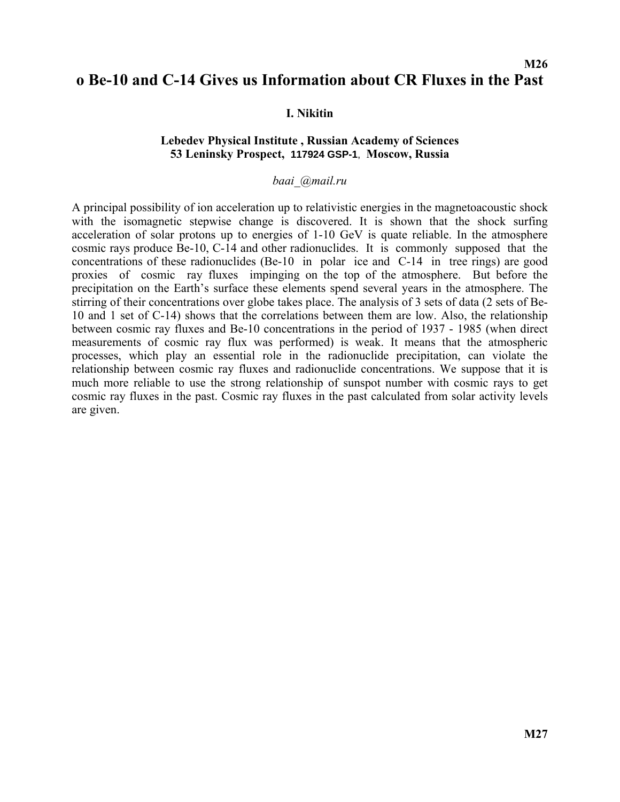## **M26 o Be-10 and C-14 Gives us Information about CR Fluxes in the Past**

### **I. Nikitin**

### **Lebedev Physical Institute , Russian Academy of Sciences 53 Leninsky Prospect, 117924 GSP-1**, **Moscow, Russia**

#### *baai\_@mail.ru*

A principal possibility of ion acceleration up to relativistic energies in the magnetoacoustic shock with the isomagnetic stepwise change is discovered. It is shown that the shock surfing acceleration of solar protons up to energies of 1-10 GeV is quate reliable. In the atmosphere cosmic rays produce Be-10, C-14 and other radionuclides. It is commonly supposed that the concentrations of these radionuclides (Be-10 in polar ice and C-14 in tree rings) are good proxies of cosmic ray fluxes impinging on the top of the atmosphere. But before the precipitation on the Earth's surface these elements spend several years in the atmosphere. The stirring of their concentrations over globe takes place. The analysis of 3 sets of data (2 sets of Be-10 and 1 set of C-14) shows that the correlations between them are low. Also, the relationship between cosmic ray fluxes and Be-10 concentrations in the period of 1937 - 1985 (when direct measurements of cosmic ray flux was performed) is weak. It means that the atmospheric processes, which play an essential role in the radionuclide precipitation, can violate the relationship between cosmic ray fluxes and radionuclide concentrations. We suppose that it is much more reliable to use the strong relationship of sunspot number with cosmic rays to get cosmic ray fluxes in the past. Cosmic ray fluxes in the past calculated from solar activity levels are given.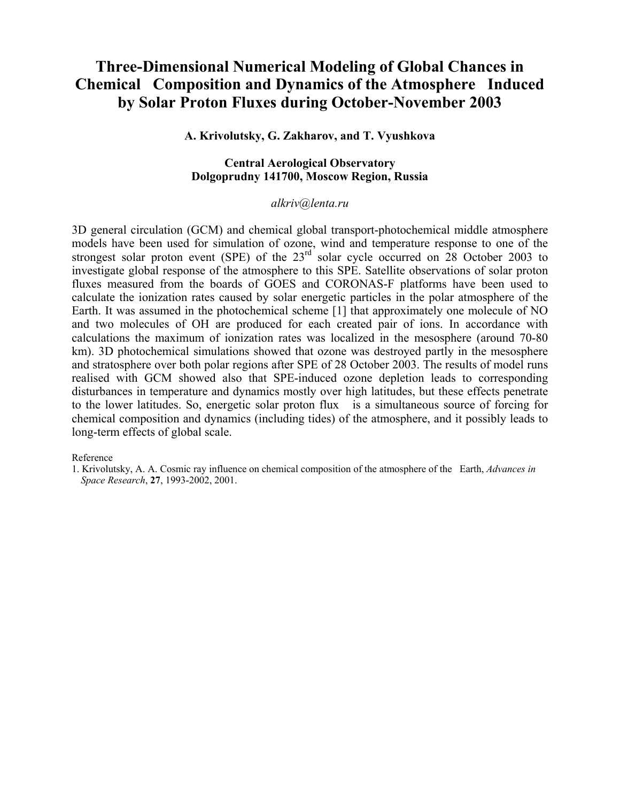## **Three-Dimensional Numerical Modeling of Global Chances in Chemical Composition and Dynamics of the Atmosphere Induced by Solar Proton Fluxes during October-November 2003**

### **A. Krivolutsky, G. Zakharov, and T. Vyushkova**

### **Central Aerological Observatory Dolgoprudny 141700, Moscow Region, Russia**

#### *alkriv@lenta.ru*

3D general circulation (GCM) and chemical global transport-photochemical middle atmosphere models have been used for simulation of ozone, wind and temperature response to one of the strongest solar proton event (SPE) of the  $23<sup>rd</sup>$  solar cycle occurred on 28 October 2003 to investigate global response of the atmosphere to this SPE. Satellite observations of solar proton fluxes measured from the boards of GOES and CORONAS-F platforms have been used to calculate the ionization rates caused by solar energetic particles in the polar atmosphere of the Earth. It was assumed in the photochemical scheme [1] that approximately one molecule of NO and two molecules of OH are produced for each created pair of ions. In accordance with calculations the maximum of ionization rates was localized in the mesosphere (around 70-80 km). 3D photochemical simulations showed that ozone was destroyed partly in the mesosphere and stratosphere over both polar regions after SPE of 28 October 2003. The results of model runs realised with GCM showed also that SPE-induced ozone depletion leads to corresponding disturbances in temperature and dynamics mostly over high latitudes, but these effects penetrate to the lower latitudes. So, energetic solar proton flux is a simultaneous source of forcing for chemical composition and dynamics (including tides) of the atmosphere, and it possibly leads to long-term effects of global scale.

#### Reference

<sup>1.</sup> Krivolutsky, A. A. Cosmic ray influence on chemical composition of the atmosphere of the Earth, *Advances in Space Research*, **27**, 1993-2002, 2001.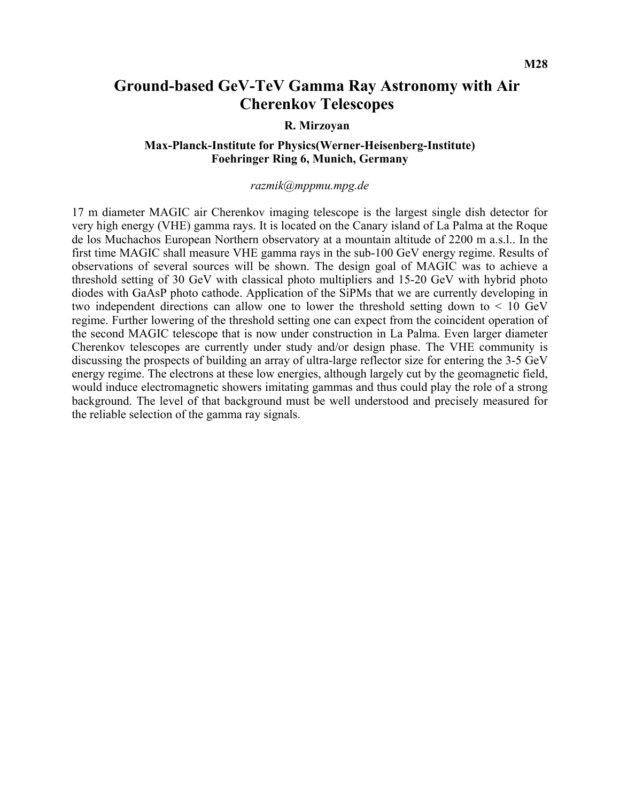## **Ground-based GeV-TeV Gamma Ray Astronomy with Air Cherenkov Telescopes**

#### **R. Mirzoyan**

### **Max-Planck-Institute for Physics(Werner-Heisenberg-Institute) Foehringer Ring 6, Munich, Germany**

#### *razmik@mppmu.mpg.de*

17 m diameter MAGIC air Cherenkov imaging telescope is the largest single dish detector for very high energy (VHE) gamma rays. It is located on the Canary island of La Palma at the Roque de los Muchachos European Northern observatory at a mountain altitude of 2200 m a.s.l.. In the first time MAGIC shall measure VHE gamma rays in the sub-100 GeV energy regime. Results of observations of several sources will be shown. The design goal of MAGIC was to achieve a threshold setting of 30 GeV with classical photo multipliers and 15-20 GeV with hybrid photo diodes with GaAsP photo cathode. Application of the SiPMs that we are currently developing in two independent directions can allow one to lower the threshold setting down to < 10 GeV regime. Further lowering of the threshold setting one can expect from the coincident operation of the second MAGIC telescope that is now under construction in La Palma. Even larger diameter Cherenkov telescopes are currently under study and/or design phase. The VHE community is discussing the prospects of building an array of ultra-large reflector size for entering the 3-5 GeV energy regime. The electrons at these low energies, although largely cut by the geomagnetic field, would induce electromagnetic showers imitating gammas and thus could play the role of a strong background. The level of that background must be well understood and precisely measured for the reliable selection of the gamma ray signals.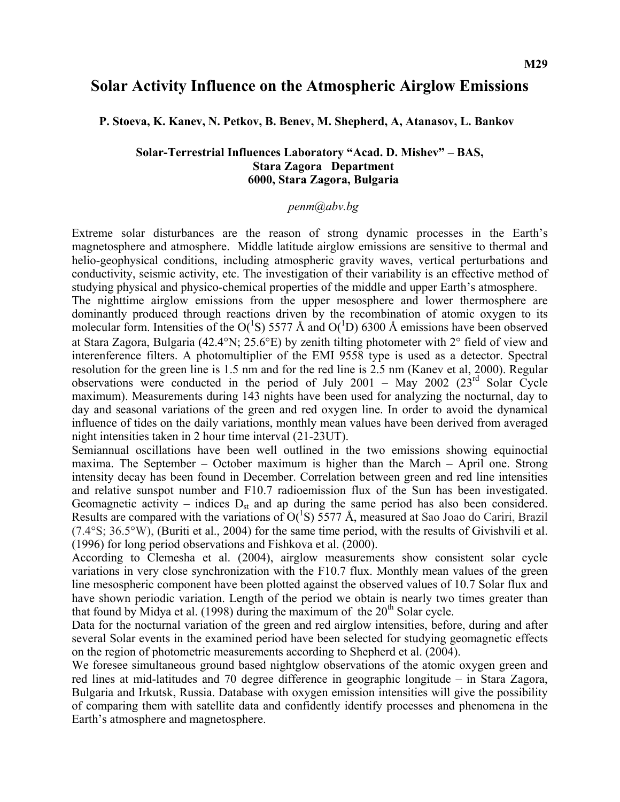## **Solar Activity Influence on the Atmospheric Airglow Emissions**

**P. Stoeva, K. Kanev, N. Petkov, B. Benev, M. Shepherd, A, Atanasov, L. Bankov** 

#### **Solar-Terrestrial Influences Laboratory "Acad. D. Mishev" – BAS, Stara Zagora Department 6000, Stara Zagora, Bulgaria**

#### *penm@abv.bg*

Extreme solar disturbances are the reason of strong dynamic processes in the Earth's magnetosphere and atmosphere. Middle latitude airglow emissions are sensitive to thermal and helio-geophysical conditions, including atmospheric gravity waves, vertical perturbations and conductivity, seismic activity, etc. The investigation of their variability is an effective method of studying physical and physico-chemical properties of the middle and upper Earth's atmosphere.

The nighttime airglow emissions from the upper mesosphere and lower thermosphere are dominantly produced through reactions driven by the recombination of atomic oxygen to its molecular form. Intensities of the O( ${}^{1}S$ ) 5577 Å and O( ${}^{1}D$ ) 6300 Å emissions have been observed at Stara Zagora, Bulgaria (42.4°N; 25.6°E) by zenith tilting photometer with 2° field of view and interenference filters. A photomultiplier of the EMI 9558 type is used as a detector. Spectral resolution for the green line is 1.5 nm and for the red line is 2.5 nm (Kanev et al, 2000). Regular observations were conducted in the period of July 2001 – May 2002 ( $23<sup>rd</sup>$  Solar Cycle maximum). Measurements during 143 nights have been used for analyzing the nocturnal, day to day and seasonal variations of the green and red oxygen line. In order to avoid the dynamical influence of tides on the daily variations, monthly mean values have been derived from averaged night intensities taken in 2 hour time interval (21-23UT).

Semiannual oscillations have been well outlined in the two emissions showing equinoctial maxima. The September – October maximum is higher than the March – April one. Strong intensity decay has been found in December. Correlation between green and red line intensities and relative sunspot number and F10.7 radioemission flux of the Sun has been investigated. Geomagnetic activity – indices  $D_{st}$  and ap during the same period has also been considered. Results are compared with the variations of  $O(^{1}S)$  5577 Å, measured at Sao Joao do Cariri, Brazil (7.4°S; 36.5°W), (Buriti et al., 2004) for the same time period, with the results of Givishvili et al. (1996) for long period observations and Fishkova et al. (2000).

According to Clemesha et al. (2004), airglow measurements show consistent solar cycle variations in very close synchronization with the F10.7 flux. Monthly mean values of the green line mesospheric component have been plotted against the observed values of 10.7 Solar flux and have shown periodic variation. Length of the period we obtain is nearly two times greater than that found by Midya et al. (1998) during the maximum of the  $20<sup>th</sup>$  Solar cycle.

Data for the nocturnal variation of the green and red airglow intensities, before, during and after several Solar events in the examined period have been selected for studying geomagnetic effects on the region of photometric measurements according to Shepherd et al. (2004).

We foresee simultaneous ground based nightglow observations of the atomic oxygen green and red lines at mid-latitudes and 70 degree difference in geographic longitude – in Stara Zagora, Bulgaria and Irkutsk, Russia. Database with oxygen emission intensities will give the possibility of comparing them with satellite data and confidently identify processes and phenomena in the Earth's atmosphere and magnetosphere.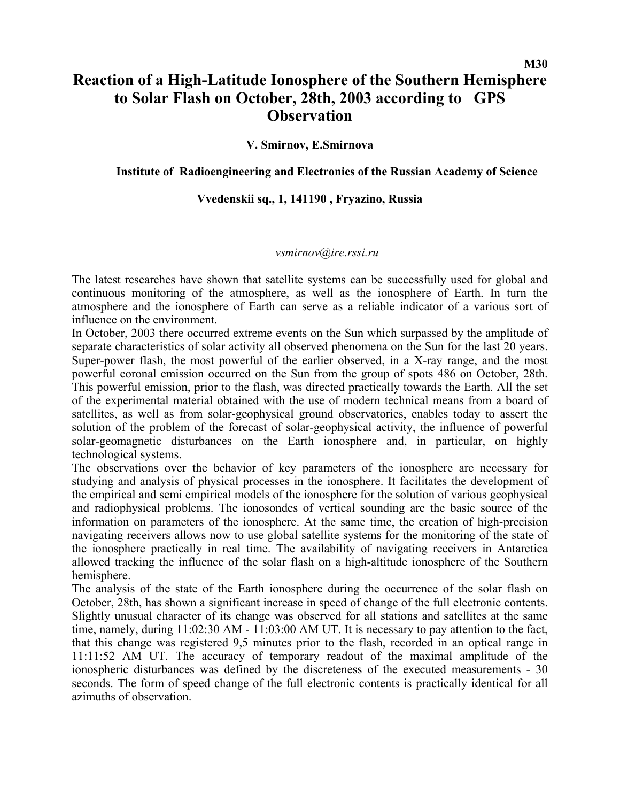# **Reaction of a High-Latitude Ionosphere of the Southern Hemisphere to Solar Flash on October, 28th, 2003 according to GPS Observation**

**V. Smirnov, E.Smirnova** 

### **Institute of Radioengineering and Electronics of the Russian Academy of Science**

## **Vvedenskii sq., 1, 141190 , Fryazino, Russia**

### *vsmirnov@ire.rssi.ru*

The latest researches have shown that satellite systems can be successfully used for global and continuous monitoring of the atmosphere, as well as the ionosphere of Earth. In turn the atmosphere and the ionosphere of Earth can serve as a reliable indicator of a various sort of influence on the environment.

In October, 2003 there occurred extreme events on the Sun which surpassed by the amplitude of separate characteristics of solar activity all observed phenomena on the Sun for the last 20 years. Super-power flash, the most powerful of the earlier observed, in a X-ray range, and the most powerful coronal emission occurred on the Sun from the group of spots 486 on October, 28th. This powerful emission, prior to the flash, was directed practically towards the Earth. All the set of the experimental material obtained with the use of modern technical means from a board of satellites, as well as from solar-geophysical ground observatories, enables today to assert the solution of the problem of the forecast of solar-geophysical activity, the influence of powerful solar-geomagnetic disturbances on the Earth ionosphere and, in particular, on highly technological systems.

The observations over the behavior of key parameters of the ionosphere are necessary for studying and analysis of physical processes in the ionosphere. It facilitates the development of the empirical and semi empirical models of the ionosphere for the solution of various geоphysical and radiophysical problems. The ionosondes of vertical sounding are the basic source of the information on parameters of the ionosphere. At the same time, the creation of high-precision navigating receivers allows now to use global satellite systems for the monitoring of the state of the ionosphere practically in real time. The availability of navigating receivers in Antarctica allowed tracking the influence of the solar flash on a high-altitude ionosphere of the Southern hemisphere.

The analysis of the state of the Earth ionosphere during the occurrence of the solar flash on October, 28th, has shown a significant increase in speed of change of the full electronic contents. Slightly unusual character of its change was observed for all stations and satellites at the same time, namely, during 11:02:30 AM - 11:03:00 AM UT. It is necessary to pay attention to the fact, that this change was registered 9,5 minutes prior to the flash, recorded in an optical range in 11:11:52 AM UT. The accuracy of temporary readout of the maximal amplitude of the ionospheric disturbances was defined by the discreteness of the executed measurements - 30 seconds. The form of speed change of the full electronic contents is practically identical for all azimuths of observation.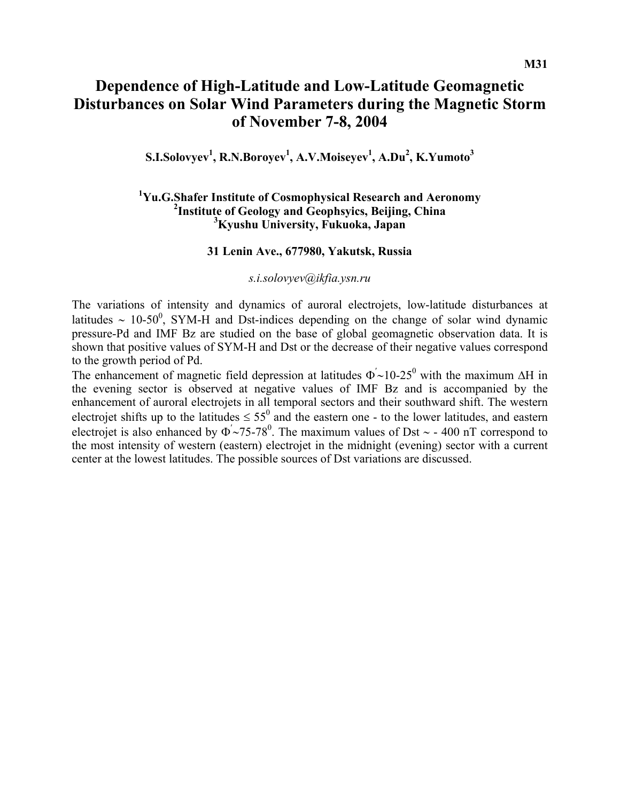# **Dependence of High-Latitude and Low-Latitude Geomagnetic Disturbances on Solar Wind Parameters during the Magnetic Storm of November 7-8, 2004**

 $\mathbf{S}. \mathbf{I}. \mathbf{S}$ olovyev<sup>1</sup>, **R.N.B**oroyev<sup>1</sup>, **A.V.M**oiseyev<sup>1</sup>, <code>A.Du<sup>2</sup>, <code>K.Yumoto<sup>3</sup></code></code>

## <sup>1</sup>Yu.G.Shafer Institute of Cosmophysical Research and Aeronomy <sup>2</sup><br><sup>2</sup>Institute of Ceology and Ceonhavies, Beijing, China <sup>2</sup>Institute of Geology and Geophsyics, Beijing, China **Kyushu University, Fukuoka, Japan**

#### **31 Lenin Ave., 677980, Yakutsk, Russia**

*[s.i.solovyev@ikfia.ysn.ru](mailto:s.i.solovyev@ikfia.ysn.ru)*

The variations of intensity and dynamics of auroral electrojets, low-latitude disturbances at latitudes ~ 10-50<sup>0</sup>, SYM-H and Dst-indices depending on the change of solar wind dynamic pressure-Pd and IMF Bz are studied on the base of global geomagnetic observation data. It is shown that positive values of SYM-H and Dst or the decrease of their negative values correspond to the growth period of Pd.

The enhancement of magnetic field depression at latitudes  $\Phi' \sim 10^{-25}$  with the maximum ∆H in the evening sector is observed at negative values of IMF Bz and is accompanied by the enhancement of auroral electrojets in all temporal sectors and their southward shift. The western electrojet shifts up to the latitudes  $\leq 55^{\circ}$  and the eastern one - to the lower latitudes, and eastern electrojet is also enhanced by  $\Phi \sim 75$ -78<sup>0</sup>. The maximum values of Dst ~ - 400 nT correspond to the most intensity of western (eastern) electrojet in the midnight (evening) sector with a current center at the lowest latitudes. The possible sources of Dst variations are discussed.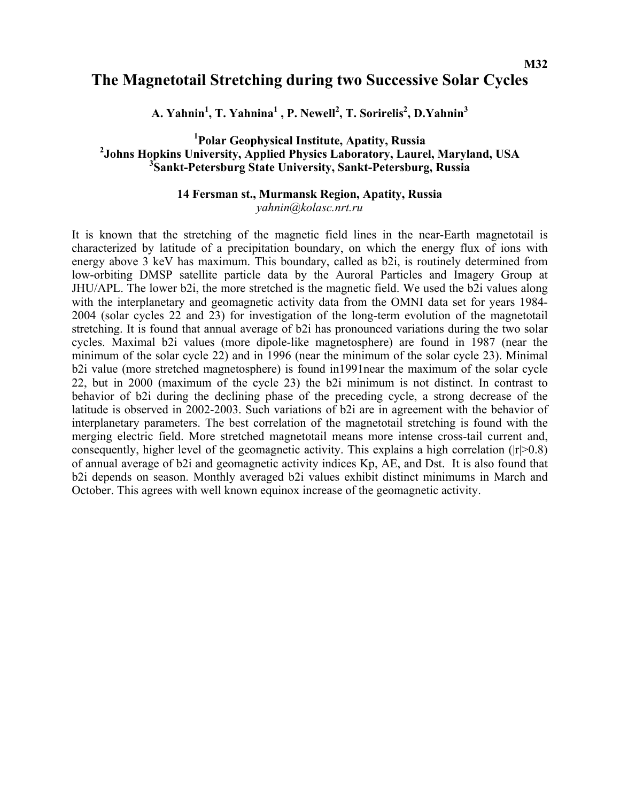## **The Magnetotail Stretching during two Successive Solar Cycles**

**A. Yahnin1 , T. Yahnina<sup>1</sup> , P. Newell<sup>2</sup> , T. Sorirelis2 , D.Yahnin3**

## <sup>1</sup> Polar Geophysical Institute, Apatity, Russia<sup>2</sup><br><sup>2</sup> Johns Henkins University, Applied Physics Lebenstony, Leure <sup>2</sup> Johns Hopkins University, Applied Physics Laboratory, Laurel, Maryland, USA **Sankt-Petersburg State University, Sankt-Petersburg, Russia**

#### **14 Fersman st., Murmansk Region, Apatity, Russia**  *yahnin@kolasc.nrt.ru*

It is known that the stretching of the magnetic field lines in the near-Earth magnetotail is characterized by latitude of a precipitation boundary, on which the energy flux of ions with energy above 3 keV has maximum. This boundary, called as b2i, is routinely determined from low-orbiting DMSP satellite particle data by the Auroral Particles and Imagery Group at JHU/APL. The lower b2i, the more stretched is the magnetic field. We used the b2i values along with the interplanetary and geomagnetic activity data from the OMNI data set for years 1984– 2004 (solar cycles 22 and 23) for investigation of the long-term evolution of the magnetotail stretching. It is found that annual average of b2i has pronounced variations during the two solar cycles. Maximal b2i values (more dipole-like magnetosphere) are found in 1987 (near the minimum of the solar cycle 22) and in 1996 (near the minimum of the solar cycle 23). Minimal b2i value (more stretched magnetosphere) is found in1991near the maximum of the solar cycle 22, but in 2000 (maximum of the cycle 23) the b2i minimum is not distinct. In contrast to behavior of b2i during the declining phase of the preceding cycle, a strong decrease of the latitude is observed in 2002-2003. Such variations of b2i are in agreement with the behavior of interplanetary parameters. The best correlation of the magnetotail stretching is found with the merging electric field. More stretched magnetotail means more intense cross-tail current and, consequently, higher level of the geomagnetic activity. This explains a high correlation ( $|r|>0.8$ ) of annual average of b2i and geomagnetic activity indices Kp, AE, and Dst. It is also found that b2i depends on season. Monthly averaged b2i values exhibit distinct minimums in March and October. This agrees with well known equinox increase of the geomagnetic activity.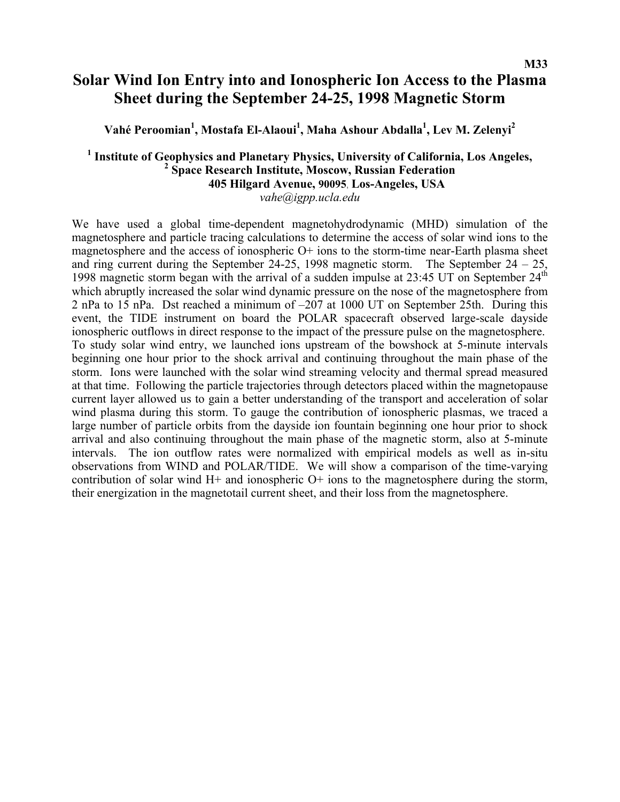# **Solar Wind Ion Entry into and Ionospheric Ion Access to the Plasma Sheet during the September 24-25, 1998 Magnetic Storm**

**Vahé Peroomian1 , Mostafa El-Alaoui<sup>1</sup> , Maha Ashour Abdalla1 , Lev M. Zelenyi2** 

### <sup>1</sup> Institute of Geophysics and Planetary Physics, University of California, Los Angeles,  **Space Research Institute, Moscow, Russian Federation 405 Hilgard Avenue, 90095**, **Los-Angeles, USA**  *vahe@igpp.ucla.edu*

We have used a global time-dependent magnetohydrodynamic (MHD) simulation of the magnetosphere and particle tracing calculations to determine the access of solar wind ions to the magnetosphere and the access of ionospheric O+ ions to the storm-time near-Earth plasma sheet and ring current during the September 24-25, 1998 magnetic storm. The September  $24 - 25$ , 1998 magnetic storm began with the arrival of a sudden impulse at  $23:45$  UT on September  $24<sup>th</sup>$ which abruptly increased the solar wind dynamic pressure on the nose of the magnetosphere from 2 nPa to 15 nPa. Dst reached a minimum of –207 at 1000 UT on September 25th. During this event, the TIDE instrument on board the POLAR spacecraft observed large-scale dayside ionospheric outflows in direct response to the impact of the pressure pulse on the magnetosphere. To study solar wind entry, we launched ions upstream of the bowshock at 5-minute intervals beginning one hour prior to the shock arrival and continuing throughout the main phase of the storm. Ions were launched with the solar wind streaming velocity and thermal spread measured at that time. Following the particle trajectories through detectors placed within the magnetopause current layer allowed us to gain a better understanding of the transport and acceleration of solar wind plasma during this storm. To gauge the contribution of ionospheric plasmas, we traced a large number of particle orbits from the dayside ion fountain beginning one hour prior to shock arrival and also continuing throughout the main phase of the magnetic storm, also at 5-minute intervals. The ion outflow rates were normalized with empirical models as well as in-situ observations from WIND and POLAR/TIDE. We will show a comparison of the time-varying contribution of solar wind  $H<sup>+</sup>$  and ionospheric  $O<sup>+</sup>$  ions to the magnetosphere during the storm, their energization in the magnetotail current sheet, and their loss from the magnetosphere.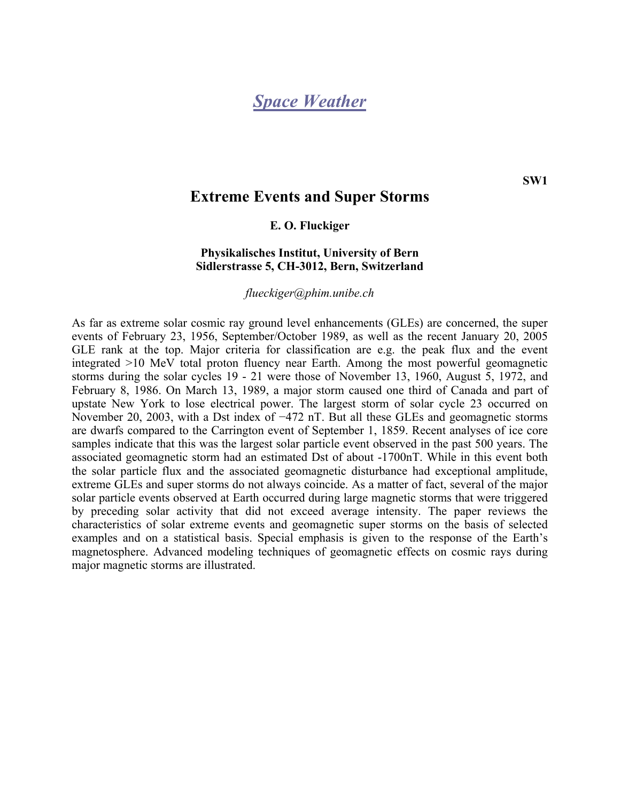# *Space Weather*

## **Extreme Events and Super Storms**

#### **E. O. Fluckiger**

### **Physikalisches Institut, University of Bern Sidlerstrasse 5, CH-3012, Bern, Switzerland**

*[flueckiger@phim.unibe.ch](http://crdlx1.yerphi.am/MAIL/src/compose.php?send_to=flueckiger%40phim.unibe.ch)*

As far as extreme solar cosmic ray ground level enhancements (GLEs) are concerned, the super events of February 23, 1956, September/October 1989, as well as the recent January 20, 2005 GLE rank at the top. Major criteria for classification are e.g. the peak flux and the event integrated >10 MeV total proton fluency near Earth. Among the most powerful geomagnetic storms during the solar cycles 19 - 21 were those of November 13, 1960, August 5, 1972, and February 8, 1986. On March 13, 1989, a major storm caused one third of Canada and part of upstate New York to lose electrical power. The largest storm of solar cycle 23 occurred on November 20, 2003, with a Dst index of −472 nT. But all these GLEs and geomagnetic storms are dwarfs compared to the Carrington event of September 1, 1859. Recent analyses of ice core samples indicate that this was the largest solar particle event observed in the past 500 years. The associated geomagnetic storm had an estimated Dst of about -1700nT. While in this event both the solar particle flux and the associated geomagnetic disturbance had exceptional amplitude, extreme GLEs and super storms do not always coincide. As a matter of fact, several of the major solar particle events observed at Earth occurred during large magnetic storms that were triggered by preceding solar activity that did not exceed average intensity. The paper reviews the characteristics of solar extreme events and geomagnetic super storms on the basis of selected examples and on a statistical basis. Special emphasis is given to the response of the Earth's magnetosphere. Advanced modeling techniques of geomagnetic effects on cosmic rays during major magnetic storms are illustrated.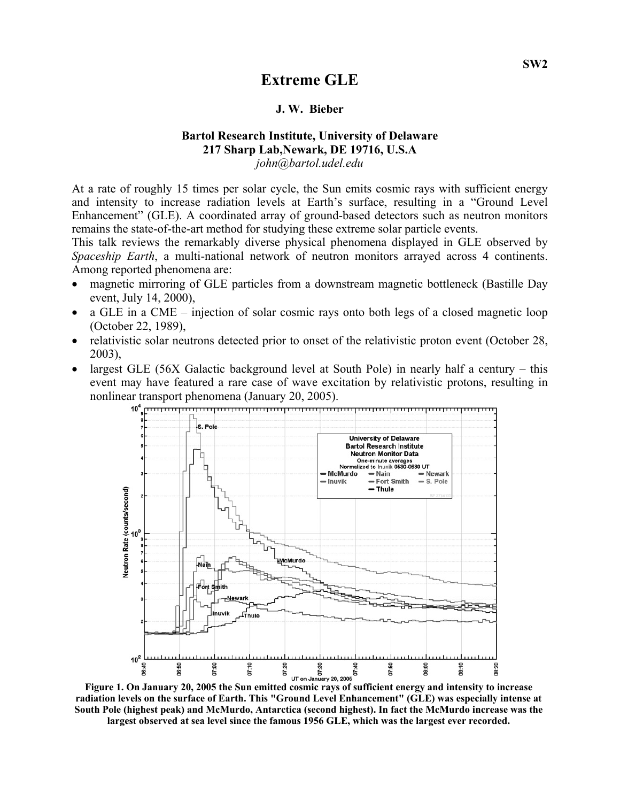## **Extreme GLE**

#### **J. W. Bieber**

#### **Bartol Research Institute, University of Delaware 217 Sharp Lab,Newark, DE 19716, U.S.A**  *[john@bartol.udel.edu](http://crdlx1.yerphi.am/MAIL/src/compose.php?send_to=john%40bartol.udel.edu)*

At a rate of roughly 15 times per solar cycle, the Sun emits cosmic rays with sufficient energy and intensity to increase radiation levels at Earth's surface, resulting in a "Ground Level Enhancement" (GLE). A coordinated array of ground-based detectors such as neutron monitors remains the state-of-the-art method for studying these extreme solar particle events.

This talk reviews the remarkably diverse physical phenomena displayed in GLE observed by *Spaceship Earth*, a multi-national network of neutron monitors arrayed across 4 continents. Among reported phenomena are:

- magnetic mirroring of GLE particles from a downstream magnetic bottleneck (Bastille Day event, July 14, 2000),
- a GLE in a CME injection of solar cosmic rays onto both legs of a closed magnetic loop (October 22, 1989),
- relativistic solar neutrons detected prior to onset of the relativistic proton event (October 28, 2003),
- largest GLE (56X Galactic background level at South Pole) in nearly half a century this event may have featured a rare case of wave excitation by relativistic protons, resulting in nonlinear transport phenomena (January 20, 2005).



**radiation levels on the surface of Earth. This "Ground Level Enhancement" (GLE) was especially intense at South Pole (highest peak) and McMurdo, Antarctica (second highest). In fact the McMurdo increase was the largest observed at sea level since the famous 1956 GLE, which was the largest ever recorded.**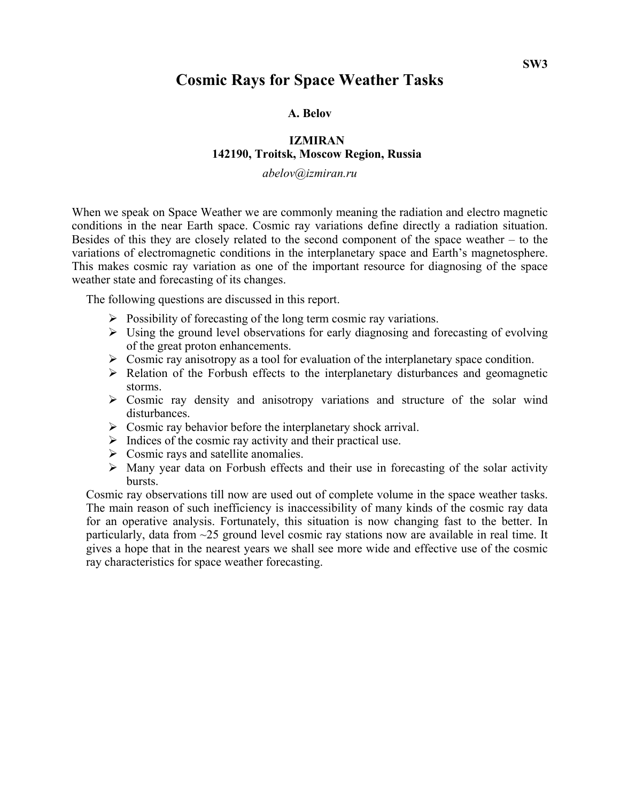## **Cosmic Rays for Space Weather Tasks**

**A. Belov** 

### **IZMIRAN 142190, Troitsk, Moscow Region, Russia**

*abelov@izmiran.ru* 

When we speak on Space Weather we are commonly meaning the radiation and electro magnetic conditions in the near Earth space. Cosmic ray variations define directly a radiation situation. Besides of this they are closely related to the second component of the space weather – to the variations of electromagnetic conditions in the interplanetary space and Earth's magnetosphere. This makes cosmic ray variation as one of the important resource for diagnosing of the space weather state and forecasting of its changes.

The following questions are discussed in this report.

- $\triangleright$  Possibility of forecasting of the long term cosmic ray variations.
- $\triangleright$  Using the ground level observations for early diagnosing and forecasting of evolving of the great proton enhancements.
- $\triangleright$  Cosmic ray anisotropy as a tool for evaluation of the interplanetary space condition.
- $\triangleright$  Relation of the Forbush effects to the interplanetary disturbances and geomagnetic storms.
- $\triangleright$  Cosmic ray density and anisotropy variations and structure of the solar wind disturbances.
- $\triangleright$  Cosmic ray behavior before the interplanetary shock arrival.
- $\triangleright$  Indices of the cosmic ray activity and their practical use.
- $\triangleright$  Cosmic rays and satellite anomalies.
- $\triangleright$  Many year data on Forbush effects and their use in forecasting of the solar activity bursts.

Cosmic ray observations till now are used out of complete volume in the space weather tasks. The main reason of such inefficiency is inaccessibility of many kinds of the cosmic ray data for an operative analysis. Fortunately, this situation is now changing fast to the better. In particularly, data from ~25 ground level cosmic ray stations now are available in real time. It gives a hope that in the nearest years we shall see more wide and effective use of the cosmic ray characteristics for space weather forecasting.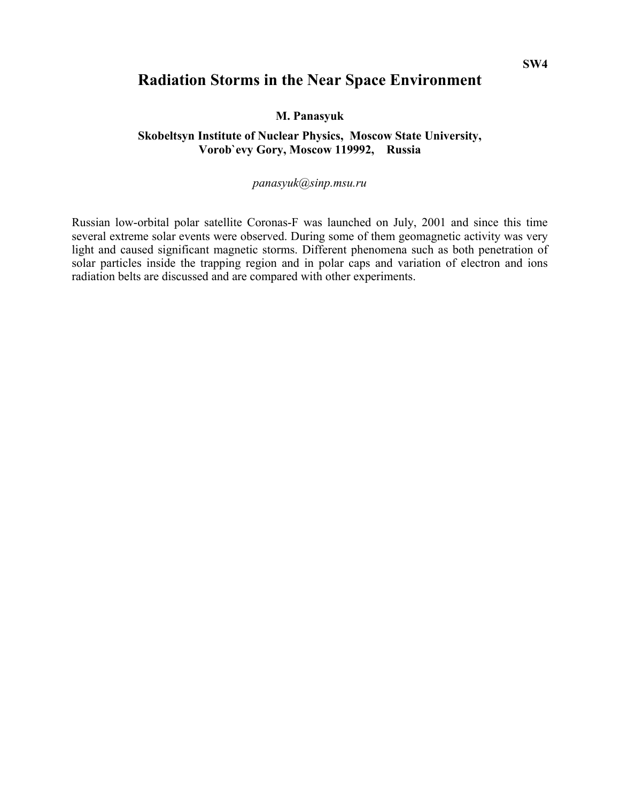## **Radiation Storms in the Near Space Environment**

**M. Panasyuk** 

## **Skobeltsyn Institute of Nuclear Physics, Moscow State University, Vorob`evy Gory, Moscow 119992, Russia**

### *panasyuk@sinp.msu.ru*

Russian low-orbital polar satellite Coronas-F was launched on July, 2001 and since this time several extreme solar events were observed. During some of them geomagnetic activity was very light and caused significant magnetic storms. Different phenomena such as both penetration of solar particles inside the trapping region and in polar caps and variation of electron and ions radiation belts are discussed and are compared with other experiments.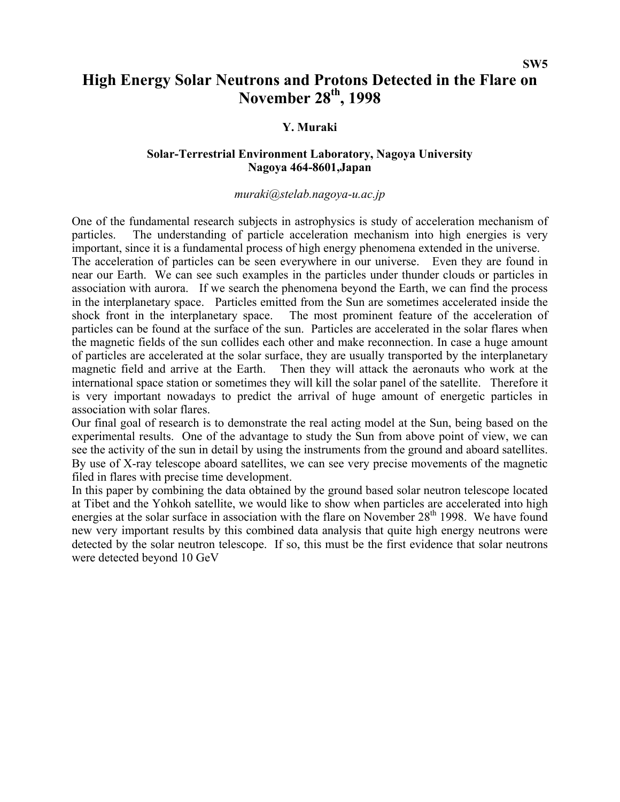# **High Energy Solar Neutrons and Protons Detected in the Flare on November 28th, 1998**

## **Y. Muraki**

### **Solar-Terrestrial Environment Laboratory, Nagoya University Nagoya 464-8601,Japan**

#### *[muraki@stelab.nagoya-u.ac.jp](mailto:muraki@stelab.nagoya-u.ac.jp)*

One of the fundamental research subjects in astrophysics is study of acceleration mechanism of particles. The understanding of particle acceleration mechanism into high energies is very important, since it is a fundamental process of high energy phenomena extended in the universe. The acceleration of particles can be seen everywhere in our universe. Even they are found in near our Earth. We can see such examples in the particles under thunder clouds or particles in association with aurora. If we search the phenomena beyond the Earth, we can find the process in the interplanetary space. Particles emitted from the Sun are sometimes accelerated inside the shock front in the interplanetary space. The most prominent feature of the acceleration of particles can be found at the surface of the sun. Particles are accelerated in the solar flares when the magnetic fields of the sun collides each other and make reconnection. In case a huge amount of particles are accelerated at the solar surface, they are usually transported by the interplanetary magnetic field and arrive at the Earth. Then they will attack the aeronauts who work at the international space station or sometimes they will kill the solar panel of the satellite. Therefore it is very important nowadays to predict the arrival of huge amount of energetic particles in association with solar flares.

Our final goal of research is to demonstrate the real acting model at the Sun, being based on the experimental results. One of the advantage to study the Sun from above point of view, we can see the activity of the sun in detail by using the instruments from the ground and aboard satellites. By use of X-ray telescope aboard satellites, we can see very precise movements of the magnetic filed in flares with precise time development.

In this paper by combining the data obtained by the ground based solar neutron telescope located at Tibet and the Yohkoh satellite, we would like to show when particles are accelerated into high energies at the solar surface in association with the flare on November 28<sup>th</sup> 1998. We have found new very important results by this combined data analysis that quite high energy neutrons were detected by the solar neutron telescope. If so, this must be the first evidence that solar neutrons were detected beyond 10 GeV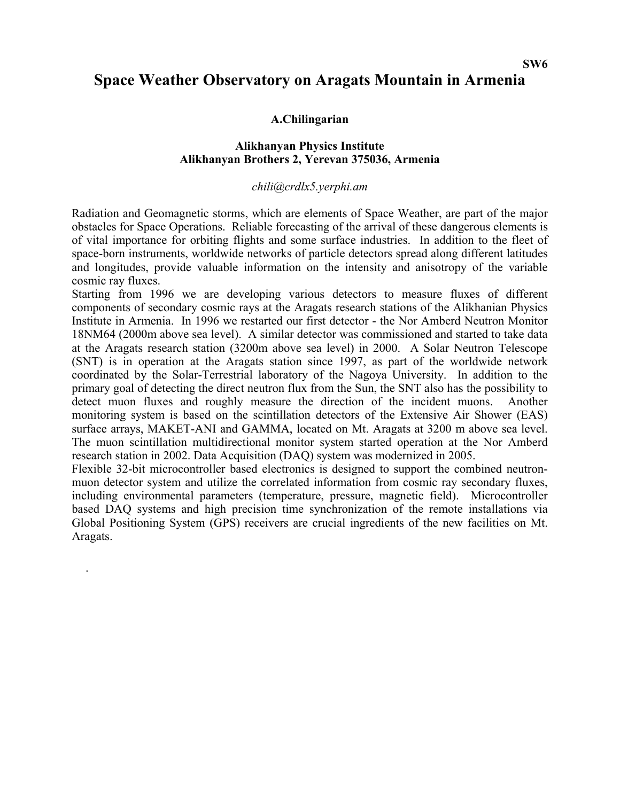#### **SW6**

## **Space Weather Observatory on Aragats Mountain in Armenia**

### **A.Chilingarian**

#### **Alikhanyan Physics Institute Alikhanyan Brothers 2, Yerevan 375036, Armenia**

#### *chili@crdlx5.yerphi.am*

Radiation and Geomagnetic storms, which are elements of Space Weather, are part of the major obstacles for Space Operations. Reliable forecasting of the arrival of these dangerous elements is of vital importance for orbiting flights and some surface industries. In addition to the fleet of space-born instruments, worldwide networks of particle detectors spread along different latitudes and longitudes, provide valuable information on the intensity and anisotropy of the variable cosmic ray fluxes.

Starting from 1996 we are developing various detectors to measure fluxes of different components of secondary cosmic rays at the Aragats research stations of the Alikhanian Physics Institute in Armenia. In 1996 we restarted our first detector - the Nor Amberd Neutron Monitor 18NM64 (2000m above sea level). A similar detector was commissioned and started to take data at the Aragats research station (3200m above sea level) in 2000. A Solar Neutron Telescope (SNT) is in operation at the Aragats station since 1997, as part of the worldwide network coordinated by the Solar-Terrestrial laboratory of the Nagoya University. In addition to the primary goal of detecting the direct neutron flux from the Sun, the SNT also has the possibility to detect muon fluxes and roughly measure the direction of the incident muons. Another monitoring system is based on the scintillation detectors of the Extensive Air Shower (EAS) surface arrays, MAKET-ANI and GAMMA, located on Mt. Aragats at 3200 m above sea level. The muon scintillation multidirectional monitor system started operation at the Nor Amberd research station in 2002. Data Acquisition (DAQ) system was modernized in 2005.

Flexible 32-bit microcontroller based electronics is designed to support the combined neutronmuon detector system and utilize the correlated information from cosmic ray secondary fluxes, including environmental parameters (temperature, pressure, magnetic field). Microcontroller based DAQ systems and high precision time synchronization of the remote installations via Global Positioning System (GPS) receivers are crucial ingredients of the new facilities on Mt. Aragats.

.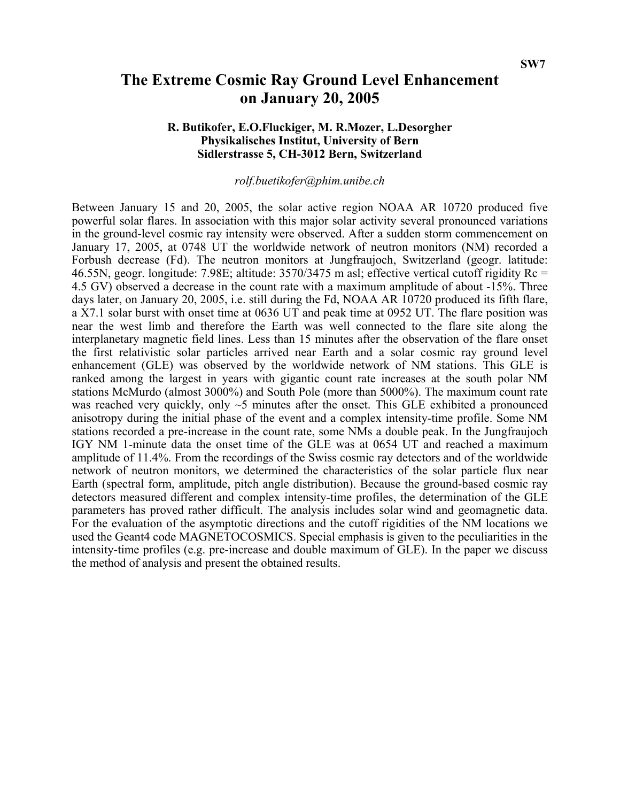# **The Extreme Cosmic Ray Ground Level Enhancement on January 20, 2005**

### **R. Butikofer, E.O.Fluckiger, M. R.Mozer, L.Desorgher Physikalisches Institut, University of Bern Sidlerstrasse 5, CH-3012 Bern, Switzerland**

### *rolf.buetikofer@phim.unibe.ch*

Between January 15 and 20, 2005, the solar active region NOAA AR 10720 produced five powerful solar flares. In association with this major solar activity several pronounced variations in the ground-level cosmic ray intensity were observed. After a sudden storm commencement on January 17, 2005, at 0748 UT the worldwide network of neutron monitors (NM) recorded a Forbush decrease (Fd). The neutron monitors at Jungfraujoch, Switzerland (geogr. latitude: 46.55N, geogr. longitude: 7.98E; altitude: 3570/3475 m asl; effective vertical cutoff rigidity Rc = 4.5 GV) observed a decrease in the count rate with a maximum amplitude of about -15%. Three days later, on January 20, 2005, i.e. still during the Fd, NOAA AR 10720 produced its fifth flare, a X7.1 solar burst with onset time at 0636 UT and peak time at 0952 UT. The flare position was near the west limb and therefore the Earth was well connected to the flare site along the interplanetary magnetic field lines. Less than 15 minutes after the observation of the flare onset the first relativistic solar particles arrived near Earth and a solar cosmic ray ground level enhancement (GLE) was observed by the worldwide network of NM stations. This GLE is ranked among the largest in years with gigantic count rate increases at the south polar NM stations McMurdo (almost 3000%) and South Pole (more than 5000%). The maximum count rate was reached very quickly, only  $\sim$ 5 minutes after the onset. This GLE exhibited a pronounced anisotropy during the initial phase of the event and a complex intensity-time profile. Some NM stations recorded a pre-increase in the count rate, some NMs a double peak. In the Jungfraujoch IGY NM 1-minute data the onset time of the GLE was at 0654 UT and reached a maximum amplitude of 11.4%. From the recordings of the Swiss cosmic ray detectors and of the worldwide network of neutron monitors, we determined the characteristics of the solar particle flux near Earth (spectral form, amplitude, pitch angle distribution). Because the ground-based cosmic ray detectors measured different and complex intensity-time profiles, the determination of the GLE parameters has proved rather difficult. The analysis includes solar wind and geomagnetic data. For the evaluation of the asymptotic directions and the cutoff rigidities of the NM locations we used the Geant4 code MAGNETOCOSMICS. Special emphasis is given to the peculiarities in the intensity-time profiles (e.g. pre-increase and double maximum of GLE). In the paper we discuss the method of analysis and present the obtained results.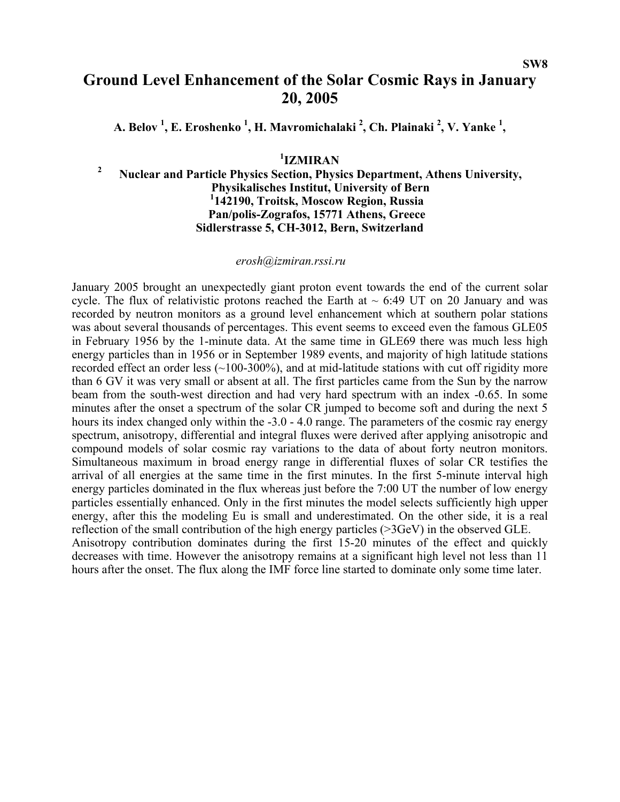# **Ground Level Enhancement of the Solar Cosmic Rays in January 20, 2005**

A. Belov <sup>1</sup>, E. Eroshenko <sup>1</sup>, H. Mavromichalaki <sup>2</sup>, Ch. Plainaki <sup>2</sup>, V. Yanke <sup>1</sup>,

## **1 IZMIRAN**

#### **2 Nuclear and Particle Physics Section, Physics Department, Athens University, Physikalisches Institut, University of Bern 1 142190, Troitsk, Moscow Region, Russia Pan/polis-Zografos, 15771 Athens, Greece Sidlerstrasse 5, CH-3012, Bern, Switzerland**

#### *[erosh@izmiran.rssi.ru](mailto:erosh@izmiran.rssi.ru)*

January 2005 brought an unexpectedly giant proton event towards the end of the current solar cycle. The flux of relativistic protons reached the Earth at  $\sim 6:49$  UT on 20 January and was recorded by neutron monitors as a ground level enhancement which at southern polar stations was about several thousands of percentages. This event seems to exceed even the famous GLE05 in February 1956 by the 1-minute data. At the same time in GLE69 there was much less high energy particles than in 1956 or in September 1989 events, and majority of high latitude stations recorded effect an order less (~100-300%), and at mid-latitude stations with cut off rigidity more than 6 GV it was very small or absent at all. The first particles came from the Sun by the narrow beam from the south-west direction and had very hard spectrum with an index -0.65. In some minutes after the onset a spectrum of the solar CR jumped to become soft and during the next 5 hours its index changed only within the -3.0 - 4.0 range. The parameters of the cosmic ray energy spectrum, anisotropy, differential and integral fluxes were derived after applying anisotropic and compound models of solar cosmic ray variations to the data of about forty neutron monitors. Simultaneous maximum in broad energy range in differential fluxes of solar CR testifies the arrival of all energies at the same time in the first minutes. In the first 5-minute interval high energy particles dominated in the flux whereas just before the 7:00 UT the number of low energy particles essentially enhanced. Only in the first minutes the model selects sufficiently high upper energy, after this the modeling Eu is small and underestimated. On the other side, it is a real reflection of the small contribution of the high energy particles (>3GeV) in the observed GLE. Anisotropy contribution dominates during the first 15-20 minutes of the effect and quickly decreases with time. However the anisotropy remains at a significant high level not less than 11 hours after the onset. The flux along the IMF force line started to dominate only some time later.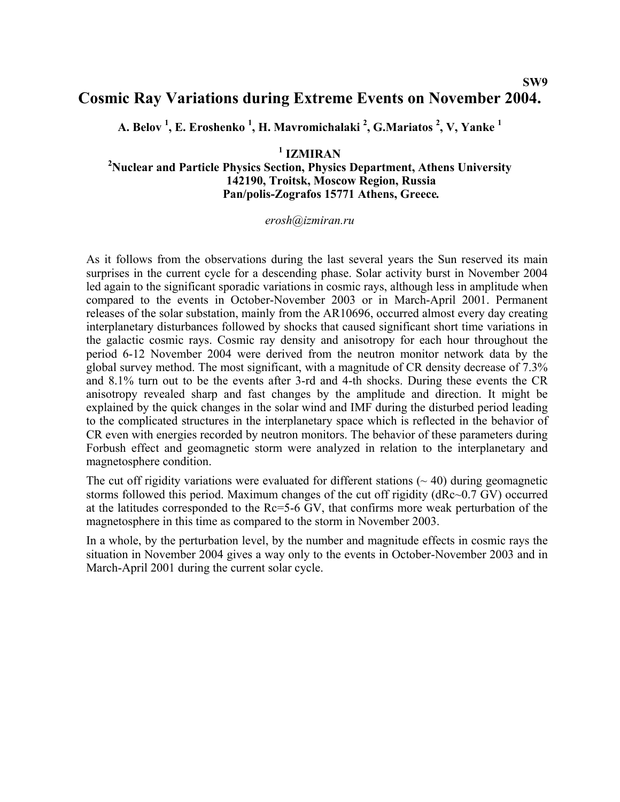## **Cosmic Ray Variations during Extreme Events on November 2004.**

**A. Belov 1 , E. Eroshenko 1 , H. Mavromichalaki 2 , G.Mariatos 2 , V, Yanke 1**

**1 IZMIRAN** 

### **2 Nuclear and Particle Physics Section, Physics Department, Athens University 142190, Troitsk, Moscow Region, Russia Pan/polis-Zografos 15771 Athens, Greece***.*

#### *erosh@izmiran.ru*

As it follows from the observations during the last several years the Sun reserved its main surprises in the current cycle for a descending phase. Solar activity burst in November 2004 led again to the significant sporadic variations in cosmic rays, although less in amplitude when compared to the events in October-November 2003 or in March-April 2001. Permanent releases of the solar substation, mainly from the AR10696, occurred almost every day creating interplanetary disturbances followed by shocks that caused significant short time variations in the galactic cosmic rays. Cosmic ray density and anisotropy for each hour throughout the period 6-12 November 2004 were derived from the neutron monitor network data by the global survey method. The most significant, with a magnitude of CR density decrease of 7.3% and 8.1% turn out to be the events after 3-rd and 4-th shocks. During these events the CR anisotropy revealed sharp and fast changes by the amplitude and direction. It might be explained by the quick changes in the solar wind and IMF during the disturbed period leading to the complicated structures in the interplanetary space which is reflected in the behavior of CR even with energies recorded by neutron monitors. The behavior of these parameters during Forbush effect and geomagnetic storm were analyzed in relation to the interplanetary and magnetosphere condition.

The cut off rigidity variations were evaluated for different stations ( $\sim$  40) during geomagnetic storms followed this period. Maximum changes of the cut off rigidity (dRc~0.7 GV) occurred at the latitudes corresponded to the Rc=5-6 GV, that confirms more weak perturbation of the magnetosphere in this time as compared to the storm in November 2003.

In a whole, by the perturbation level, by the number and magnitude effects in cosmic rays the situation in November 2004 gives a way only to the events in October-November 2003 and in March-April 2001 during the current solar cycle.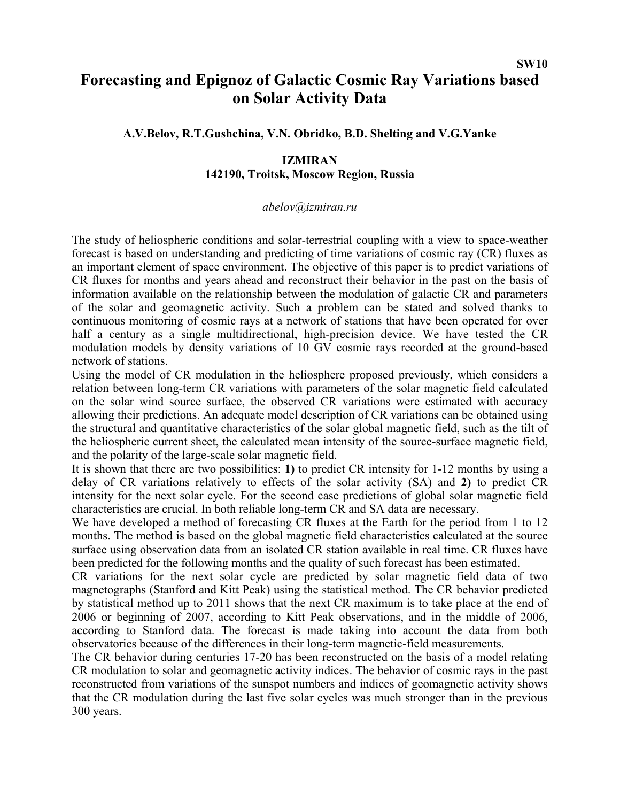# **Forecasting and Epignoz of Galactic Cosmic Ray Variations based on Solar Activity Data**

**A.V.Belov, R.T.Gushchina, V.N. Obridko, B.D. Shelting and V.G.Yanke** 

### **IZMIRAN 142190, Troitsk, Moscow Region, Russia**

#### *abelov@izmiran.ru*

The study of heliospheric conditions and solar-terrestrial coupling with a view to space-weather forecast is based on understanding and predicting of time variations of cosmic ray (CR) fluxes as an important element of space environment. The objective of this paper is to predict variations of CR fluxes for months and years ahead and reconstruct their behavior in the past on the basis of information available on the relationship between the modulation of galactic CR and parameters of the solar and geomagnetic activity. Such a problem can be stated and solved thanks to continuous monitoring of cosmic rays at a network of stations that have been operated for over half a century as a single multidirectional, high-precision device. We have tested the CR modulation models by density variations of 10 GV cosmic rays recorded at the ground-based network of stations.

Using the model of CR modulation in the heliosphere proposed previously, which considers a relation between long-term CR variations with parameters of the solar magnetic field calculated on the solar wind source surface, the observed CR variations were estimated with accuracy allowing their predictions. An adequate model description of CR variations can be obtained using the structural and quantitative characteristics of the solar global magnetic field, such as the tilt of the heliospheric current sheet, the calculated mean intensity of the source-surface magnetic field, and the polarity of the large-scale solar magnetic field.

It is shown that there are two possibilities: **1)** to predict CR intensity for 1-12 months by using a delay of CR variations relatively to effects of the solar activity (SA) and **2)** to predict CR intensity for the next solar cycle. For the second case predictions of global solar magnetic field characteristics are crucial. In both reliable long-term CR and SA data are necessary.

We have developed a method of forecasting CR fluxes at the Earth for the period from 1 to 12 months. The method is based on the global magnetic field characteristics calculated at the source surface using observation data from an isolated CR station available in real time. CR fluxes have been predicted for the following months and the quality of such forecast has been estimated.

CR variations for the next solar cycle are predicted by solar magnetic field data of two magnetographs (Stanford and Kitt Peak) using the statistical method. The CR behavior predicted by statistical method up to 2011 shows that the next CR maximum is to take place at the end of 2006 or beginning of 2007, according to Kitt Peak observations, and in the middle of 2006, according to Stanford data. The forecast is made taking into account the data from both observatories because of the differences in their long-term magnetic-field measurements.

The CR behavior during centuries 17-20 has been reconstructed on the basis of a model relating CR modulation to solar and geomagnetic activity indices. The behavior of cosmic rays in the past reconstructed from variations of the sunspot numbers and indices of geomagnetic activity shows that the CR modulation during the last five solar cycles was much stronger than in the previous 300 years.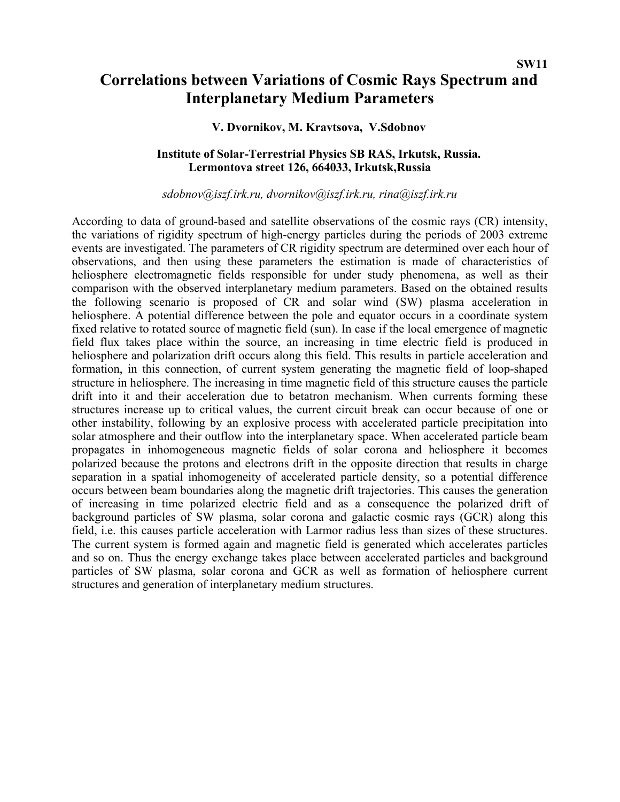# **Correlations between Variations of Cosmic Rays Spectrum and Interplanetary Medium Parameters**

### **V. Dvornikov, M. Kravtsova, V.Sdobnov**

### **Institute of Solar-Terrestrial Physics SB RAS, Irkutsk, Russia. Lermontova street 126, 664033, Irkutsk,Russia**

#### *[sdobnov@iszf.irk.ru,](mailto:sdobnov@iszf.irk.ru) [dvornikov@iszf.irk.ru,](mailto:dvornikov@iszf.irk.ru) [rina@iszf.irk.ru](mailto:rina@iszf.irk.ru)*

According to data of ground-based and satellite observations of the cosmic rays (CR) intensity, the variations of rigidity spectrum of high-energy particles during the periods of 2003 extreme events are investigated. The parameters of CR rigidity spectrum are determined over each hour of observations, and then using these parameters the estimation is made of characteristics of heliosphere electromagnetic fields responsible for under study phenomena, as well as their comparison with the observed interplanetary medium parameters. Based on the obtained results the following scenario is proposed of CR and solar wind (SW) plasma acceleration in heliosphere. A potential difference between the pole and equator occurs in a coordinate system fixed relative to rotated source of magnetic field (sun). In case if the local emergence of magnetic field flux takes place within the source, an increasing in time electric field is produced in heliosphere and polarization drift occurs along this field. This results in particle acceleration and formation, in this connection, of current system generating the magnetic field of loop-shaped structure in heliosphere. The increasing in time magnetic field of this structure causes the particle drift into it and their acceleration due to betatron mechanism. When currents forming these structures increase up to critical values, the current circuit break can occur because of one or other instability, following by an explosive process with accelerated particle precipitation into solar atmosphere and their outflow into the interplanetary space. When accelerated particle beam propagates in inhomogeneous magnetic fields of solar corona and heliosphere it becomes polarized because the protons and electrons drift in the opposite direction that results in charge separation in a spatial inhomogeneity of accelerated particle density, so a potential difference occurs between beam boundaries along the magnetic drift trajectories. This causes the generation of increasing in time polarized electric field and as a consequence the polarized drift of background particles of SW plasma, solar corona and galactic cosmic rays (GCR) along this field, i.e. this causes particle acceleration with Larmor radius less than sizes of these structures. The current system is formed again and magnetic field is generated which accelerates particles and so on. Thus the energy exchange takes place between accelerated particles and background particles of SW plasma, solar corona and GCR as well as formation of heliosphere current structures and generation of interplanetary medium structures.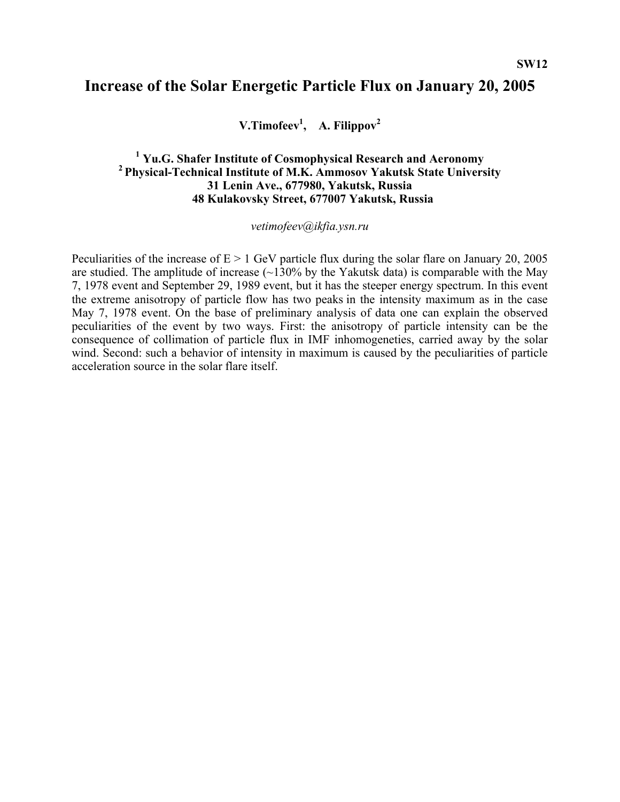## **Increase of the Solar Energetic Particle Flux on January 20, 2005**

**V.Timofeev1 , A. Filippov2**

## <sup>1</sup> Yu.G. Shafer Institute of Cosmophysical Research and Aeronomy <sup>2</sup> Physical-Technical Institute of M.K. Ammosov Yakutsk State University **31 Lenin Ave., 677980, Yakutsk, Russia 48 Kulakovsky Street, 677007 Yakutsk, Russia**

#### *[vetimofeev@ikfia.ysn.ru](mailto:vetimofeev@ikfia.ysn.ru)*

Peculiarities of the increase of  $E > 1$  GeV particle flux during the solar flare on January 20, 2005 are studied. The amplitude of increase  $(\sim 130\%$  by the Yakutsk data) is comparable with the May 7, 1978 event and September 29, 1989 event, but it has the steeper energy spectrum. In this event the extreme anisotropy of particle flow has two peaks in the intensity maximum as in the case May 7, 1978 event. On the base of preliminary analysis of data one can explain the observed peculiarities of the event by two ways. First: the anisotropy of particle intensity can be the consequence of collimation of particle flux in IMF inhomogeneties, carried away by the solar wind. Second: such a behavior of intensity in maximum is caused by the peculiarities of particle acceleration source in the solar flare itself.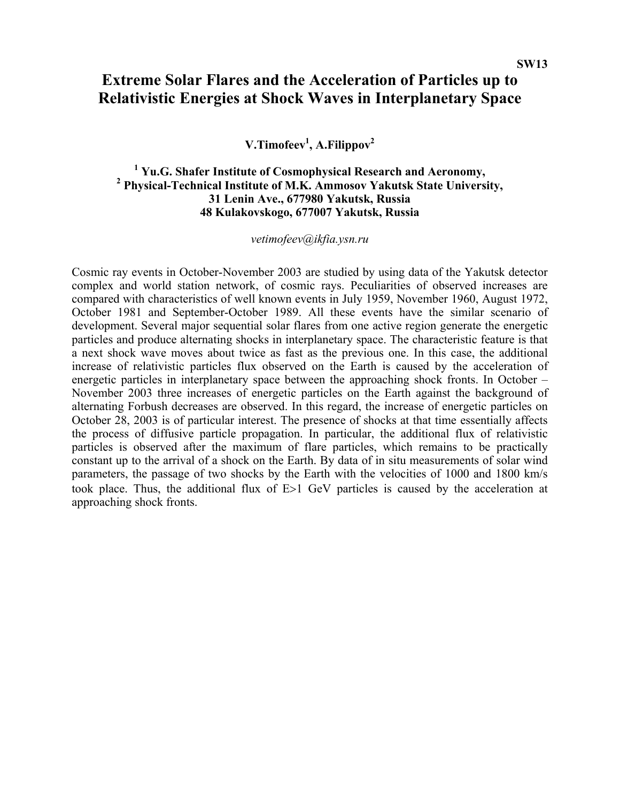# **Extreme Solar Flares and the Acceleration of Particles up to Relativistic Energies at Shock Waves in Interplanetary Space**

**V.Timofeev1 , A.Filippov<sup>2</sup>**

## <sup>1</sup> Yu.G. Shafer Institute of Cosmophysical Research and Aeronomy,  **Physical-Technical Institute of M.K. Ammosov Yakutsk State University, 31 Lenin Ave., 677980 Yakutsk, Russia 48 Kulakovskogo, 677007 Yakutsk, Russia**

*[vetimofeev@ikfia.ysn.ru](mailto:vetimofeev@ikfia.ysn.ru)*

Cosmic ray events in October-November 2003 are studied by using data of the Yakutsk detector complex and world station network, of cosmic rays. Peculiarities of observed increases are compared with characteristics of well known events in July 1959, November 1960, August 1972, October 1981 and September-October 1989. All these events have the similar scenario of development. Several major sequential solar flares from one active region generate the energetic particles and produce alternating shocks in interplanetary space. The characteristic feature is that a next shock wave moves about twice as fast as the previous one. In this case, the additional increase of relativistic particles flux observed on the Earth is caused by the acceleration of energetic particles in interplanetary space between the approaching shock fronts. In October – November 2003 three increases of energetic particles on the Earth against the background of alternating Forbush decreases are observed. In this regard, the increase of energetic particles on October 28, 2003 is of particular interest. The presence of shocks at that time essentially affects the process of diffusive particle propagation. In particular, the additional flux of relativistic particles is observed after the maximum of flare particles, which remains to be practically constant up to the arrival of a shock on the Earth. By data of in situ measurements of solar wind parameters, the passage of two shocks by the Earth with the velocities of 1000 and 1800 km/s took place. Thus, the additional flux of E>1 GeV particles is caused by the acceleration at approaching shock fronts.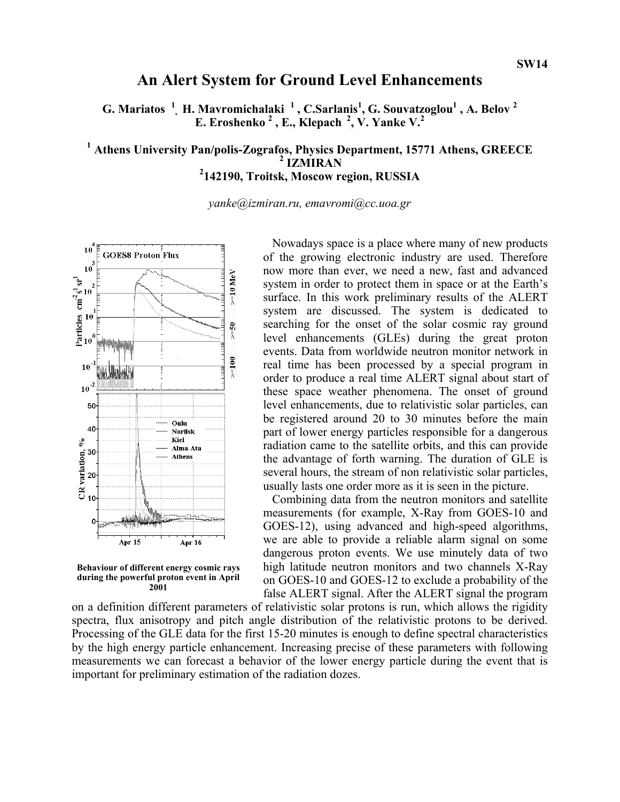## **An Alert System for Ground Level Enhancements**

**G. Mariatos <sup>1</sup> , H. Mavromichalaki <sup>1</sup> , C.Sarlanis<sup>1</sup> , G. Souvatzoglou1 , A. Belov 2 E. Eroshenko <sup>2</sup> , E., Klepach 2, V. Yanke V.2** 

# <sup>1</sup> Athens University Pan/polis-Zografos, Physics Department, 15771 Athens, GREECE <sup>2</sup> IZMIRAN **2 142190, Troitsk, Moscow region, RUSSIA**

*[yanke@izmiran.ru,](mailto:yanke@izmiran.ru) emavromi@cc.uoa.gr* 



**Behaviour of different energy cosmic rays during the powerful proton event in April 2001** 

Nowadays space is a place where many of new products of the growing electronic industry are used. Therefore now more than ever, we need a new, fast and advanced system in order to protect them in space or at the Earth's surface. In this work preliminary results of the ALERT system are discussed. The system is dedicated to searching for the onset of the solar cosmic ray ground level enhancements (GLEs) during the great proton events. Data from worldwide neutron monitor network in real time has been processed by a special program in order to produce a real time ALERT signal about start of these space weather phenomena. The onset of ground level enhancements, due to relativistic solar particles, can be registered around 20 to 30 minutes before the main part of lower energy particles responsible for a dangerous radiation came to the satellite orbits, and this can provide the advantage of forth warning. The duration of GLE is several hours, the stream of non relativistic solar particles, usually lasts one order more as it is seen in the picture.

Combining data from the neutron monitors and satellite measurements (for example, X-Ray from GOES-10 and GOES-12), using advanced and high-speed algorithms, we are able to provide a reliable alarm signal on some dangerous proton events. We use minutely data of two high latitude neutron monitors and two channels X-Ray on GOES-10 and GOES-12 to exclude a probability of the false ALERT signal. After the ALERT signal the program

on a definition different parameters of relativistic solar protons is run, which allows the rigidity spectra, flux anisotropy and pitch angle distribution of the relativistic protons to be derived. Processing of the GLE data for the first 15-20 minutes is enough to define spectral characteristics by the high energy particle enhancement. Increasing precise of these parameters with following measurements we can forecast a behavior of the lower energy particle during the event that is important for preliminary estimation of the radiation dozes.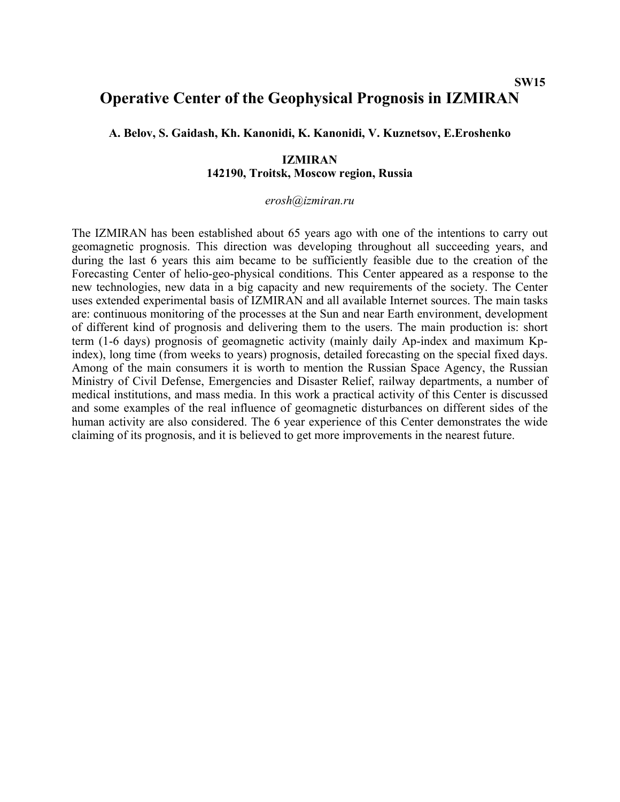#### **SW15**

## **Operative Center of the Geophysical Prognosis in IZMIRAN**

**A. Belov, S. Gaidash, Kh. Kanonidi, K. Kanonidi, V. Kuznetsov, E.Eroshenko** 

### **IZMIRAN 142190, Troitsk, Moscow region, Russia**

#### *[erosh@izmiran.ru](mailto:erosh@izmiran.ru)*

The IZMIRAN has been established about 65 years ago with one of the intentions to carry out geomagnetic prognosis. This direction was developing throughout all succeeding years, and during the last 6 years this aim became to be sufficiently feasible due to the creation of the Forecasting Center of helio-geo-physical conditions. This Center appeared as a response to the new technologies, new data in a big capacity and new requirements of the society. The Center uses extended experimental basis of IZMIRAN and all available Internet sources. The main tasks are: continuous monitoring of the processes at the Sun and near Earth environment, development of different kind of prognosis and delivering them to the users. The main production is: short term (1-6 days) prognosis of geomagnetic activity (mainly daily Ap-index and maximum Kpindex), long time (from weeks to years) prognosis, detailed forecasting on the special fixed days. Among of the main consumers it is worth to mention the Russian Space Agency, the Russian Ministry of Civil Defense, Emergencies and Disaster Relief, railway departments, a number of medical institutions, and mass media. In this work a practical activity of this Center is discussed and some examples of the real influence of geomagnetic disturbances on different sides of the human activity are also considered. The 6 year experience of this Center demonstrates the wide claiming of its prognosis, and it is believed to get more improvements in the nearest future.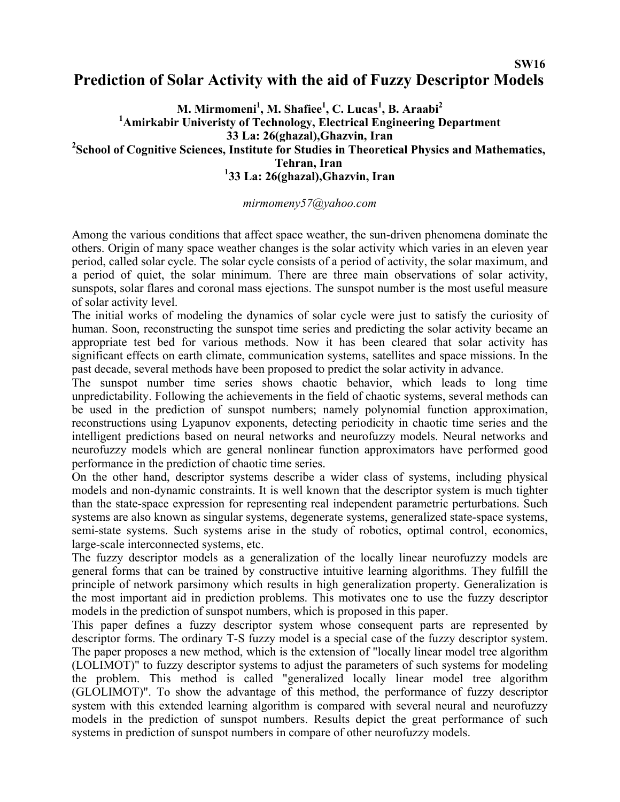## **SW16 Prediction of Solar Activity with the aid of Fuzzy Descriptor Models**

**M. Mirmomeni<sup>1</sup> , M. Shafiee<sup>1</sup> , C. Lucas<sup>1</sup> , B. Araabi<sup>2</sup> 1 Amirkabir Univeristy of Technology, Electrical Engineering Department 33 La: 26(ghazal),Ghazvin, Iran 2 School of Cognitive Sciences, Institute for Studies in Theoretical Physics and Mathematics, Tehran, Iran 1 33 La: 26(ghazal),Ghazvin, Iran** 

### *[mirmomeny57@yahoo.com](mailto:mirmomeny57@yahoo.com)*

Among the various conditions that affect space weather, the sun-driven phenomena dominate the others. Origin of many space weather changes is the solar activity which varies in an eleven year period, called solar cycle. The solar cycle consists of a period of activity, the solar maximum, and a period of quiet, the solar minimum. There are three main observations of solar activity, sunspots, solar flares and coronal mass ejections. The sunspot number is the most useful measure of solar activity level.

The initial works of modeling the dynamics of solar cycle were just to satisfy the curiosity of human. Soon, reconstructing the sunspot time series and predicting the solar activity became an appropriate test bed for various methods. Now it has been cleared that solar activity has significant effects on earth climate, communication systems, satellites and space missions. In the past decade, several methods have been proposed to predict the solar activity in advance.

The sunspot number time series shows chaotic behavior, which leads to long time unpredictability. Following the achievements in the field of chaotic systems, several methods can be used in the prediction of sunspot numbers; namely polynomial function approximation, reconstructions using Lyapunov exponents, detecting periodicity in chaotic time series and the intelligent predictions based on neural networks and neurofuzzy models. Neural networks and neurofuzzy models which are general nonlinear function approximators have performed good performance in the prediction of chaotic time series.

On the other hand, descriptor systems describe a wider class of systems, including physical models and non-dynamic constraints. It is well known that the descriptor system is much tighter than the state-space expression for representing real independent parametric perturbations. Such systems are also known as singular systems, degenerate systems, generalized state-space systems, semi-state systems. Such systems arise in the study of robotics, optimal control, economics, large-scale interconnected systems, etc.

The fuzzy descriptor models as a generalization of the locally linear neurofuzzy models are general forms that can be trained by constructive intuitive learning algorithms. They fulfill the principle of network parsimony which results in high generalization property. Generalization is the most important aid in prediction problems. This motivates one to use the fuzzy descriptor models in the prediction of sunspot numbers, which is proposed in this paper.

This paper defines a fuzzy descriptor system whose consequent parts are represented by descriptor forms. The ordinary T-S fuzzy model is a special case of the fuzzy descriptor system. The paper proposes a new method, which is the extension of "locally linear model tree algorithm (LOLIMOT)" to fuzzy descriptor systems to adjust the parameters of such systems for modeling the problem. This method is called "generalized locally linear model tree algorithm (GLOLIMOT)". To show the advantage of this method, the performance of fuzzy descriptor system with this extended learning algorithm is compared with several neural and neurofuzzy models in the prediction of sunspot numbers. Results depict the great performance of such systems in prediction of sunspot numbers in compare of other neurofuzzy models.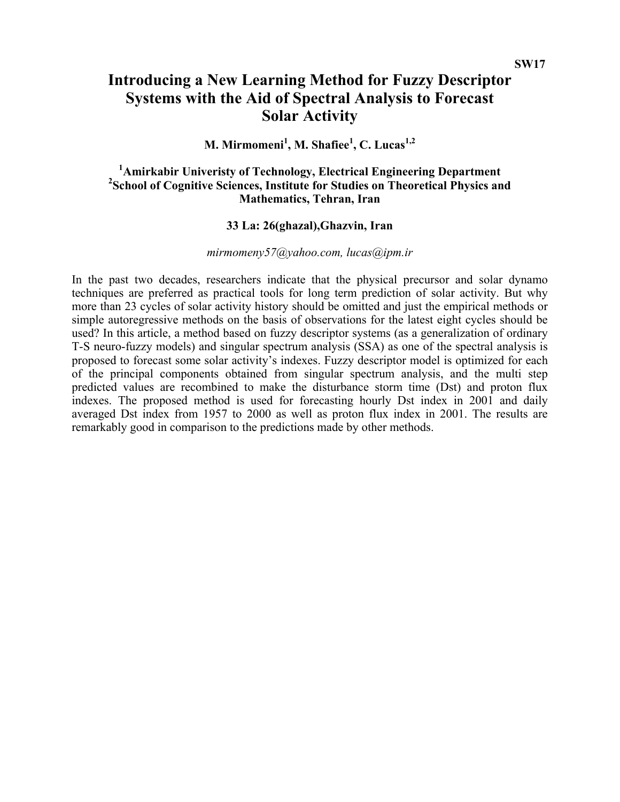# **Introducing a New Learning Method for Fuzzy Descriptor Systems with the Aid of Spectral Analysis to Forecast Solar Activity**

## **M. Mirmomeni<sup>1</sup> , M. Shafiee<sup>1</sup> , C. Lucas1,2**

## <sup>1</sup>Amirkabir Univeristy of Technology, Electrical Engineering Department <sup>2</sup> School of Cognitive Sciences, Institute for Studies on Theoretical Physics and **Mathematics, Tehran, Iran**

## **33 La: 26(ghazal),Ghazvin, Iran**

### *[mirmomeny57@yahoo.com](mailto:mirmomeny57@yahoo.com), lucas@ipm.ir*

In the past two decades, researchers indicate that the physical precursor and solar dynamo techniques are preferred as practical tools for long term prediction of solar activity. But why more than 23 cycles of solar activity history should be omitted and just the empirical methods or simple autoregressive methods on the basis of observations for the latest eight cycles should be used? In this article, a method based on fuzzy descriptor systems (as a generalization of ordinary T-S neuro-fuzzy models) and singular spectrum analysis (SSA) as one of the spectral analysis is proposed to forecast some solar activity's indexes. Fuzzy descriptor model is optimized for each of the principal components obtained from singular spectrum analysis, and the multi step predicted values are recombined to make the disturbance storm time (Dst) and proton flux indexes. The proposed method is used for forecasting hourly Dst index in 2001 and daily averaged Dst index from 1957 to 2000 as well as proton flux index in 2001. The results are remarkably good in comparison to the predictions made by other methods.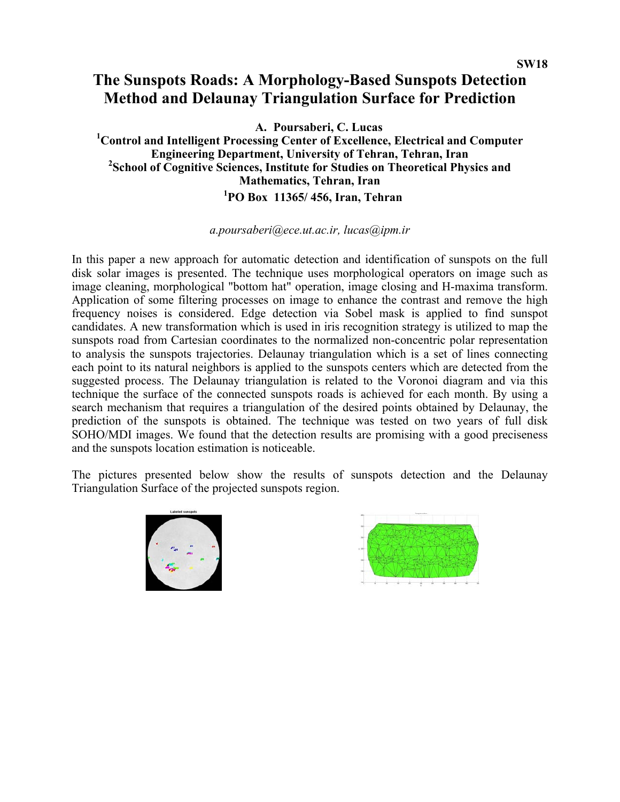# **The Sunspots Roads: A Morphology-Based Sunspots Detection Method and Delaunay Triangulation Surface for Prediction**

**A. Poursaberi, C. Lucas** 

**1 Control and Intelligent Processing Center of Excellence, Electrical and Computer Engineering Department, University of Tehran, Tehran, Iran 2 School of Cognitive Sciences, Institute for Studies on Theoretical Physics and Mathematics, Tehran, Iran**  **1PO Box 11365/ 456, Iran, Tehran** 

### *a.poursaberi@ece.ut.ac.ir, lucas@ipm.ir*

In this paper a new approach for automatic detection and identification of sunspots on the full disk solar images is presented. The technique uses morphological operators on image such as image cleaning, morphological "bottom hat" operation, image closing and H-maxima transform. Application of some filtering processes on image to enhance the contrast and remove the high frequency noises is considered. Edge detection via Sobel mask is applied to find sunspot candidates. A new transformation which is used in iris recognition strategy is utilized to map the sunspots road from Cartesian coordinates to the normalized non-concentric polar representation to analysis the sunspots trajectories. Delaunay triangulation which is a set of lines connecting each point to its natural neighbors is applied to the sunspots centers which are detected from the suggested process. The Delaunay triangulation is related to the Voronoi diagram and via this technique the surface of the connected sunspots roads is achieved for each month. By using a search mechanism that requires a triangulation of the desired points obtained by Delaunay, the prediction of the sunspots is obtained. The technique was tested on two years of full disk SOHO/MDI images. We found that the detection results are promising with a good preciseness and the sunspots location estimation is noticeable.

The pictures presented below show the results of sunspots detection and the Delaunay Triangulation Surface of the projected sunspots region.



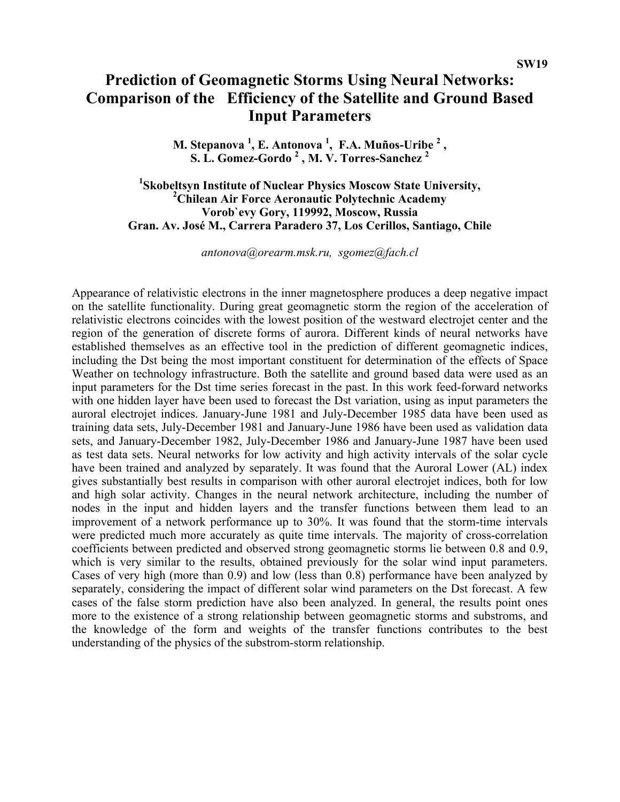## **Prediction of Geomagnetic Storms Using Neural Networks: Comparison of the Efficiency of the Satellite and Ground Based Input Parameters**

**M. Stepanova 1 , E. Antonova 1 , F.A. Muños-Uribe 2 , S. L. Gomez-Gordo 2 , M. V. Torres-Sanchez <sup>2</sup>**

<sup>1</sup>Skobeltsyn Institute of Nuclear Physics Moscow State University, **Chilean Air Force Aeronautic Polytechnic Academy Vorob`evy Gory, 119992, Moscow, Russia Gran. Av. José M., Carrera Paradero 37, Los Cerillos, Santiago, Chile** 

*[antonova@orearm.msk.ru](http://crdlx1.yerphi.am/MAIL/src/compose.php?send_to=antonova@orearm.msk.ru), [sgomez@fach.cl](http://crdlx1.yerphi.am/MAIL/src/compose.php?send_to=sgomez@fach.cl)*

Appearance of relativistic electrons in the inner magnetosphere produces a deep negative impact on the satellite functionality. During great geomagnetic storm the region of the acceleration of relativistic electrons coincides with the lowest position of the westward electrojet center and the region of the generation of discrete forms of aurora. Different kinds of neural networks have established themselves as an effective tool in the prediction of different geomagnetic indices, including the Dst being the most important constituent for determination of the effects of Space Weather on technology infrastructure. Both the satellite and ground based data were used as an input parameters for the Dst time series forecast in the past. In this work feed-forward networks with one hidden layer have been used to forecast the Dst variation, using as input parameters the auroral electrojet indices. January-June 1981 and July-December 1985 data have been used as training data sets, July-December 1981 and January-June 1986 have been used as validation data sets, and January-December 1982, July-December 1986 and January-June 1987 have been used as test data sets. Neural networks for low activity and high activity intervals of the solar cycle have been trained and analyzed by separately. It was found that the Auroral Lower (AL) index gives substantially best results in comparison with other auroral electrojet indices, both for low and high solar activity. Changes in the neural network architecture, including the number of nodes in the input and hidden layers and the transfer functions between them lead to an improvement of a network performance up to 30%. It was found that the storm-time intervals were predicted much more accurately as quite time intervals. The majority of cross-correlation coefficients between predicted and observed strong geomagnetic storms lie between 0.8 and 0.9, which is very similar to the results, obtained previously for the solar wind input parameters. Cases of very high (more than 0.9) and low (less than 0.8) performance have been analyzed by separately, considering the impact of different solar wind parameters on the Dst forecast. A few cases of the false storm prediction have also been analyzed. In general, the results point ones more to the existence of a strong relationship between geomagnetic storms and substroms, and the knowledge of the form and weights of the transfer functions contributes to the best understanding of the physics of the substrom-storm relationship.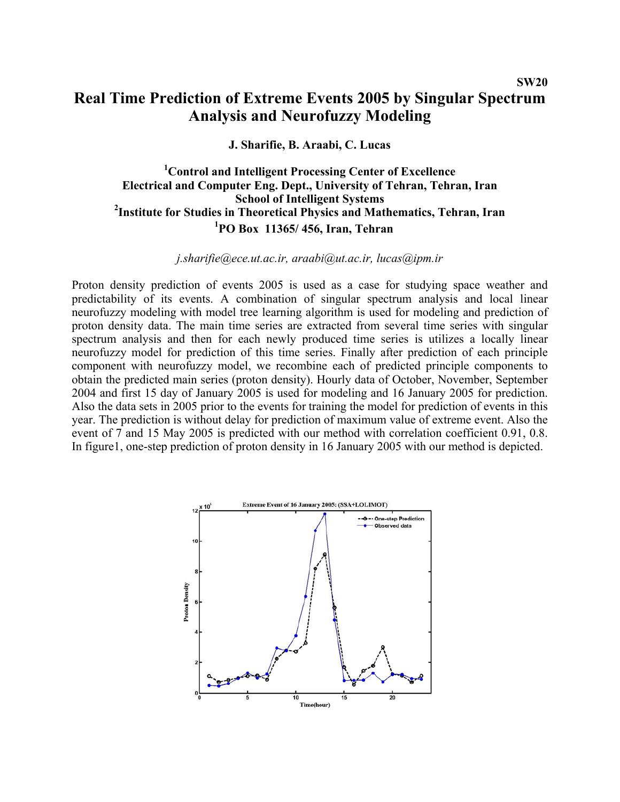## **Real Time Prediction of Extreme Events 2005 by Singular Spectrum Analysis and Neurofuzzy Modeling**

### **J. Sharifie, B. Araabi, C. Lucas**

## **1 Control and Intelligent Processing Center of Excellence Electrical and Computer Eng. Dept., University of Tehran, Tehran, Iran School of Intelligent Systems**<br><sup>2</sup> Institute for Studies in Theoretical Physics and Mathematics, Tehran, Iran **1 PO Box 11365/ 456, Iran, Tehran**

*[j.sharifie@ece.ut.ac.ir](mailto:j.sharifie@ece.ut.ac.ir), [araabi@ut.ac.ir](mailto:araabi@ut.ac.ir), lucas@ipm.ir* 

Proton density prediction of events 2005 is used as a case for studying space weather and predictability of its events. A combination of singular spectrum analysis and local linear neurofuzzy modeling with model tree learning algorithm is used for modeling and prediction of proton density data. The main time series are extracted from several time series with singular spectrum analysis and then for each newly produced time series is utilizes a locally linear neurofuzzy model for prediction of this time series. Finally after prediction of each principle component with neurofuzzy model, we recombine each of predicted principle components to obtain the predicted main series (proton density). Hourly data of October, November, September 2004 and first 15 day of January 2005 is used for modeling and 16 January 2005 for prediction. Also the data sets in 2005 prior to the events for training the model for prediction of events in this year. The prediction is without delay for prediction of maximum value of extreme event. Also the event of 7 and 15 May 2005 is predicted with our method with correlation coefficient 0.91, 0.8. In figure1, one-step prediction of proton density in 16 January 2005 with our method is depicted.

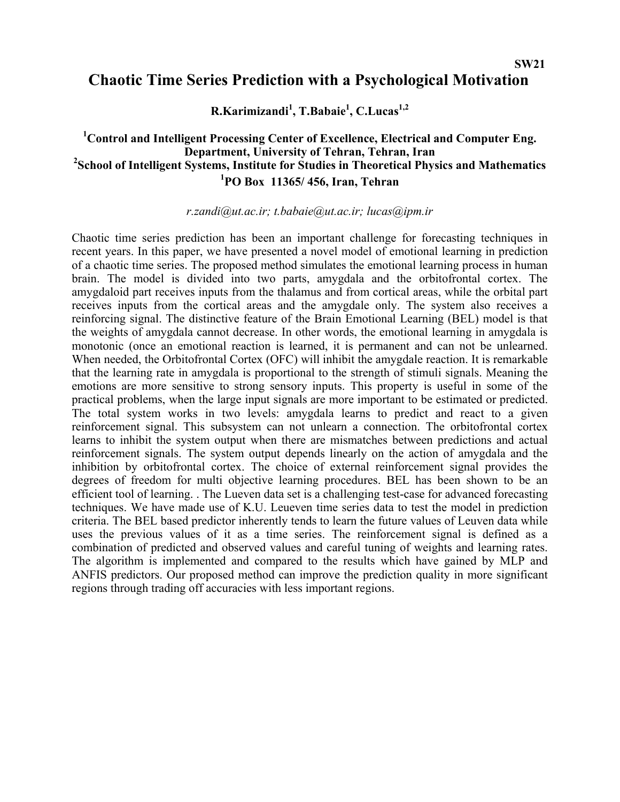# **Chaotic Time Series Prediction with a Psychological Motivation**

**R.Karimizandi<sup>1</sup> , T.Babaie1 , C.Lucas1,2** 

# <sup>1</sup> Control and Intelligent Processing Center of Excellence, Electrical and Computer Eng. **Department, University of Tehran, Tehran, Iran**<br><sup>2</sup> School of Intelligent Systems, Institute for Studies in Theoretical Physics and Mathematics **1 PO Box 11365/ 456, Iran, Tehran**

*[r.zandi@ut.ac.ir;](mailto:r.zandi@ut.ac.ir) [t.babaie@ut.ac.ir](mailto:t.babaie@yut.ac.ir); [lucas@ipm.ir](mailto:lucas@ipm.ir)*

Chaotic time series prediction has been an important challenge for forecasting techniques in recent years. In this paper, we have presented a novel model of emotional learning in prediction of a chaotic time series. The proposed method simulates the emotional learning process in human brain. The model is divided into two parts, amygdala and the orbitofrontal cortex. The amygdaloid part receives inputs from the thalamus and from cortical areas, while the orbital part receives inputs from the cortical areas and the amygdale only. The system also receives a reinforcing signal. The distinctive feature of the Brain Emotional Learning (BEL) model is that the weights of amygdala cannot decrease. In other words, the emotional learning in amygdala is monotonic (once an emotional reaction is learned, it is permanent and can not be unlearned. When needed, the Orbitofrontal Cortex (OFC) will inhibit the amygdale reaction. It is remarkable that the learning rate in amygdala is proportional to the strength of stimuli signals. Meaning the emotions are more sensitive to strong sensory inputs. This property is useful in some of the practical problems, when the large input signals are more important to be estimated or predicted. The total system works in two levels: amygdala learns to predict and react to a given reinforcement signal. This subsystem can not unlearn a connection. The orbitofrontal cortex learns to inhibit the system output when there are mismatches between predictions and actual reinforcement signals. The system output depends linearly on the action of amygdala and the inhibition by orbitofrontal cortex. The choice of external reinforcement signal provides the degrees of freedom for multi objective learning procedures. BEL has been shown to be an efficient tool of learning. . The Lueven data set is a challenging test-case for advanced forecasting techniques. We have made use of K.U. Leueven time series data to test the model in prediction criteria. The BEL based predictor inherently tends to learn the future values of Leuven data while uses the previous values of it as a time series. The reinforcement signal is defined as a combination of predicted and observed values and careful tuning of weights and learning rates. The algorithm is implemented and compared to the results which have gained by MLP and ANFIS predictors. Our proposed method can improve the prediction quality in more significant regions through trading off accuracies with less important regions.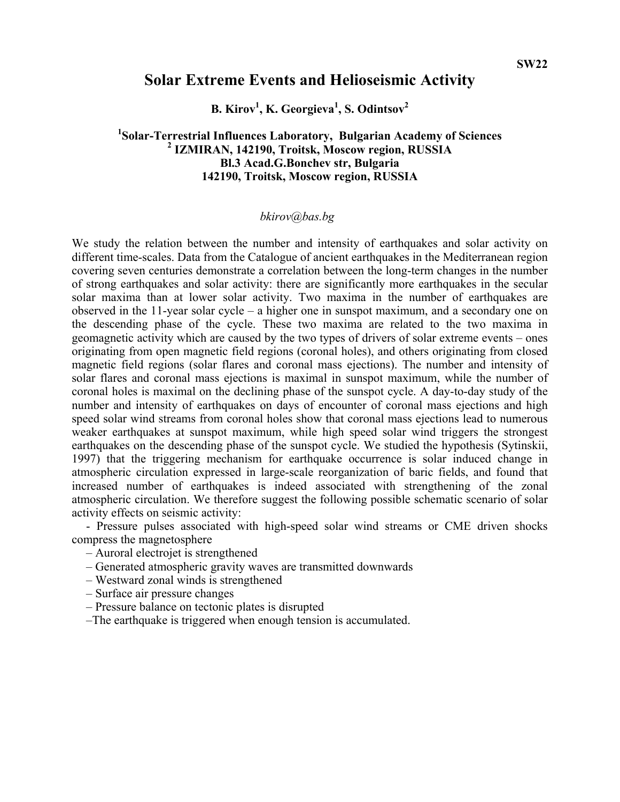## **Solar Extreme Events and Helioseismic Activity**

**B. Kirov<sup>1</sup> , K. Georgieva1 , S. Odintsov<sup>2</sup>**

## **1Solar-Terrestrial Influences Laboratory, Bulgarian Academy of Sciences**<br>2<sup>2</sup> **17MIDAN 142100 Troitely Messey region DUSSLA IZMIRAN, 142190, Troitsk, Moscow region, RUSSIA Bl.3 Acad.G.Bonchev str, Bulgaria 142190, Troitsk, Moscow region, RUSSIA**

### *[bkirov@bas.bg](http://crdlx1.yerphi.am/MAIL/src/compose.php?send_to=bkirov@bas.bg)*

We study the relation between the number and intensity of earthquakes and solar activity on different time-scales. Data from the Catalogue of ancient earthquakes in the Mediterranean region covering seven centuries demonstrate a correlation between the long-term changes in the number of strong earthquakes and solar activity: there are significantly more earthquakes in the secular solar maxima than at lower solar activity. Two maxima in the number of earthquakes are observed in the 11-year solar cycle – a higher one in sunspot maximum, and a secondary one on the descending phase of the cycle. These two maxima are related to the two maxima in geomagnetic activity which are caused by the two types of drivers of solar extreme events – ones originating from open magnetic field regions (coronal holes), and others originating from closed magnetic field regions (solar flares and coronal mass ejections). The number and intensity of solar flares and coronal mass ejections is maximal in sunspot maximum, while the number of coronal holes is maximal on the declining phase of the sunspot cycle. A day-to-day study of the number and intensity of earthquakes on days of encounter of coronal mass ejections and high speed solar wind streams from coronal holes show that coronal mass ejections lead to numerous weaker earthquakes at sunspot maximum, while high speed solar wind triggers the strongest earthquakes on the descending phase of the sunspot cycle. We studied the hypothesis (Sytinskii, 1997) that the triggering mechanism for earthquake occurrence is solar induced change in atmospheric circulation expressed in large-scale reorganization of baric fields, and found that increased number of earthquakes is indeed associated with strengthening of the zonal atmospheric circulation. We therefore suggest the following possible schematic scenario of solar activity effects on seismic activity:

- Pressure pulses associated with high-speed solar wind streams or CME driven shocks compress the magnetosphere

- Auroral electrojet is strengthened
- Generated atmospheric gravity waves are transmitted downwards
- Westward zonal winds is strengthened
- Surface air pressure changes
- Pressure balance on tectonic plates is disrupted
- –The earthquake is triggered when enough tension is accumulated.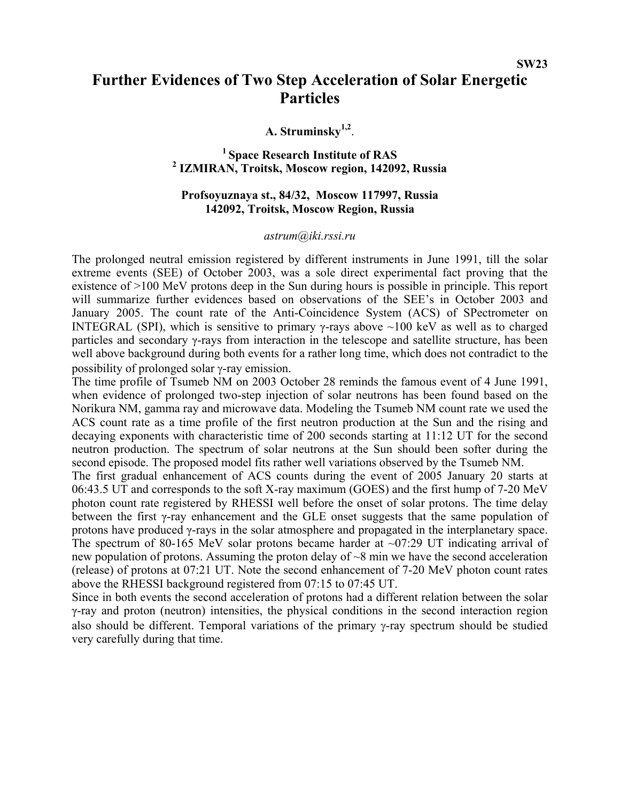# **Further Evidences of Two Step Acceleration of Solar Energetic Particles**

**A. Struminsky1,2**.

<sup>1</sup> Space Research Institute of RAS  **IZMIRAN, Troitsk, Moscow region, 142092, Russia** 

### **Profsoyuznaya st., 84/32, Moscow 117997, Russia 142092, Troitsk, Moscow Region, Russia**

#### *astrum@iki.rssi.ru*

The prolonged neutral emission registered by different instruments in June 1991, till the solar extreme events (SEE) of October 2003, was a sole direct experimental fact proving that the existence of >100 MeV protons deep in the Sun during hours is possible in principle. This report will summarize further evidences based on observations of the SEE's in October 2003 and January 2005. The count rate of the Anti-Coincidence System (ACS) of SPectrometer on INTEGRAL (SPI), which is sensitive to primary γ-rays above  $~100$  keV as well as to charged particles and secondary γ-rays from interaction in the telescope and satellite structure, has been well above background during both events for a rather long time, which does not contradict to the possibility of prolonged solar γ-ray emission.

The time profile of Tsumeb NM on 2003 October 28 reminds the famous event of 4 June 1991, when evidence of prolonged two-step injection of solar neutrons has been found based on the Norikura NM, gamma ray and microwave data. Modeling the Tsumeb NM count rate we used the ACS count rate as a time profile of the first neutron production at the Sun and the rising and decaying exponents with characteristic time of 200 seconds starting at 11:12 UT for the second neutron production. The spectrum of solar neutrons at the Sun should been softer during the second episode. The proposed model fits rather well variations observed by the Tsumeb NM.

The first gradual enhancement of ACS counts during the event of 2005 January 20 starts at 06:43.5 UT and corresponds to the soft X-ray maximum (GOES) and the first hump of 7-20 MeV photon count rate registered by RHESSI well before the onset of solar protons. The time delay between the first γ-ray enhancement and the GLE onset suggests that the same population of protons have produced γ-rays in the solar atmosphere and propagated in the interplanetary space. The spectrum of 80-165 MeV solar protons became harder at  $\sim 07:29$  UT indicating arrival of new population of protons. Assuming the proton delay of ~8 min we have the second acceleration (release) of protons at 07:21 UT. Note the second enhancement of 7-20 MeV photon count rates above the RHESSI background registered from 07:15 to 07:45 UT.

Since in both events the second acceleration of protons had a different relation between the solar γ-ray and proton (neutron) intensities, the physical conditions in the second interaction region also should be different. Temporal variations of the primary γ-ray spectrum should be studied very carefully during that time.

**SW23**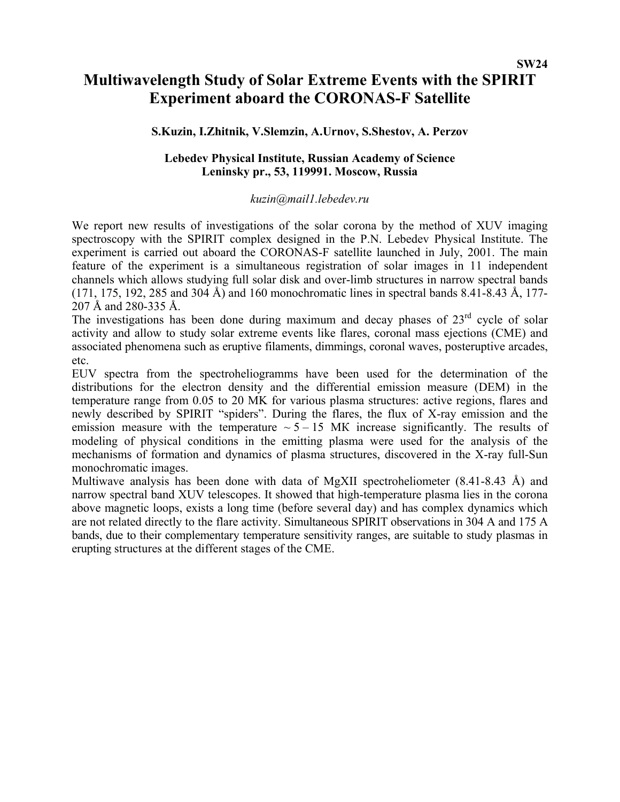## **SW24**

# **Multiwavelength Study of Solar Extreme Events with the SPIRIT Experiment aboard the CORONAS-F Satellite**

### **S.Kuzin, I.Zhitnik, V.Slemzin, A.Urnov, S.Shestov, A. Perzov**

### **Lebedev Physical Institute, Russian Academy of Science Leninsky pr., 53, 119991. Moscow, Russia**

#### *kuzin@mail1.lebedev.ru*

We report new results of investigations of the solar corona by the method of XUV imaging spectroscopy with the SPIRIT complex designed in the P.N. Lebedev Physical Institute. The experiment is carried out aboard the CORONAS-F satellite launched in July, 2001. The main feature of the experiment is a simultaneous registration of solar images in 11 independent channels which allows studying full solar disk and over-limb structures in narrow spectral bands (171, 175, 192, 285 and 304 Å) and 160 monochromatic lines in spectral bands 8.41-8.43 Å, 177- 207 Å and 280-335 Å.

The investigations has been done during maximum and decay phases of  $23<sup>rd</sup>$  cycle of solar activity and allow to study solar extreme events like flares, coronal mass ejections (CME) and associated phenomena such as eruptive filaments, dimmings, coronal waves, posteruptive arcades, etc.

EUV spectra from the spectroheliogramms have been used for the determination of the distributions for the electron density and the differential emission measure (DEM) in the temperature range from 0.05 to 20 MK for various plasma structures: active regions, flares and newly described by SPIRIT "spiders". During the flares, the flux of X-ray emission and the emission measure with the temperature  $\sim$  5 – 15 MK increase significantly. The results of modeling of physical conditions in the emitting plasma were used for the analysis of the mechanisms of formation and dynamics of plasma structures, discovered in the X-ray full-Sun monochromatic images.

Multiwave analysis has been done with data of MgXII spectroheliometer (8.41-8.43 Å) and narrow spectral band XUV telescopes. It showed that high-temperature plasma lies in the corona above magnetic loops, exists a long time (before several day) and has complex dynamics which are not related directly to the flare activity. Simultaneous SPIRIT observations in 304 A and 175 A bands, due to their complementary temperature sensitivity ranges, are suitable to study plasmas in erupting structures at the different stages of the CME.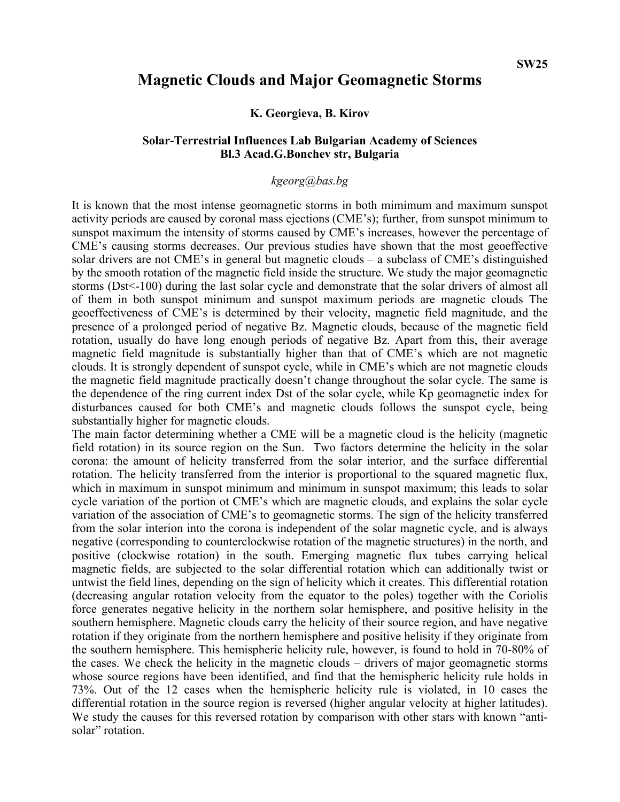## **Magnetic Clouds and Major Geomagnetic Storms**

**K. Georgieva, B. Kirov** 

### **Solar-Terrestrial Influences Lab Bulgarian Academy of Sciences Bl.3 Acad.G.Bonchev str, Bulgaria**

#### *[kgeorg@bas.bg](mailto:kgeorg@bas.bg)*

It is known that the most intense geomagnetic storms in both mimimum and maximum sunspot activity periods are caused by coronal mass ejections (CME's); further, from sunspot minimum to sunspot maximum the intensity of storms caused by CME's increases, however the percentage of CME's causing storms decreases. Our previous studies have shown that the most geoeffective solar drivers are not CME's in general but magnetic clouds – a subclass of CME's distinguished by the smooth rotation of the magnetic field inside the structure. We study the major geomagnetic storms (Dst<-100) during the last solar cycle and demonstrate that the solar drivers of almost all of them in both sunspot minimum and sunspot maximum periods are magnetic clouds The geoeffectiveness of CME's is determined by their velocity, magnetic field magnitude, and the presence of a prolonged period of negative Bz. Magnetic clouds, because of the magnetic field rotation, usually do have long enough periods of negative Bz. Apart from this, their average magnetic field magnitude is substantially higher than that of CME's which are not magnetic clouds. It is strongly dependent of sunspot cycle, while in CME's which are not magnetic clouds the magnetic field magnitude practically doesn't change throughout the solar cycle. The same is the dependence of the ring current index Dst of the solar cycle, while Kp geomagnetic index for disturbances caused for both CME's and magnetic clouds follows the sunspot cycle, being substantially higher for magnetic clouds.

The main factor determining whether a CME will be a magnetic cloud is the helicity (magnetic field rotation) in its source region on the Sun. Two factors determine the helicity in the solar corona: the amount of helicity transferred from the solar interior, and the surface differential rotation. The helicity transferred from the interior is proportional to the squared magnetic flux, which in maximum in sunspot minimum and minimum in sunspot maximum; this leads to solar cycle variation of the portion ot CME's which are magnetic clouds, and explains the solar cycle variation of the association of CME's to geomagnetic storms. The sign of the helicity transferred from the solar interion into the corona is independent of the solar magnetic cycle, and is always negative (corresponding to counterclockwise rotation of the magnetic structures) in the north, and positive (clockwise rotation) in the south. Emerging magnetic flux tubes carrying helical magnetic fields, are subjected to the solar differential rotation which can additionally twist or untwist the field lines, depending on the sign of helicity which it creates. This differential rotation (decreasing angular rotation velocity from the equator to the poles) together with the Coriolis force generates negative helicity in the northern solar hemisphere, and positive helisity in the southern hemisphere. Magnetic clouds carry the helicity of their source region, and have negative rotation if they originate from the northern hemisphere and positive helisity if they originate from the southern hemisphere. This hemispheric helicity rule, however, is found to hold in 70-80% of the cases. We check the helicity in the magnetic clouds – drivers of major geomagnetic storms whose source regions have been identified, and find that the hemispheric helicity rule holds in 73%. Out of the 12 cases when the hemispheric helicity rule is violated, in 10 cases the differential rotation in the source region is reversed (higher angular velocity at higher latitudes). We study the causes for this reversed rotation by comparison with other stars with known "antisolar" rotation.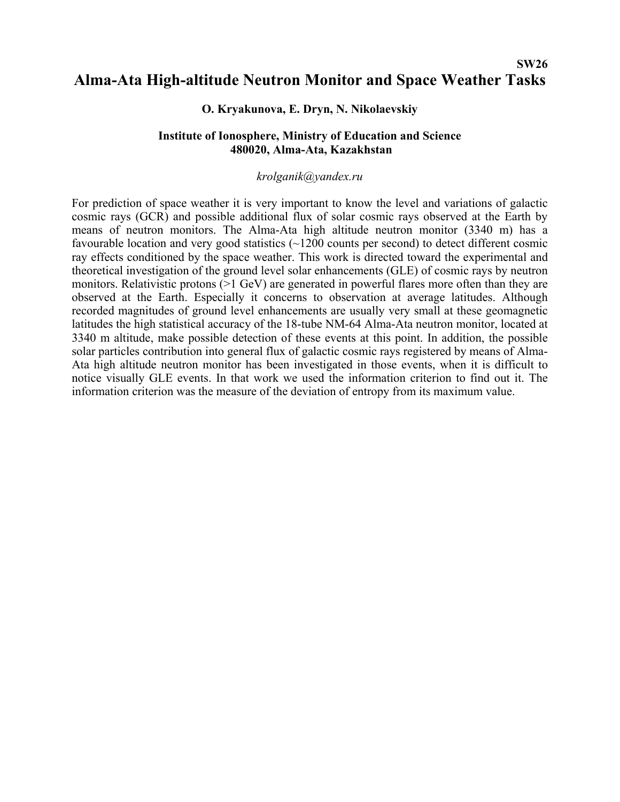## **SW26 Alma-Ata High-altitude Neutron Monitor and Space Weather Tasks**

### **O. Kryakunova, E. Dryn, N. Nikolaevskiy**

### **Institute of Ionosphere, Ministry of Education and Science 480020, Alma-Ata, Kazakhstan**

#### *[krolganik@yandex.ru](mailto:krolganik@yandex.ru)*

For prediction of space weather it is very important to know the level and variations of galactic cosmic rays (GCR) and possible additional flux of solar cosmic rays observed at the Earth by means of neutron monitors. The Alma-Ata high altitude neutron monitor (3340 m) has a favourable location and very good statistics (~1200 counts per second) to detect different cosmic ray effects conditioned by the space weather. This work is directed toward the experimental and theoretical investigation of the ground level solar enhancements (GLE) of cosmic rays by neutron monitors. Relativistic protons (>1 GeV) are generated in powerful flares more often than they are observed at the Earth. Especially it concerns to observation at average latitudes. Although recorded magnitudes of ground level enhancements are usually very small at these geomagnetic latitudes the high statistical accuracy of the 18-tube NM-64 Alma-Ata neutron monitor, located at 3340 m altitude, make possible detection of these events at this point. In addition, the possible solar particles contribution into general flux of galactic cosmic rays registered by means of Alma-Ata high altitude neutron monitor has been investigated in those events, when it is difficult to notice visually GLE events. In that work we used the information criterion to find out it. The information criterion was the measure of the deviation of entropy from its maximum value.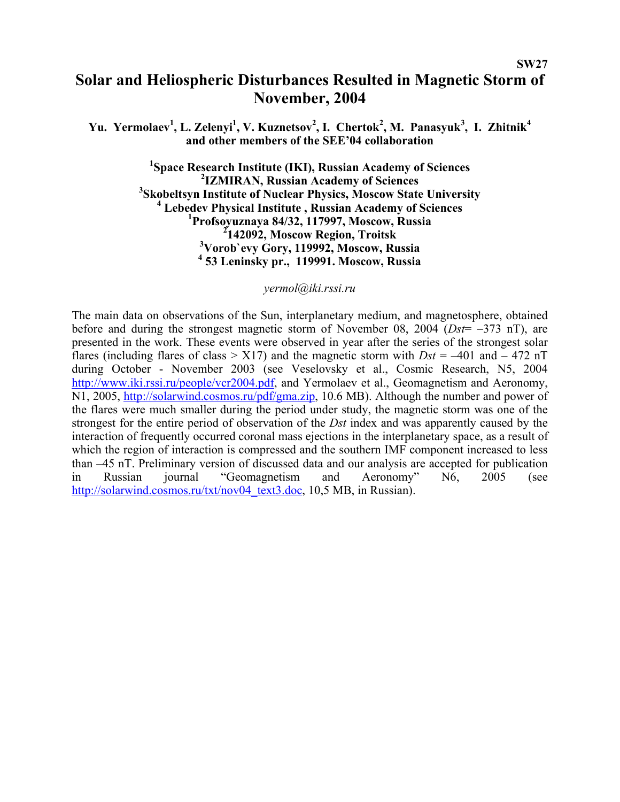# **Solar and Heliospheric Disturbances Resulted in Magnetic Storm of November, 2004**

**SW27** 

Yu. Yermolaev<sup>1</sup>, L. Zelenyi<sup>1</sup>, V. Kuznetsov<sup>2</sup>, I. Chertok<sup>2</sup>, M. Panasyuk<sup>3</sup>, I. Zhitnik<sup>4</sup> **and other members of the SEE'04 collaboration** 

> <sup>1</sup> Space Research Institute (IKI), Russian Academy of Sciences <sup>2</sup> **IZMIRAN, Russian Academy of Sciences**<br><sup>3</sup> Skicheltsyn Institute of Nueleau Physics, Moseou, State **Skobeltsyn Institute of Nuclear Physics, Moscow State University**<br><sup>4</sup> Lebedev Physical Institute Pussion Acedemy of Sciences <sup>4</sup> Lebedev Physical Institute, Russian Academy of Sciences **Profsoyuznaya 84/32, 117997, Moscow, Russia 2 142092, Moscow Region, Troitsk 3 Vorob`evy Gory, 119992, Moscow, Russia 4 53 Leninsky pr., 119991. Moscow, Russia**

#### *yermol@iki.rssi.ru*

The main data on observations of the Sun, interplanetary medium, and magnetosphere, obtained before and during the strongest magnetic storm of November 08, 2004 (*Dst*= –373 nT), are presented in the work. These events were observed in year after the series of the strongest solar flares (including flares of class  $> X17$ ) and the magnetic storm with  $Dst = -401$  and  $- 472$  nT during October - November 2003 (see Veselovsky et al., Cosmic Research, N5, 2004 [http://www.iki.rssi.ru/people/vcr2004.pdf,](http://www.iki.rssi.ru/people/vcr2004.pdf) and Yermolaev et al., Geomagnetism and Aeronomy, N1, 2005, <http://solarwind.cosmos.ru/pdf/gma.zip>, 10.6 MB). Although the number and power of the flares were much smaller during the period under study, the magnetic storm was one of the strongest for the entire period of observation of the *Dst* index and was apparently caused by the interaction of frequently occurred coronal mass ejections in the interplanetary space, as a result of which the region of interaction is compressed and the southern IMF component increased to less than –45 nT. Preliminary version of discussed data and our analysis are accepted for publication in Russian journal "Geomagnetism and Aeronomy" N6, 2005 (see [http://solarwind.cosmos.ru/txt/nov04\\_text3.doc,](http://solarwind.cosmos.ru/txt/nov04_text3.doc) 10,5 MB, in Russian).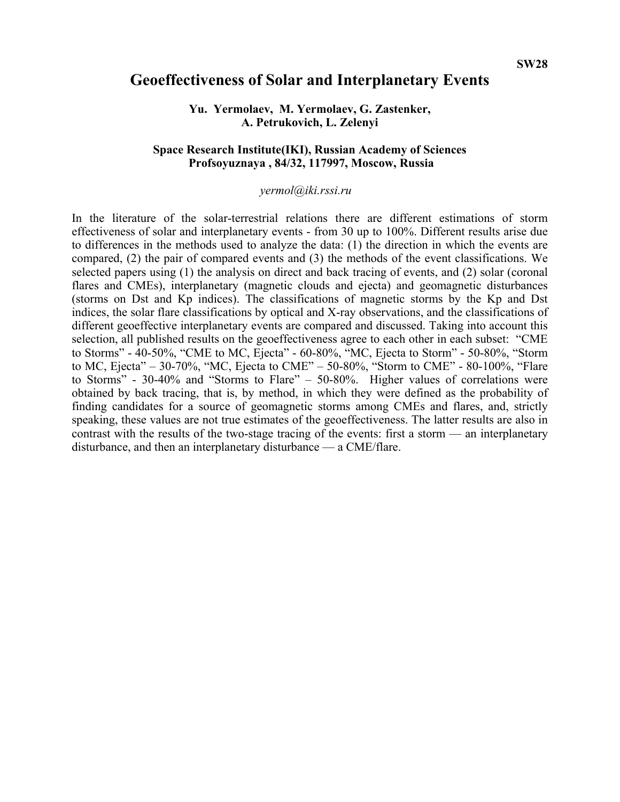#### **SW28**

# **Geoeffectiveness of Solar and Interplanetary Events**

#### **Yu. Yermolaev, M. Yermolaev, G. Zastenker, A. Petrukovich, L. Zelenyi**

### **Space Research Institute(IKI), Russian Academy of Sciences Profsoyuznaya , 84/32, 117997, Moscow, Russia**

### *yermol@iki.rssi.ru*

In the literature of the solar-terrestrial relations there are different estimations of storm effectiveness of solar and interplanetary events - from 30 up to 100%. Different results arise due to differences in the methods used to analyze the data: (1) the direction in which the events are compared, (2) the pair of compared events and (3) the methods of the event classifications. We selected papers using (1) the analysis on direct and back tracing of events, and (2) solar (coronal flares and CMEs), interplanetary (magnetic clouds and ejecta) and geomagnetic disturbances (storms on Dst and Kp indices). The classifications of magnetic storms by the Kp and Dst indices, the solar flare classifications by optical and X-ray observations, and the classifications of different geoeffective interplanetary events are compared and discussed. Taking into account this selection, all published results on the geoeffectiveness agree to each other in each subset: "CME to Storms" - 40-50%, "CME to MC, Ejecta" - 60-80%, "MC, Ejecta to Storm" - 50-80%, "Storm to MC, Ejecta" – 30-70%, "MC, Ejecta to CME" – 50-80%, "Storm to CME" - 80-100%, "Flare to Storms" - 30-40% and "Storms to Flare" – 50-80%. Higher values of correlations were obtained by back tracing, that is, by method, in which they were defined as the probability of finding candidates for a source of geomagnetic storms among CMEs and flares, and, strictly speaking, these values are not true estimates of the geoeffectiveness. The latter results are also in contrast with the results of the two-stage tracing of the events: first a storm — an interplanetary disturbance, and then an interplanetary disturbance — a CME/flare.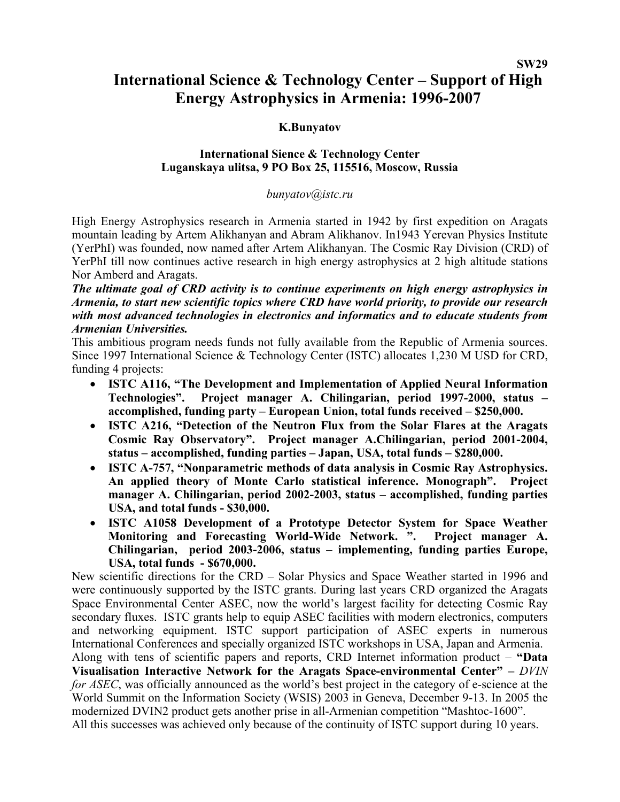# **International Science & Technology Center – Support of High Energy Astrophysics in Armenia: 1996-2007**

# **K.Bunyatov**

# **International Sience & Technology Center Luganskaya ulitsa, 9 PO Box 25, 115516, Moscow, Russia**

# *bunyatov@istc.ru*

High Energy Astrophysics research in Armenia started in 1942 by first expedition on Aragats mountain leading by Artem Alikhanyan and Abram Alikhanov. In1943 Yerevan Physics Institute (YerPhI) was founded, now named after Artem Alikhanyan. The Cosmic Ray Division (CRD) of YerPhI till now continues active research in high energy astrophysics at 2 high altitude stations Nor Amberd and Aragats.

*The ultimate goal of CRD activity is to continue experiments on high energy astrophysics in Armenia, to start new scientific topics where CRD have world priority, to provide our research with most advanced technologies in electronics and informatics and to educate students from Armenian Universities.* 

This ambitious program needs funds not fully available from the Republic of Armenia sources. Since 1997 International Science & Technology Center (ISTC) allocates 1,230 M USD for CRD, funding 4 projects:

- **ISTC A116, "The Development and Implementation of Applied Neural Information Technologies". Project manager A. Chilingarian, period 1997-2000, status – accomplished, funding party – European Union, total funds received – \$250,000.**
- **ISTC A216, "Detection of the Neutron Flux from the Solar Flares at the Aragats Cosmic Ray Observatory". Project manager A.Chilingarian, period 2001-2004, status – accomplished, funding parties – Japan, USA, total funds – \$280,000.**
- **ISTC A-757, "Nonparametric methods of data analysis in Cosmic Ray Astrophysics. An applied theory of Monte Carlo statistical inference. Monograph". Project manager A. Chilingarian, period 2002-2003, status – accomplished, funding parties USA, and total funds - \$30,000.**
- **ISTC A1058 Development of a Prototype Detector System for Space Weather Monitoring and Forecasting World-Wide Network. ". Project manager A. Chilingarian, period 2003-2006, status – implementing, funding parties Europe, USA, total funds - \$670,000.**

New scientific directions for the CRD – Solar Physics and Space Weather started in 1996 and were continuously supported by the ISTC grants. During last years CRD organized the Aragats Space Environmental Center ASEC, now the world's largest facility for detecting Cosmic Ray secondary fluxes. ISTC grants help to equip ASEC facilities with modern electronics, computers and networking equipment. ISTC support participation of ASEC experts in numerous International Conferences and specially organized ISTC workshops in USA, Japan and Armenia. Along with tens of scientific papers and reports, CRD Internet information product – **"Data** 

**Visualisation Interactive Network for the Aragats Space-environmental Center" –** *DVIN for ASEC*, was officially announced as the world's best project in the category of e-science at the World Summit on the Information Society (WSIS) 2003 in Geneva, December 9-13. In 2005 the modernized DVIN2 product gets another prise in all-Armenian competition "Mashtoc-1600". All this successes was achieved only because of the continuity of ISTC support during 10 years.

**SW29**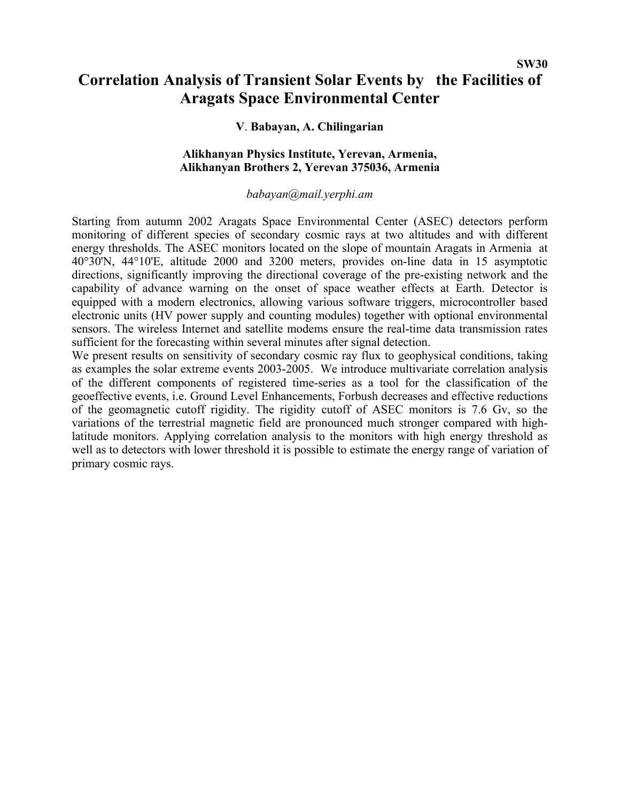# **Correlation Analysis of Transient Solar Events by the Facilities of Aragats Space Environmental Center**

## **V**. **Babayan, A. Chilingarian**

## **Alikhanyan Physics Institute, Yerevan, Armenia, Alikhanyan Brothers 2, Yerevan 375036, Armenia**

#### *babayan@mail.yerphi.am*

Starting from autumn 2002 Aragats Space Environmental Center (ASEC) detectors perform monitoring of different species of secondary cosmic rays at two altitudes and with different energy thresholds. The ASEC monitors located on the slope of mountain Aragats in Armenia at 40°30'N, 44°10'E, altitude 2000 and 3200 meters, provides on-line data in 15 asymptotic directions, significantly improving the directional coverage of the pre-existing network and the capability of advance warning on the onset of space weather effects at Earth. Detector is equipped with a modern electronics, allowing various software triggers, microcontroller based electronic units (HV power supply and counting modules) together with optional environmental sensors. The wireless Internet and satellite modems ensure the real-time data transmission rates sufficient for the forecasting within several minutes after signal detection.

We present results on sensitivity of secondary cosmic ray flux to geophysical conditions, taking as examples the solar extreme events 2003-2005. We introduce multivariate correlation analysis of the different components of registered time-series as a tool for the classification of the geoeffective events, i.e. Ground Level Enhancements, Forbush decreases and effective reductions of the geomagnetic cutoff rigidity. The rigidity cutoff of ASEC monitors is 7.6 Gv, so the variations of the terrestrial magnetic field are pronounced much stronger compared with highlatitude monitors. Applying correlation analysis to the monitors with high energy threshold as well as to detectors with lower threshold it is possible to estimate the energy range of variation of primary cosmic rays.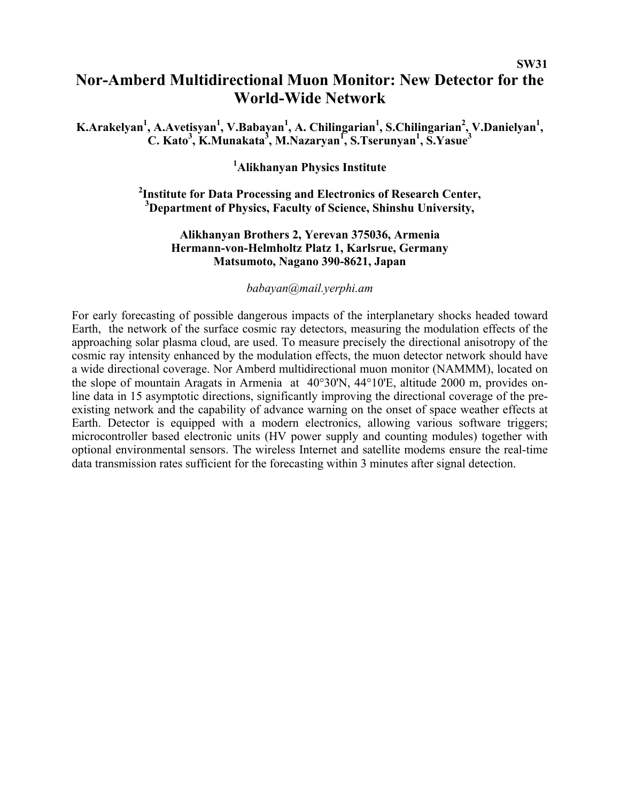# **Nor-Amberd Multidirectional Muon Monitor: New Detector for the World-Wide Network**

**K.Arakelyan<sup>1</sup>, A.Avetisyan<sup>1</sup>, V.Babayan<sup>1</sup>, A. Chilingarian<sup>1</sup>, S.Chilingarian<sup>2</sup>, V.Danielyan<sup>1</sup>, C. Kato3 , K.Munakata3 , M.Nazaryan<sup>1</sup> , S.Tserunyan1 , S.Yasue<sup>3</sup>**

**1 Alikhanyan Physics Institute** 

# **2 Institute for Data Processing and Electronics of Research Center, 3 Department of Physics, Faculty of Science, Shinshu University,**

## **Alikhanyan Brothers 2, Yerevan 375036, Armenia Hermann-von-Helmholtz Platz 1, Karlsrue, Germany Matsumoto, Nagano 390-8621, Japan**

#### *babayan@mail.yerphi.am*

For early forecasting of possible dangerous impacts of the interplanetary shocks headed toward Earth, the network of the surface cosmic ray detectors, measuring the modulation effects of the approaching solar plasma cloud, are used. To measure precisely the directional anisotropy of the cosmic ray intensity enhanced by the modulation effects, the muon detector network should have a wide directional coverage. Nor Amberd multidirectional muon monitor (NAMMM), located on the slope of mountain Aragats in Armenia at 40°30'N, 44°10'E, altitude 2000 m, provides online data in 15 asymptotic directions, significantly improving the directional coverage of the preexisting network and the capability of advance warning on the onset of space weather effects at Earth. Detector is equipped with a modern electronics, allowing various software triggers; microcontroller based electronic units (HV power supply and counting modules) together with optional environmental sensors. The wireless Internet and satellite modems ensure the real-time data transmission rates sufficient for the forecasting within 3 minutes after signal detection.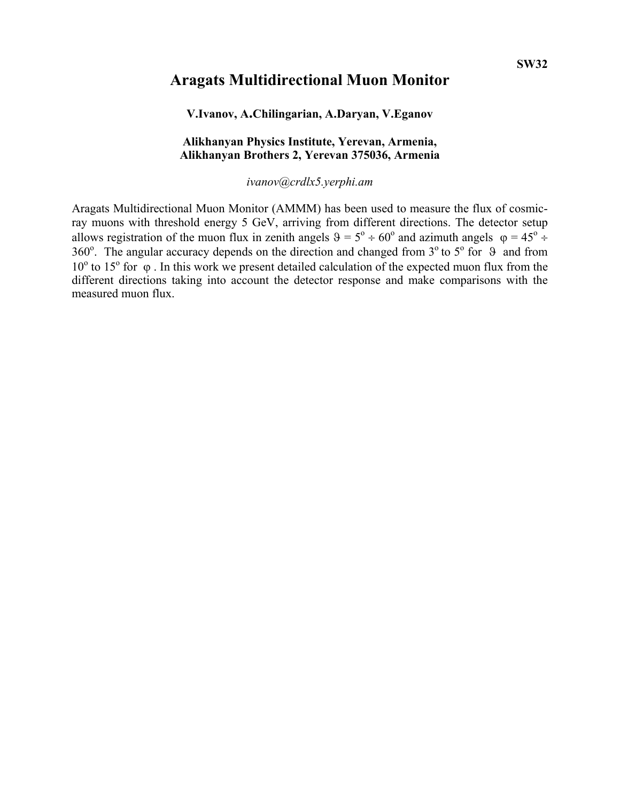# **Aragats Multidirectional Muon Monitor**

### **V.Ivanov, A.Chilingarian, A.Daryan, V.Eganov**

### **Alikhanyan Physics Institute, Yerevan, Armenia, Alikhanyan Brothers 2, Yerevan 375036, Armenia**

*ivanov@crdlx5.yerphi.am* 

Aragats Multidirectional Muon Monitor (AMMM) has been used to measure the flux of cosmicray muons with threshold energy 5 GeV, arriving from different directions. The detector setup allows registration of the muon flux in zenith angels  $\theta = 5^{\circ} \div 60^{\circ}$  and azimuth angels  $\varphi = 45^{\circ} \div 60^{\circ}$ 360°. The angular accuracy depends on the direction and changed from  $3^\circ$  to  $5^\circ$  for  $9$  and from  $10<sup>o</sup>$  to 15<sup>o</sup> for φ. In this work we present detailed calculation of the expected muon flux from the different directions taking into account the detector response and make comparisons with the measured muon flux.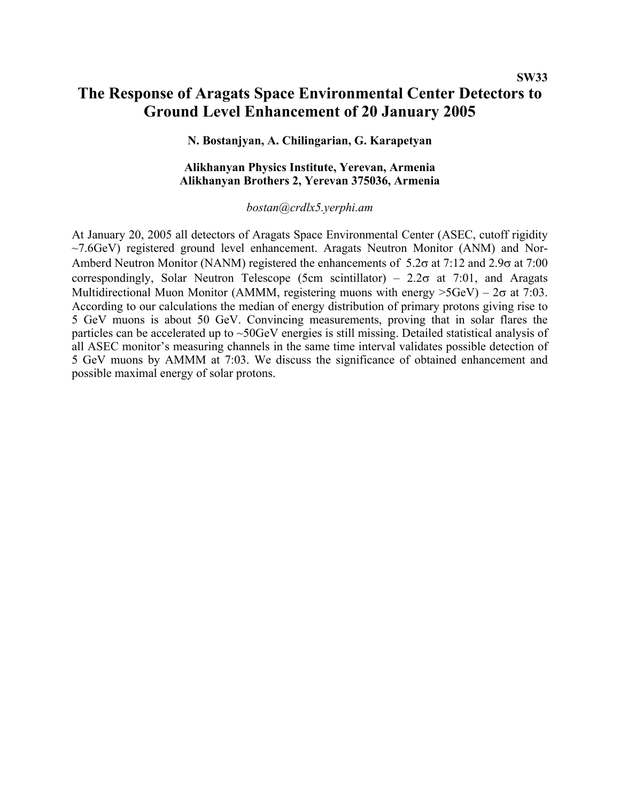# **The Response of Aragats Space Environmental Center Detectors to Ground Level Enhancement of 20 January 2005**

**N. Bostanjyan, A. Chilingarian, G. Karapetyan**

### **Alikhanyan Physics Institute, Yerevan, Armenia Alikhanyan Brothers 2, Yerevan 375036, Armenia**

#### *bostan@crdlx5.yerphi.am*

At January 20, 2005 all detectors of Aragats Space Environmental Center (ASEC, cutoff rigidity  $\sim$ 7.6GeV) registered ground level enhancement. Aragats Neutron Monitor (ANM) and Nor-Amberd Neutron Monitor (NANM) registered the enhancements of 5.2σ at 7:12 and 2.9σ at 7:00 correspondingly, Solar Neutron Telescope (5cm scintillator) –  $2.2\sigma$  at 7:01, and Aragats Multidirectional Muon Monitor (AMMM, registering muons with energy  $>5GeV$ ) –  $2\sigma$  at 7:03. According to our calculations the median of energy distribution of primary protons giving rise to 5 GeV muons is about 50 GeV. Convincing measurements, proving that in solar flares the particles can be accelerated up to ~50GeV energies is still missing. Detailed statistical analysis of all ASEC monitor's measuring channels in the same time interval validates possible detection of 5 GeV muons by AMMM at 7:03. We discuss the significance of obtained enhancement and possible maximal energy of solar protons.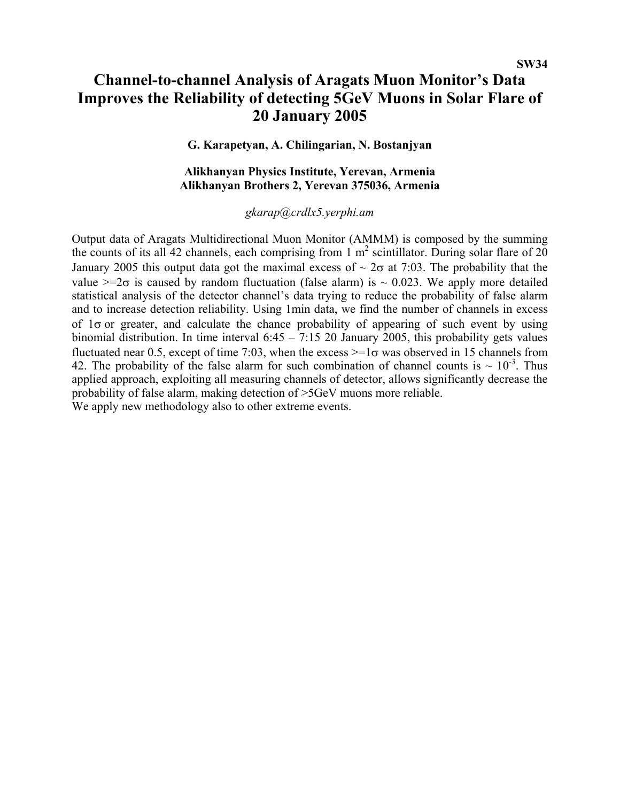# **Channel-to-channel Analysis of Aragats Muon Monitor's Data Improves the Reliability of detecting 5GeV Muons in Solar Flare of 20 January 2005**

# **G. Karapetyan, A. Chilingarian, N. Bostanjyan**

#### **Alikhanyan Physics Institute, Yerevan, Armenia Alikhanyan Brothers 2, Yerevan 375036, Armenia**

# *gkarap@crdlx5.yerphi.am*

Output data of Aragats Multidirectional Muon Monitor (AMMM) is composed by the summing the counts of its all 42 channels, each comprising from 1  $m^2$  scintillator. During solar flare of 20 January 2005 this output data got the maximal excess of  $\sim 2\sigma$  at 7:03. The probability that the value  $>=2\sigma$  is caused by random fluctuation (false alarm) is  $\sim 0.023$ . We apply more detailed statistical analysis of the detector channel's data trying to reduce the probability of false alarm and to increase detection reliability. Using 1min data, we find the number of channels in excess of  $1\sigma$  or greater, and calculate the chance probability of appearing of such event by using binomial distribution. In time interval 6:45 – 7:15 20 January 2005, this probability gets values fluctuated near 0.5, except of time 7:03, when the excess  $\geq 1\sigma$  was observed in 15 channels from 42. The probability of the false alarm for such combination of channel counts is  $\sim 10^{-3}$ . Thus applied approach, exploiting all measuring channels of detector, allows significantly decrease the probability of false alarm, making detection of >5GeV muons more reliable. We apply new methodology also to other extreme events.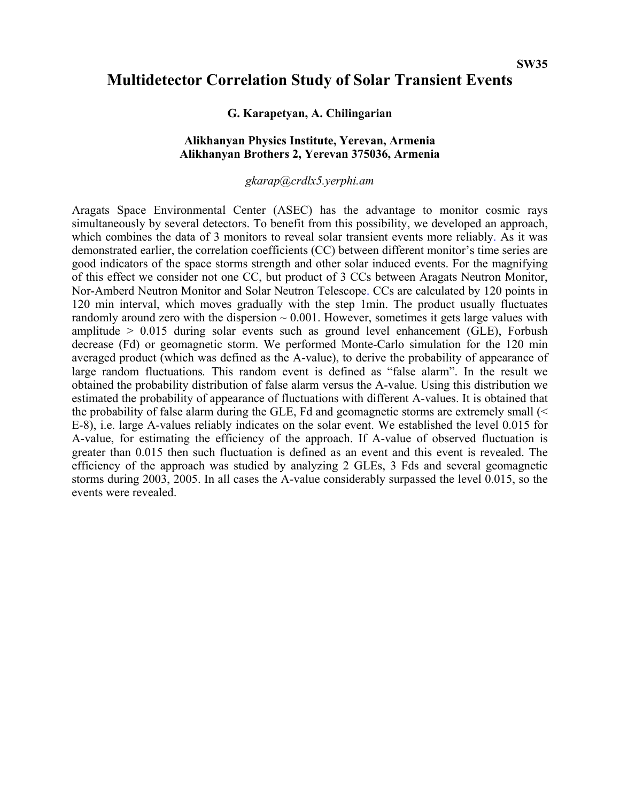# **Multidetector Correlation Study of Solar Transient Events**

### **G. Karapetyan, A. Chilingarian**

### **Alikhanyan Physics Institute, Yerevan, Armenia Alikhanyan Brothers 2, Yerevan 375036, Armenia**

### *gkarap@crdlx5.yerphi.am*

Aragats Space Environmental Center (ASEC) has the advantage to monitor cosmic rays simultaneously by several detectors. To benefit from this possibility, we developed an approach, which combines the data of 3 monitors to reveal solar transient events more reliably. As it was demonstrated earlier, the correlation coefficients (CC) between different monitor's time series are good indicators of the space storms strength and other solar induced events. For the magnifying of this effect we consider not one CC, but product of 3 CCs between Aragats Neutron Monitor, Nor-Amberd Neutron Monitor and Solar Neutron Telescope. CCs are calculated by 120 points in 120 min interval, which moves gradually with the step 1min. The product usually fluctuates randomly around zero with the dispersion  $\sim 0.001$ . However, sometimes it gets large values with amplitude  $> 0.015$  during solar events such as ground level enhancement (GLE), Forbush decrease (Fd) or geomagnetic storm. We performed Monte-Carlo simulation for the 120 min averaged product (which was defined as the A-value), to derive the probability of appearance of large random fluctuations*.* This random event is defined as "false alarm". In the result we obtained the probability distribution of false alarm versus the A-value. Using this distribution we estimated the probability of appearance of fluctuations with different A-values. It is obtained that the probability of false alarm during the GLE, Fd and geomagnetic storms are extremely small (< E-8), i.e. large A-values reliably indicates on the solar event. We established the level 0.015 for A-value, for estimating the efficiency of the approach. If A-value of observed fluctuation is greater than 0.015 then such fluctuation is defined as an event and this event is revealed. The efficiency of the approach was studied by analyzing 2 GLEs, 3 Fds and several geomagnetic storms during 2003, 2005. In all cases the A-value considerably surpassed the level 0.015, so the events were revealed.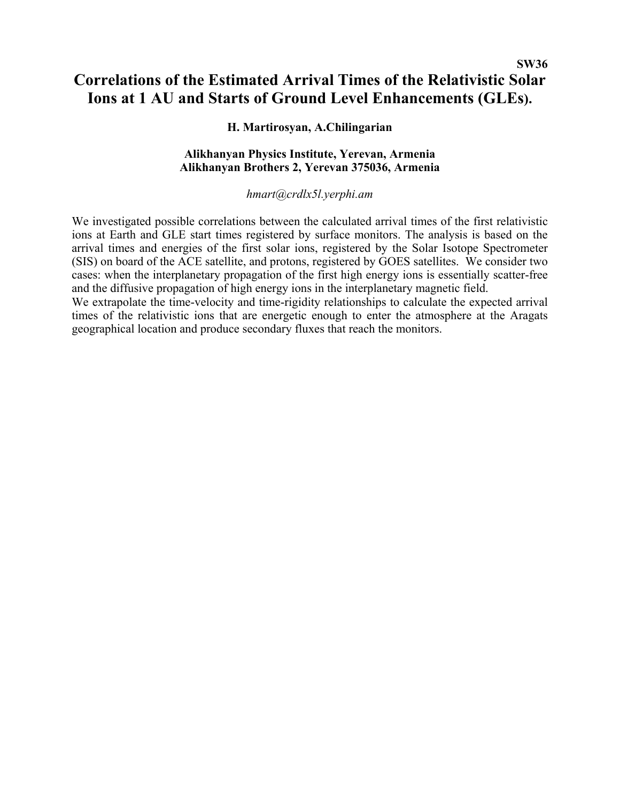# **SW36 Correlations of the Estimated Arrival Times of the Relativistic Solar Ions at 1 AU and Starts of Ground Level Enhancements (GLEs).**

# **H. Martirosyan, A.Chilingarian**

# **Alikhanyan Physics Institute, Yerevan, Armenia Alikhanyan Brothers 2, Yerevan 375036, Armenia**

### *hmart@crdlx5l.yerphi.am*

We investigated possible correlations between the calculated arrival times of the first relativistic ions at Earth and GLE start times registered by surface monitors. The analysis is based on the arrival times and energies of the first solar ions, registered by the Solar Isotope Spectrometer (SIS) on board of the ACE satellite, and protons, registered by GOES satellites. We consider two cases: when the interplanetary propagation of the first high energy ions is essentially scatter-free and the diffusive propagation of high energy ions in the interplanetary magnetic field.

We extrapolate the time-velocity and time-rigidity relationships to calculate the expected arrival times of the relativistic ions that are energetic enough to enter the atmosphere at the Aragats geographical location and produce secondary fluxes that reach the monitors.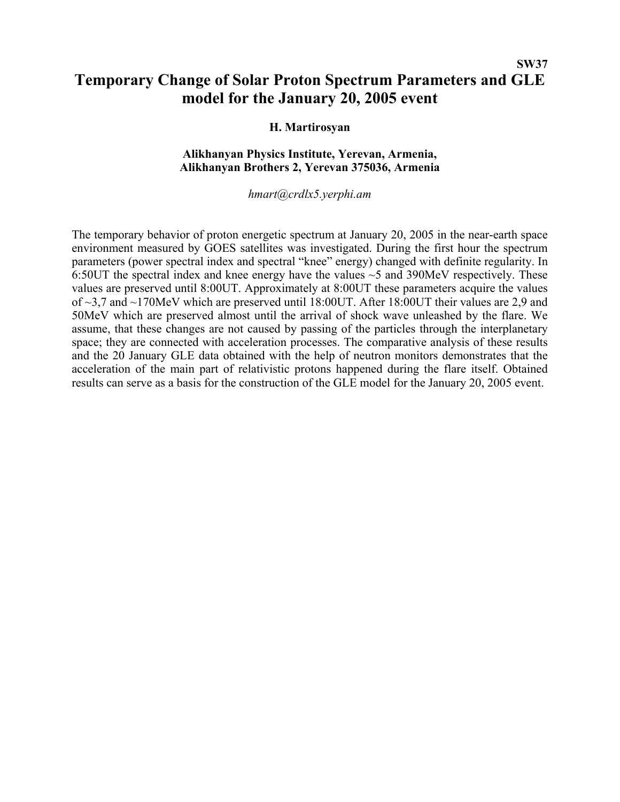# **SW37 Temporary Change of Solar Proton Spectrum Parameters and GLE model for the January 20, 2005 event**

### **H. Martirosyan**

## **Alikhanyan Physics Institute, Yerevan, Armenia, Alikhanyan Brothers 2, Yerevan 375036, Armenia**

#### *hmart@crdlx5.yerphi.am*

The temporary behavior of proton energetic spectrum at January 20, 2005 in the near-earth space environment measured by GOES satellites was investigated. During the first hour the spectrum parameters (power spectral index and spectral "knee" energy) changed with definite regularity. In 6:50UT the spectral index and knee energy have the values ~5 and 390MeV respectively. These values are preserved until 8:00UT. Approximately at 8:00UT these parameters acquire the values of ~3,7 and ~170MeV which are preserved until 18:00UT. After 18:00UT their values are 2,9 and 50MeV which are preserved almost until the arrival of shock wave unleashed by the flare. We assume, that these changes are not caused by passing of the particles through the interplanetary space; they are connected with acceleration processes. The comparative analysis of these results and the 20 January GLE data obtained with the help of neutron monitors demonstrates that the acceleration of the main part of relativistic protons happened during the flare itself. Obtained results can serve as a basis for the construction of the GLE model for the January 20, 2005 event.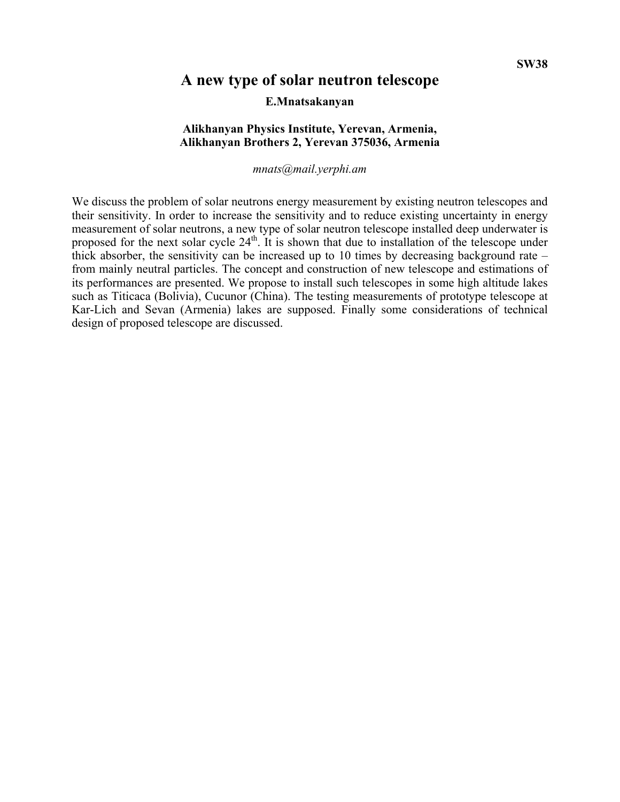# **A new type of solar neutron telescope**

#### **E.Mnatsakanyan**

### **Alikhanyan Physics Institute, Yerevan, Armenia, Alikhanyan Brothers 2, Yerevan 375036, Armenia**

#### *mnats@mail.yerphi.am*

We discuss the problem of solar neutrons energy measurement by existing neutron telescopes and their sensitivity. In order to increase the sensitivity and to reduce existing uncertainty in energy measurement of solar neutrons, a new type of solar neutron telescope installed deep underwater is proposed for the next solar cycle 24<sup>th</sup>. It is shown that due to installation of the telescope under thick absorber, the sensitivity can be increased up to 10 times by decreasing background rate – from mainly neutral particles. The concept and construction of new telescope and estimations of its performances are presented. We propose to install such telescopes in some high altitude lakes such as Titicaca (Bolivia), Cucunor (China). The testing measurements of prototype telescope at Kar-Lich and Sevan (Armenia) lakes are supposed. Finally some considerations of technical design of proposed telescope are discussed.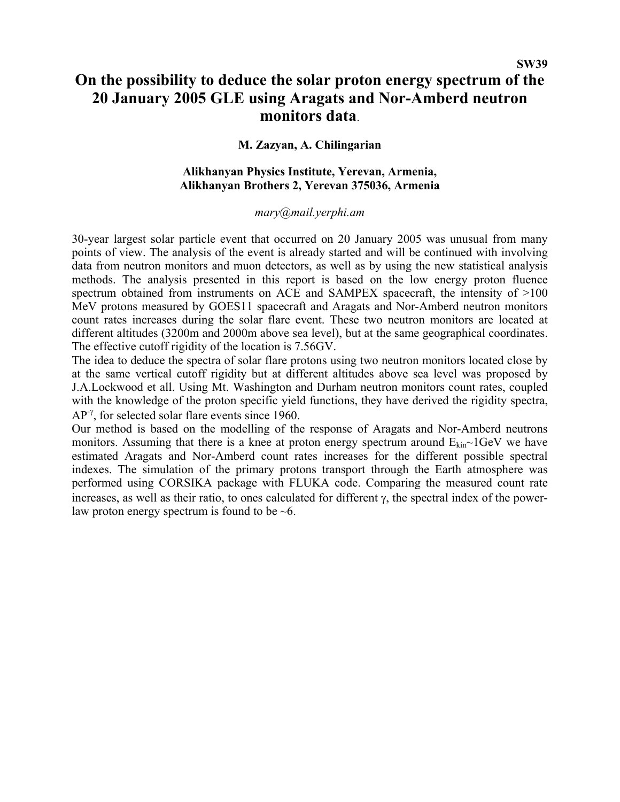# **On the possibility to deduce the solar proton energy spectrum of the 20 January 2005 GLE using Aragats and Nor-Amberd neutron monitors data**.

# **M. Zazyan, A. Chilingarian**

### **Alikhanyan Physics Institute, Yerevan, Armenia, Alikhanyan Brothers 2, Yerevan 375036, Armenia**

### *mary@mail.yerphi.am*

30-year largest solar particle event that occurred on 20 January 2005 was unusual from many points of view. The analysis of the event is already started and will be continued with involving data from neutron monitors and muon detectors, as well as by using the new statistical analysis methods. The analysis presented in this report is based on the low energy proton fluence spectrum obtained from instruments on ACE and SAMPEX spacecraft, the intensity of  $>100$ MeV protons measured by GOES11 spacecraft and Aragats and Nor-Amberd neutron monitors count rates increases during the solar flare event. These two neutron monitors are located at different altitudes (3200m and 2000m above sea level), but at the same geographical coordinates. The effective cutoff rigidity of the location is 7.56GV.

The idea to deduce the spectra of solar flare protons using two neutron monitors located close by at the same vertical cutoff rigidity but at different altitudes above sea level was proposed by J.A.Lockwood et all. Using Mt. Washington and Durham neutron monitors count rates, coupled with the knowledge of the proton specific yield functions, they have derived the rigidity spectra,  $AP^{\gamma}$ , for selected solar flare events since 1960.

Our method is based on the modelling of the response of Aragats and Nor-Amberd neutrons monitors. Assuming that there is a knee at proton energy spectrum around  $E_{kin}$  1GeV we have estimated Aragats and Nor-Amberd count rates increases for the different possible spectral indexes. The simulation of the primary protons transport through the Earth atmosphere was performed using CORSIKA package with FLUKA code. Comparing the measured count rate increases, as well as their ratio, to ones calculated for different γ, the spectral index of the powerlaw proton energy spectrum is found to be  $\sim 6$ .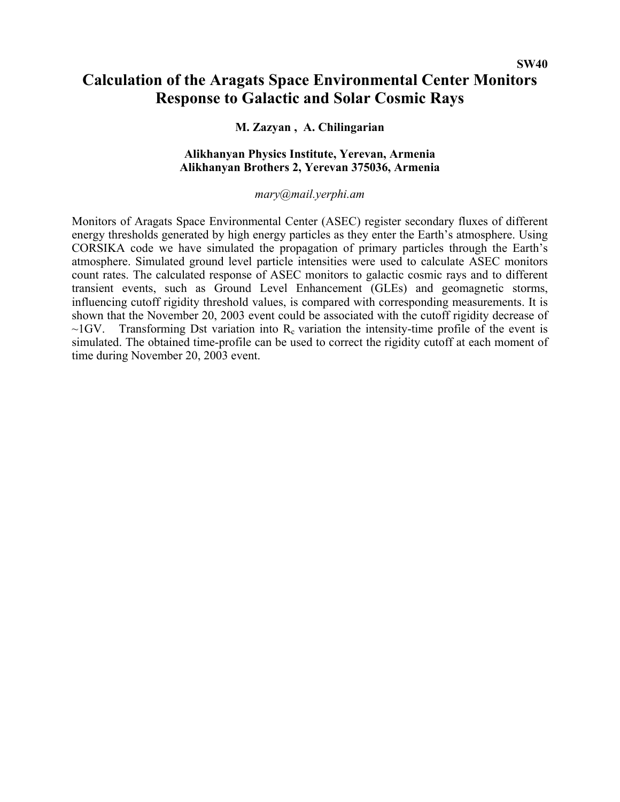# **Calculation of the Aragats Space Environmental Center Monitors Response to Galactic and Solar Cosmic Rays**

# **M. Zazyan , A. Chilingarian**

## **Alikhanyan Physics Institute, Yerevan, Armenia Alikhanyan Brothers 2, Yerevan 375036, Armenia**

### *mary@mail.yerphi.am*

Monitors of Aragats Space Environmental Center (ASEC) register secondary fluxes of different energy thresholds generated by high energy particles as they enter the Earth's atmosphere. Using CORSIKA code we have simulated the propagation of primary particles through the Earth's atmosphere. Simulated ground level particle intensities were used to calculate ASEC monitors count rates. The calculated response of ASEC monitors to galactic cosmic rays and to different transient events, such as Ground Level Enhancement (GLEs) and geomagnetic storms, influencing cutoff rigidity threshold values, is compared with corresponding measurements. It is shown that the November 20, 2003 event could be associated with the cutoff rigidity decrease of  $\sim$ 1GV. Transforming Dst variation into R<sub>c</sub> variation the intensity-time profile of the event is simulated. The obtained time-profile can be used to correct the rigidity cutoff at each moment of time during November 20, 2003 event.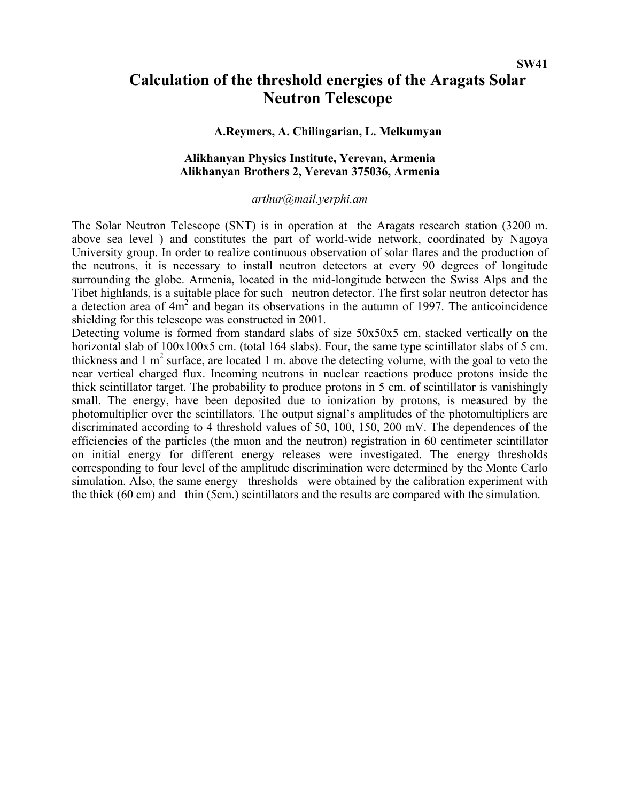# **Calculation of the threshold energies of the Aragats Solar Neutron Telescope**

### **A.Reymers, A. Chilingarian, L. Melkumyan**

# **Alikhanyan Physics Institute, Yerevan, Armenia Alikhanyan Brothers 2, Yerevan 375036, Armenia**

#### *arthur@mail.yerphi.am*

The Solar Neutron Telescope (SNT) is in operation at the Aragats research station (3200 m. above sea level ) and constitutes the part of world-wide network, coordinated by Nagoya University group. In order to realize continuous observation of solar flares and the production of the neutrons, it is necessary to install neutron detectors at every 90 degrees of longitude surrounding the globe. Armenia, located in the mid-longitude between the Swiss Alps and the Tibet highlands, is a suitable place for such neutron detector. The first solar neutron detector has a detection area of  $4m^2$  and began its observations in the autumn of 1997. The anticoincidence shielding for this telescope was constructed in 2001.

Detecting volume is formed from standard slabs of size 50x50x5 cm, stacked vertically on the horizontal slab of  $100x100x5$  cm. (total 164 slabs). Four, the same type scintillator slabs of 5 cm. thickness and  $1 \text{ m}^2$  surface, are located  $1 \text{ m}$ . above the detecting volume, with the goal to veto the near vertical charged flux. Incoming neutrons in nuclear reactions produce protons inside the thick scintillator target. The probability to produce protons in 5 cm. of scintillator is vanishingly small. The energy, have been deposited due to ionization by protons, is measured by the photomultiplier over the scintillators. The output signal's amplitudes of the photomultipliers are discriminated according to 4 threshold values of 50, 100, 150, 200 mV. The dependences of the efficiencies of the particles (the muon and the neutron) registration in 60 centimeter scintillator on initial energy for different energy releases were investigated. The energy thresholds corresponding to four level of the amplitude discrimination were determined by the Monte Carlo simulation. Also, the same energy thresholds were obtained by the calibration experiment with the thick (60 cm) and thin (5cm.) scintillators and the results are compared with the simulation.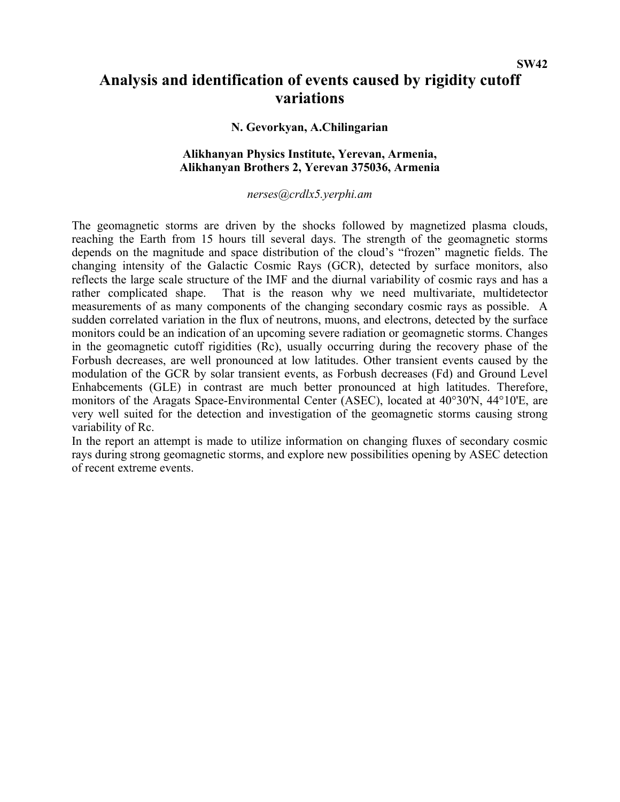**SW42** 

# **Analysis and identification of events caused by rigidity cutoff variations**

### **N. Gevorkyan, A.Chilingarian**

# **Alikhanyan Physics Institute, Yerevan, Armenia, Alikhanyan Brothers 2, Yerevan 375036, Armenia**

#### *nerses@crdlx5.yerphi.am*

The geomagnetic storms are driven by the shocks followed by magnetized plasma clouds, reaching the Earth from 15 hours till several days. The strength of the geomagnetic storms depends on the magnitude and space distribution of the cloud's "frozen" magnetic fields. The changing intensity of the Galactic Cosmic Rays (GCR), detected by surface monitors, also reflects the large scale structure of the IMF and the diurnal variability of cosmic rays and has a rather complicated shape. That is the reason why we need multivariate, multidetector measurements of as many components of the changing secondary cosmic rays as possible. A sudden correlated variation in the flux of neutrons, muons, and electrons, detected by the surface monitors could be an indication of an upcoming severe radiation or geomagnetic storms. Changes in the geomagnetic cutoff rigidities (Rc), usually occurring during the recovery phase of the Forbush decreases, are well pronounced at low latitudes. Other transient events caused by the modulation of the GCR by solar transient events, as Forbush decreases (Fd) and Ground Level Enhabcements (GLE) in contrast are much better pronounced at high latitudes. Therefore, monitors of the Aragats Space-Environmental Center (ASEC), located at 40°30'N, 44°10'E, are very well suited for the detection and investigation of the geomagnetic storms causing strong variability of Rc.

In the report an attempt is made to utilize information on changing fluxes of secondary cosmic rays during strong geomagnetic storms, and explore new possibilities opening by ASEC detection of recent extreme events.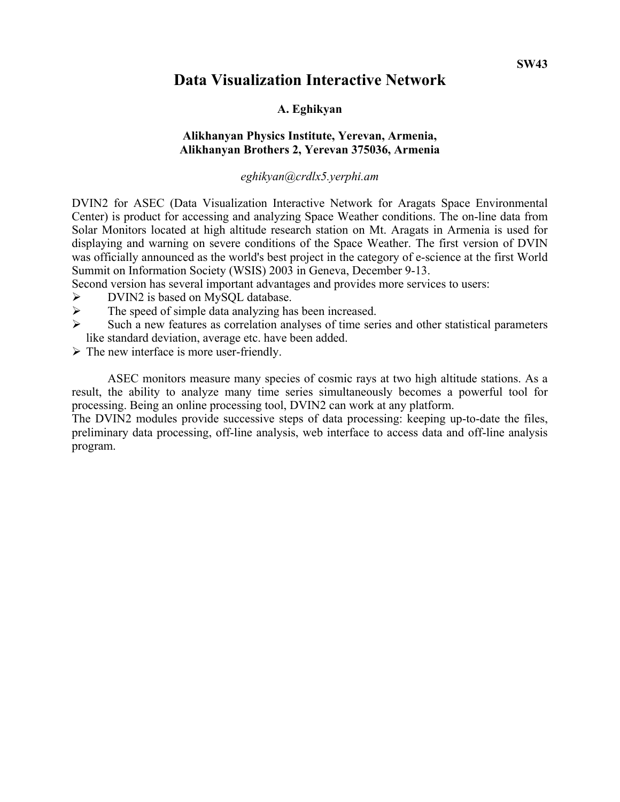# **Data Visualization Interactive Network**

# **A. Eghikyan**

# **Alikhanyan Physics Institute, Yerevan, Armenia, Alikhanyan Brothers 2, Yerevan 375036, Armenia**

*eghikyan@crdlx5.yerphi.am*

DVIN2 for ASEC (Data Visualization Interactive Network for Aragats Space Environmental Center) is product for accessing and analyzing Space Weather conditions. The on-line data from Solar Monitors located at high altitude research station on Mt. Aragats in Armenia is used for displaying and warning on severe conditions of the Space Weather. The first version of DVIN was officially announced as the world's best project in the category of e-science at the first World Summit on Information Society (WSIS) 2003 in Geneva, December 9-13.

Second version has several important advantages and provides more services to users:

- ¾ DVIN2 is based on MySQL database.
- $\triangleright$  The speed of simple data analyzing has been increased.
- $\triangleright$  Such a new features as correlation analyses of time series and other statistical parameters like standard deviation, average etc. have been added.
- $\triangleright$  The new interface is more user-friendly.

 ASEC monitors measure many species of cosmic rays at two high altitude stations. As a result, the ability to analyze many time series simultaneously becomes a powerful tool for processing. Being an online processing tool, DVIN2 can work at any platform.

The DVIN2 modules provide successive steps of data processing: keeping up-to-date the files, preliminary data processing, off-line analysis, web interface to access data and off-line analysis program.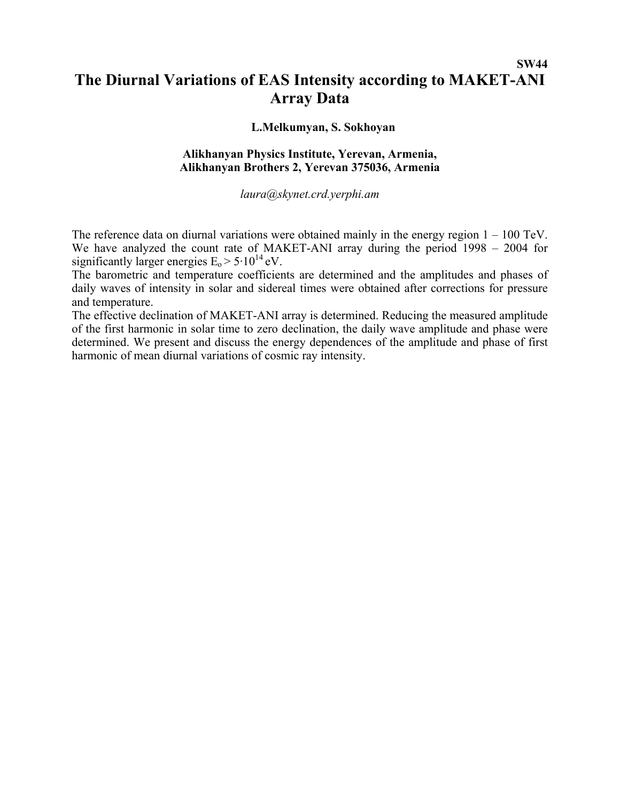# **SW44 The Diurnal Variations of EAS Intensity according to MAKET-ANI Array Data**

### **L.Melkumyan, S. Sokhoyan**

## **Alikhanyan Physics Institute, Yerevan, Armenia, Alikhanyan Brothers 2, Yerevan 375036, Armenia**

*laura@skynet.crd.yerphi.am* 

The reference data on diurnal variations were obtained mainly in the energy region  $1 - 100$  TeV. We have analyzed the count rate of MAKET-ANI array during the period 1998 – 2004 for significantly larger energies  $E_0 > 5.10^{14}$  eV.

The barometric and temperature coefficients are determined and the amplitudes and phases of daily waves of intensity in solar and sidereal times were obtained after corrections for pressure and temperature.

The effective declination of MAKET-ANI array is determined. Reducing the measured amplitude of the first harmonic in solar time to zero declination, the daily wave amplitude and phase were determined. We present and discuss the energy dependences of the amplitude and phase of first harmonic of mean diurnal variations of cosmic ray intensity.